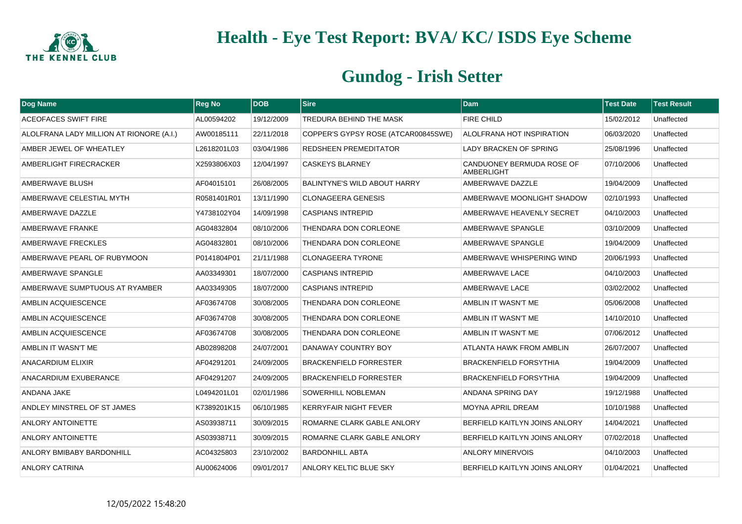

| Dog Name                                 | <b>Reg No</b> | <b>DOB</b> | $ S$ ire                            | <b>Dam</b>                              | <b>Test Date</b> | <b>Test Result</b> |
|------------------------------------------|---------------|------------|-------------------------------------|-----------------------------------------|------------------|--------------------|
| <b>ACEOFACES SWIFT FIRE</b>              | AL00594202    | 19/12/2009 | TREDURA BEHIND THE MASK             | <b>FIRE CHILD</b>                       | 15/02/2012       | Unaffected         |
| ALOLFRANA LADY MILLION AT RIONORE (A.I.) | AW00185111    | 22/11/2018 | COPPER'S GYPSY ROSE (ATCAR00845SWE) | ALOLFRANA HOT INSPIRATION               | 06/03/2020       | Unaffected         |
| AMBER JEWEL OF WHEATLEY                  | L2618201L03   | 03/04/1986 | <b>REDSHEEN PREMEDITATOR</b>        | <b>LADY BRACKEN OF SPRING</b>           | 25/08/1996       | Unaffected         |
| AMBERLIGHT FIRECRACKER                   | X2593806X03   | 12/04/1997 | <b>CASKEYS BLARNEY</b>              | CANDUONEY BERMUDA ROSE OF<br>AMBERLIGHT | 07/10/2006       | Unaffected         |
| AMBERWAVE BLUSH                          | AF04015101    | 26/08/2005 | <b>BALINTYNE'S WILD ABOUT HARRY</b> | AMBERWAVE DAZZLE                        | 19/04/2009       | Unaffected         |
| AMBERWAVE CELESTIAL MYTH                 | R0581401R01   | 13/11/1990 | <b>CLONAGEERA GENESIS</b>           | AMBERWAVE MOONLIGHT SHADOW              | 02/10/1993       | Unaffected         |
| AMBERWAVE DAZZLE                         | Y4738102Y04   | 14/09/1998 | <b>CASPIANS INTREPID</b>            | AMBERWAVE HEAVENLY SECRET               | 04/10/2003       | Unaffected         |
| AMBERWAVE FRANKE                         | AG04832804    | 08/10/2006 | THENDARA DON CORLEONE               | AMBERWAVE SPANGLE                       | 03/10/2009       | Unaffected         |
| AMBERWAVE FRECKLES                       | AG04832801    | 08/10/2006 | THENDARA DON CORLEONE               | AMBERWAVE SPANGLE                       | 19/04/2009       | Unaffected         |
| AMBERWAVE PEARL OF RUBYMOON              | P0141804P01   | 21/11/1988 | <b>CLONAGEERA TYRONE</b>            | AMBERWAVE WHISPERING WIND               | 20/06/1993       | Unaffected         |
| AMBERWAVE SPANGLE                        | AA03349301    | 18/07/2000 | <b>CASPIANS INTREPID</b>            | AMBERWAVE LACE                          | 04/10/2003       | Unaffected         |
| AMBERWAVE SUMPTUOUS AT RYAMBER           | AA03349305    | 18/07/2000 | <b>CASPIANS INTREPID</b>            | AMBERWAVE LACE                          | 03/02/2002       | Unaffected         |
| AMBLIN ACQUIESCENCE                      | AF03674708    | 30/08/2005 | THENDARA DON CORLEONE               | AMBLIN IT WASN'T ME                     | 05/06/2008       | Unaffected         |
| AMBLIN ACQUIESCENCE                      | AF03674708    | 30/08/2005 | <b>THENDARA DON CORLEONE</b>        | AMBLIN IT WASN'T ME                     | 14/10/2010       | Unaffected         |
| <b>AMBLIN ACQUIESCENCE</b>               | AF03674708    | 30/08/2005 | THENDARA DON CORLEONE               | AMBLIN IT WASN'T ME                     | 07/06/2012       | Unaffected         |
| AMBLIN IT WASN'T ME                      | AB02898208    | 24/07/2001 | DANAWAY COUNTRY BOY                 | <b>ATLANTA HAWK FROM AMBLIN</b>         | 26/07/2007       | Unaffected         |
| ANACARDIUM ELIXIR                        | AF04291201    | 24/09/2005 | <b>BRACKENFIELD FORRESTER</b>       | <b>BRACKENFIELD FORSYTHIA</b>           | 19/04/2009       | Unaffected         |
| ANACARDIUM EXUBERANCE                    | AF04291207    | 24/09/2005 | <b>BRACKENFIELD FORRESTER</b>       | <b>BRACKENFIELD FORSYTHIA</b>           | 19/04/2009       | Unaffected         |
| ANDANA JAKE                              | L0494201L01   | 02/01/1986 | <b>SOWERHILL NOBLEMAN</b>           | <b>ANDANA SPRING DAY</b>                | 19/12/1988       | Unaffected         |
| ANDLEY MINSTREL OF ST JAMES              | K7389201K15   | 06/10/1985 | <b>KERRYFAIR NIGHT FEVER</b>        | MOYNA APRIL DREAM                       | 10/10/1988       | Unaffected         |
| <b>ANLORY ANTOINETTE</b>                 | AS03938711    | 30/09/2015 | ROMARNE CLARK GABLE ANLORY          | BERFIELD KAITLYN JOINS ANLORY           | 14/04/2021       | Unaffected         |
| <b>ANLORY ANTOINETTE</b>                 | AS03938711    | 30/09/2015 | ROMARNE CLARK GABLE ANLORY          | BERFIELD KAITLYN JOINS ANLORY           | 07/02/2018       | Unaffected         |
| ANLORY BMIBABY BARDONHILL                | AC04325803    | 23/10/2002 | <b>BARDONHILL ABTA</b>              | <b>ANLORY MINERVOIS</b>                 | 04/10/2003       | Unaffected         |
| <b>ANLORY CATRINA</b>                    | AU00624006    | 09/01/2017 | <b>ANLORY KELTIC BLUE SKY</b>       | BERFIELD KAITLYN JOINS ANLORY           | 01/04/2021       | Unaffected         |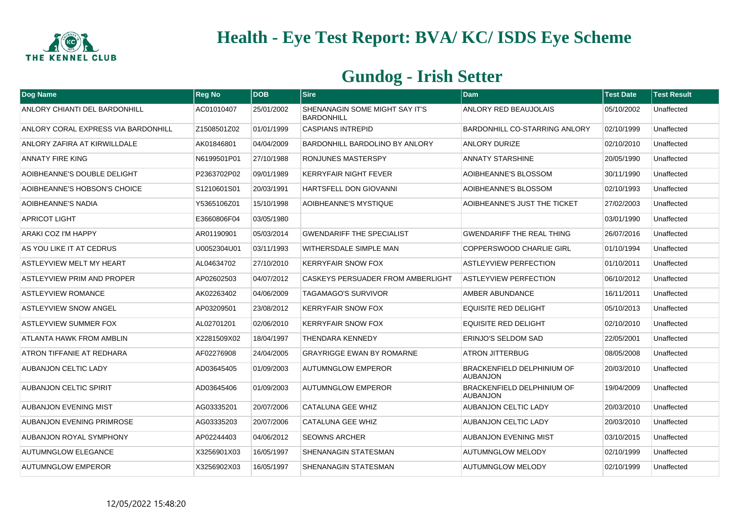

| <b>Dog Name</b>                      | <b>Reg No</b> | <b>DOB</b> | <b>Sire</b>                                         | <b>Dam</b>                                    | <b>Test Date</b> | <b>Test Result</b> |
|--------------------------------------|---------------|------------|-----------------------------------------------------|-----------------------------------------------|------------------|--------------------|
| <b>ANLORY CHIANTI DEL BARDONHILL</b> | AC01010407    | 25/01/2002 | SHENANAGIN SOME MIGHT SAY IT'S<br><b>BARDONHILL</b> | <b>ANLORY RED BEAUJOLAIS</b>                  | 05/10/2002       | Unaffected         |
| ANLORY CORAL EXPRESS VIA BARDONHILL  | Z1508501Z02   | 01/01/1999 | <b>CASPIANS INTREPID</b>                            | BARDONHILL CO-STARRING ANLORY                 | 02/10/1999       | Unaffected         |
| ANLORY ZAFIRA AT KIRWILLDALE         | AK01846801    | 04/04/2009 | <b>BARDONHILL BARDOLINO BY ANLORY</b>               | <b>ANLORY DURIZE</b>                          | 02/10/2010       | Unaffected         |
| ANNATY FIRE KING                     | N6199501P01   | 27/10/1988 | RONJUNES MASTERSPY                                  | <b>ANNATY STARSHINE</b>                       | 20/05/1990       | Unaffected         |
| AOIBHEANNE'S DOUBLE DELIGHT          | P2363702P02   | 09/01/1989 | <b>KERRYFAIR NIGHT FEVER</b>                        | AOIBHEANNE'S BLOSSOM                          | 30/11/1990       | Unaffected         |
| AOIBHEANNE'S HOBSON'S CHOICE         | S1210601S01   | 20/03/1991 | <b>HARTSFELL DON GIOVANNI</b>                       | AOIBHEANNE'S BLOSSOM                          | 02/10/1993       | Unaffected         |
| AOIBHEANNE'S NADIA                   | Y5365106Z01   | 15/10/1998 | AOIBHEANNE'S MYSTIQUE                               | AOIBHEANNE'S JUST THE TICKET                  | 27/02/2003       | Unaffected         |
| <b>APRICOT LIGHT</b>                 | E3660806F04   | 03/05/1980 |                                                     |                                               | 03/01/1990       | Unaffected         |
| ARAKI COZ I'M HAPPY                  | AR01190901    | 05/03/2014 | <b>GWENDARIFF THE SPECIALIST</b>                    | <b>GWENDARIFF THE REAL THING</b>              | 26/07/2016       | Unaffected         |
| AS YOU LIKE IT AT CEDRUS             | U0052304U01   | 03/11/1993 | WITHERSDALE SIMPLE MAN                              | COPPERSWOOD CHARLIE GIRL                      | 01/10/1994       | Unaffected         |
| ASTLEYVIEW MELT MY HEART             | AL04634702    | 27/10/2010 | <b>KERRYFAIR SNOW FOX</b>                           | <b>ASTLEYVIEW PERFECTION</b>                  | 01/10/2011       | Unaffected         |
| ASTLEYVIEW PRIM AND PROPER           | AP02602503    | 04/07/2012 | CASKEYS PERSUADER FROM AMBERLIGHT                   | <b>ASTLEYVIEW PERFECTION</b>                  | 06/10/2012       | Unaffected         |
| <b>ASTLEYVIEW ROMANCE</b>            | AK02263402    | 04/06/2009 | <b>TAGAMAGO'S SURVIVOR</b>                          | AMBER ABUNDANCE                               | 16/11/2011       | Unaffected         |
| <b>ASTLEYVIEW SNOW ANGEL</b>         | AP03209501    | 23/08/2012 | <b>KERRYFAIR SNOW FOX</b>                           | <b>EQUISITE RED DELIGHT</b>                   | 05/10/2013       | Unaffected         |
| ASTLEYVIEW SUMMER FOX                | AL02701201    | 02/06/2010 | <b>KERRYFAIR SNOW FOX</b>                           | <b>EQUISITE RED DELIGHT</b>                   | 02/10/2010       | Unaffected         |
| <b>ATLANTA HAWK FROM AMBLIN</b>      | X2281509X02   | 18/04/1997 | THENDARA KENNEDY                                    | ERINJO'S SELDOM SAD                           | 22/05/2001       | Unaffected         |
| ATRON TIFFANIE AT REDHARA            | AF02276908    | 24/04/2005 | <b>GRAYRIGGE EWAN BY ROMARNE</b>                    | <b>ATRON JITTERBUG</b>                        | 08/05/2008       | Unaffected         |
| <b>AUBANJON CELTIC LADY</b>          | AD03645405    | 01/09/2003 | <b>AUTUMNGLOW EMPEROR</b>                           | BRACKENFIELD DELPHINIUM OF<br><b>AUBANJON</b> | 20/03/2010       | Unaffected         |
| <b>AUBANJON CELTIC SPIRIT</b>        | AD03645406    | 01/09/2003 | <b>AUTUMNGLOW EMPEROR</b>                           | BRACKENFIELD DELPHINIUM OF<br><b>AUBANJON</b> | 19/04/2009       | Unaffected         |
| <b>AUBANJON EVENING MIST</b>         | AG03335201    | 20/07/2006 | CATALUNA GEE WHIZ                                   | <b>AUBANJON CELTIC LADY</b>                   | 20/03/2010       | Unaffected         |
| AUBANJON EVENING PRIMROSE            | AG03335203    | 20/07/2006 | CATALUNA GEE WHIZ                                   | <b>AUBANJON CELTIC LADY</b>                   | 20/03/2010       | Unaffected         |
| <b>AUBANJON ROYAL SYMPHONY</b>       | AP02244403    | 04/06/2012 | <b>SEOWNS ARCHER</b>                                | <b>AUBANJON EVENING MIST</b>                  | 03/10/2015       | Unaffected         |
| <b>AUTUMNGLOW ELEGANCE</b>           | X3256901X03   | 16/05/1997 | SHENANAGIN STATESMAN                                | <b>AUTUMNGLOW MELODY</b>                      | 02/10/1999       | Unaffected         |
| <b>AUTUMNGLOW EMPEROR</b>            | X3256902X03   | 16/05/1997 | SHENANAGIN STATESMAN                                | <b>AUTUMNGLOW MELODY</b>                      | 02/10/1999       | Unaffected         |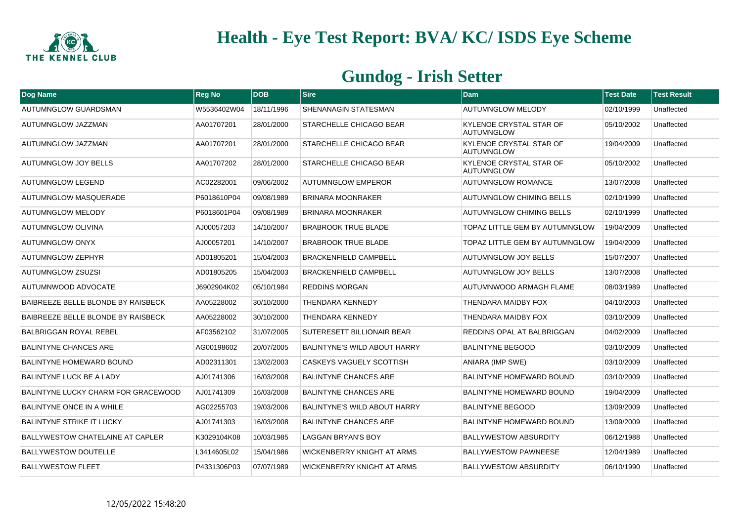

| Dog Name                                | <b>Reg No</b> | DOB        | <b>Sire</b>                         | <b>Dam</b>                                          | <b>Test Date</b> | <b>Test Result</b> |
|-----------------------------------------|---------------|------------|-------------------------------------|-----------------------------------------------------|------------------|--------------------|
| AUTUMNGLOW GUARDSMAN                    | W5536402W04   | 18/11/1996 | <b>SHENANAGIN STATESMAN</b>         | <b>AUTUMNGLOW MELODY</b>                            | 02/10/1999       | Unaffected         |
| AUTUMNGLOW JAZZMAN                      | AA01707201    | 28/01/2000 | <b>STARCHELLE CHICAGO BEAR</b>      | KYLENOE CRYSTAL STAR OF<br><b>AUTUMNGLOW</b>        | 05/10/2002       | Unaffected         |
| AUTUMNGLOW JAZZMAN                      | AA01707201    | 28/01/2000 | <b>STARCHELLE CHICAGO BEAR</b>      | <b>KYLENOE CRYSTAL STAR OF</b><br><b>AUTUMNGLOW</b> | 19/04/2009       | Unaffected         |
| <b>AUTUMNGLOW JOY BELLS</b>             | AA01707202    | 28/01/2000 | STARCHELLE CHICAGO BEAR             | <b>KYLENOE CRYSTAL STAR OF</b><br><b>AUTUMNGLOW</b> | 05/10/2002       | Unaffected         |
| <b>AUTUMNGLOW LEGEND</b>                | AC02282001    | 09/06/2002 | <b>AUTUMNGLOW EMPEROR</b>           | <b>AUTUMNGLOW ROMANCE</b>                           | 13/07/2008       | Unaffected         |
| <b>AUTUMNGLOW MASQUERADE</b>            | P6018610P04   | 09/08/1989 | <b>BRINARA MOONRAKER</b>            | <b>AUTUMNGLOW CHIMING BELLS</b>                     | 02/10/1999       | Unaffected         |
| <b>AUTUMNGLOW MELODY</b>                | P6018601P04   | 09/08/1989 | <b>BRINARA MOONRAKER</b>            | <b>AUTUMNGLOW CHIMING BELLS</b>                     | 02/10/1999       | Unaffected         |
| AUTUMNGLOW OLIVINA                      | AJ00057203    | 14/10/2007 | <b>BRABROOK TRUE BLADE</b>          | TOPAZ LITTLE GEM BY AUTUMNGLOW                      | 19/04/2009       | Unaffected         |
| AUTUMNGLOW ONYX                         | AJ00057201    | 14/10/2007 | <b>BRABROOK TRUE BLADE</b>          | TOPAZ LITTLE GEM BY AUTUMNGLOW                      | 19/04/2009       | Unaffected         |
| AUTUMNGLOW ZEPHYR                       | AD01805201    | 15/04/2003 | <b>BRACKENFIELD CAMPBELL</b>        | <b>AUTUMNGLOW JOY BELLS</b>                         | 15/07/2007       | Unaffected         |
| <b>AUTUMNGLOW ZSUZSI</b>                | AD01805205    | 15/04/2003 | <b>BRACKENFIELD CAMPBELL</b>        | <b>AUTUMNGLOW JOY BELLS</b>                         | 13/07/2008       | Unaffected         |
| AUTUMNWOOD ADVOCATE                     | J6902904K02   | 05/10/1984 | <b>REDDINS MORGAN</b>               | AUTUMNWOOD ARMAGH FLAME                             | 08/03/1989       | Unaffected         |
| BAIBREEZE BELLE BLONDE BY RAISBECK      | AA05228002    | 30/10/2000 | THENDARA KENNEDY                    | THENDARA MAIDBY FOX                                 | 04/10/2003       | Unaffected         |
| BAIBREEZE BELLE BLONDE BY RAISBECK      | AA05228002    | 30/10/2000 | THENDARA KENNEDY                    | THENDARA MAIDBY FOX                                 | 03/10/2009       | Unaffected         |
| <b>BALBRIGGAN ROYAL REBEL</b>           | AF03562102    | 31/07/2005 | <b>SUTERESETT BILLIONAIR BEAR</b>   | REDDINS OPAL AT BALBRIGGAN                          | 04/02/2009       | Unaffected         |
| <b>BALINTYNE CHANCES ARE</b>            | AG00198602    | 20/07/2005 | BALINTYNE'S WILD ABOUT HARRY        | <b>BALINTYNE BEGOOD</b>                             | 03/10/2009       | Unaffected         |
| <b>BALINTYNE HOMEWARD BOUND</b>         | AD02311301    | 13/02/2003 | <b>CASKEYS VAGUELY SCOTTISH</b>     | <b>ANIARA (IMP SWE)</b>                             | 03/10/2009       | Unaffected         |
| <b>BALINTYNE LUCK BE A LADY</b>         | AJ01741306    | 16/03/2008 | <b>BALINTYNE CHANCES ARE</b>        | <b>BALINTYNE HOMEWARD BOUND</b>                     | 03/10/2009       | Unaffected         |
| BALINTYNE LUCKY CHARM FOR GRACEWOOD     | AJ01741309    | 16/03/2008 | <b>BALINTYNE CHANCES ARE</b>        | <b>BALINTYNE HOMEWARD BOUND</b>                     | 19/04/2009       | Unaffected         |
| BALINTYNE ONCE IN A WHILE               | AG02255703    | 19/03/2006 | <b>BALINTYNE'S WILD ABOUT HARRY</b> | <b>BALINTYNE BEGOOD</b>                             | 13/09/2009       | Unaffected         |
| <b>BALINTYNE STRIKE IT LUCKY</b>        | AJ01741303    | 16/03/2008 | <b>BALINTYNE CHANCES ARE</b>        | <b>BALINTYNE HOMEWARD BOUND</b>                     | 13/09/2009       | Unaffected         |
| <b>BALLYWESTOW CHATELAINE AT CAPLER</b> | K3029104K08   | 10/03/1985 | <b>LAGGAN BRYAN'S BOY</b>           | <b>BALLYWESTOW ABSURDITY</b>                        | 06/12/1988       | Unaffected         |
| <b>BALLYWESTOW DOUTELLE</b>             | L3414605L02   | 15/04/1986 | WICKENBERRY KNIGHT AT ARMS          | <b>BALLYWESTOW PAWNEESE</b>                         | 12/04/1989       | Unaffected         |
| <b>BALLYWESTOW FLEET</b>                | P4331306P03   | 07/07/1989 | WICKENBERRY KNIGHT AT ARMS          | <b>BALLYWESTOW ABSURDITY</b>                        | 06/10/1990       | Unaffected         |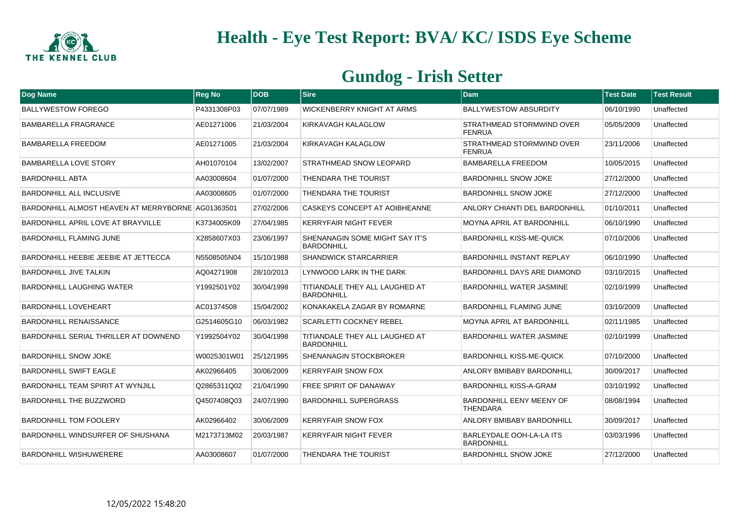

| Dog Name                                          | <b>Reg No</b> | <b>DOB</b> | <b>Sire</b>                                                | Dam                                                  | <b>Test Date</b> | <b>Test Result</b> |
|---------------------------------------------------|---------------|------------|------------------------------------------------------------|------------------------------------------------------|------------------|--------------------|
| <b>BALLYWESTOW FOREGO</b>                         | P4331308P03   | 07/07/1989 | WICKENBERRY KNIGHT AT ARMS                                 | <b>BALLYWESTOW ABSURDITY</b>                         | 06/10/1990       | Unaffected         |
| <b>BAMBARELLA FRAGRANCE</b>                       | AE01271006    | 21/03/2004 | KIRKAVAGH KALAGLOW                                         | <b>STRATHMEAD STORMWIND OVER</b><br><b>FENRUA</b>    | 05/05/2009       | Unaffected         |
| <b>BAMBARELLA FREEDOM</b>                         | AE01271005    | 21/03/2004 | KIRKAVAGH KALAGLOW                                         | STRATHMEAD STORMWIND OVER<br><b>FENRUA</b>           | 23/11/2006       | Unaffected         |
| <b>BAMBARELLA LOVE STORY</b>                      | AH01070104    | 13/02/2007 | <b>STRATHMEAD SNOW LEOPARD</b>                             | <b>BAMBARELLA FREEDOM</b>                            | 10/05/2015       | Unaffected         |
| <b>BARDONHILL ABTA</b>                            | AA03008604    | 01/07/2000 | <b>THENDARA THE TOURIST</b>                                | <b>BARDONHILL SNOW JOKE</b>                          | 27/12/2000       | Unaffected         |
| <b>BARDONHILL ALL INCLUSIVE</b>                   | AA03008605    | 01/07/2000 | <b>THENDARA THE TOURIST</b>                                | BARDONHILL SNOW JOKE                                 | 27/12/2000       | Unaffected         |
| BARDONHILL ALMOST HEAVEN AT MERRYBORNE AG01363501 |               | 27/02/2006 | <b>CASKEYS CONCEPT AT AOIBHEANNE</b>                       | <b>ANLORY CHIANTI DEL BARDONHILL</b>                 | 01/10/2011       | Unaffected         |
| BARDONHILL APRIL LOVE AT BRAYVILLE                | K3734005K09   | 27/04/1985 | <b>KERRYFAIR NIGHT FEVER</b>                               | <b>MOYNA APRIL AT BARDONHILL</b>                     | 06/10/1990       | Unaffected         |
| <b>BARDONHILL FLAMING JUNE</b>                    | X2858607X03   | 23/06/1997 | <b>SHENANAGIN SOME MIGHT SAY IT'S</b><br><b>BARDONHILL</b> | <b>BARDONHILL KISS-ME-QUICK</b>                      | 07/10/2006       | Unaffected         |
| BARDONHILL HEEBIE JEEBIE AT JETTECCA              | N5508505N04   | 15/10/1988 | <b>SHANDWICK STARCARRIER</b>                               | <b>BARDONHILL INSTANT REPLAY</b>                     | 06/10/1990       | Unaffected         |
| <b>BARDONHILL JIVE TALKIN</b>                     | AQ04271908    | 28/10/2013 | LYNWOOD LARK IN THE DARK                                   | BARDONHILL DAYS ARE DIAMOND                          | 03/10/2015       | Unaffected         |
| <b>BARDONHILL LAUGHING WATER</b>                  | Y1992501Y02   | 30/04/1998 | TITIANDALE THEY ALL LAUGHED AT<br><b>BARDONHILL</b>        | <b>BARDONHILL WATER JASMINE</b>                      | 02/10/1999       | Unaffected         |
| <b>BARDONHILL LOVEHEART</b>                       | AC01374508    | 15/04/2002 | KONAKAKELA ZAGAR BY ROMARNE                                | <b>BARDONHILL FLAMING JUNE</b>                       | 03/10/2009       | Unaffected         |
| <b>BARDONHILL RENAISSANCE</b>                     | G2514605G10   | 06/03/1982 | <b>SCARLETTI COCKNEY REBEL</b>                             | <b>MOYNA APRIL AT BARDONHILL</b>                     | 02/11/1985       | Unaffected         |
| <b>BARDONHILL SERIAL THRILLER AT DOWNEND</b>      | Y1992504Y02   | 30/04/1998 | TITIANDALE THEY ALL LAUGHED AT<br><b>BARDONHILL</b>        | <b>BARDONHILL WATER JASMINE</b>                      | 02/10/1999       | Unaffected         |
| <b>BARDONHILL SNOW JOKE</b>                       | W0025301W01   | 25/12/1995 | <b>SHENANAGIN STOCKBROKER</b>                              | <b>BARDONHILL KISS-ME-QUICK</b>                      | 07/10/2000       | Unaffected         |
| <b>BARDONHILL SWIFT EAGLE</b>                     | AK02966405    | 30/06/2009 | <b>KERRYFAIR SNOW FOX</b>                                  | ANLORY BMIBABY BARDONHILL                            | 30/09/2017       | Unaffected         |
| <b>BARDONHILL TEAM SPIRIT AT WYNJILL</b>          | Q2865311Q02   | 21/04/1990 | <b>FREE SPIRIT OF DANAWAY</b>                              | <b>BARDONHILL KISS-A-GRAM</b>                        | 03/10/1992       | Unaffected         |
| <b>BARDONHILL THE BUZZWORD</b>                    | Q4507408Q03   | 24/07/1990 | <b>BARDONHILL SUPERGRASS</b>                               | <b>BARDONHILL EENY MEENY OF</b><br>THENDARA          | 08/08/1994       | Unaffected         |
| <b>BARDONHILL TOM FOOLERY</b>                     | AK02966402    | 30/06/2009 | <b>KERRYFAIR SNOW FOX</b>                                  | ANLORY BMIBABY BARDONHILL                            | 30/09/2017       | Unaffected         |
| BARDONHILL WINDSURFER OF SHUSHANA                 | M2173713M02   | 20/03/1987 | <b>KERRYFAIR NIGHT FEVER</b>                               | <b>BARLEYDALE OOH-LA-LA ITS</b><br><b>BARDONHILL</b> | 03/03/1996       | Unaffected         |
| <b>BARDONHILL WISHUWERERE</b>                     | AA03008607    | 01/07/2000 | THENDARA THE TOURIST                                       | <b>BARDONHILL SNOW JOKE</b>                          | 27/12/2000       | Unaffected         |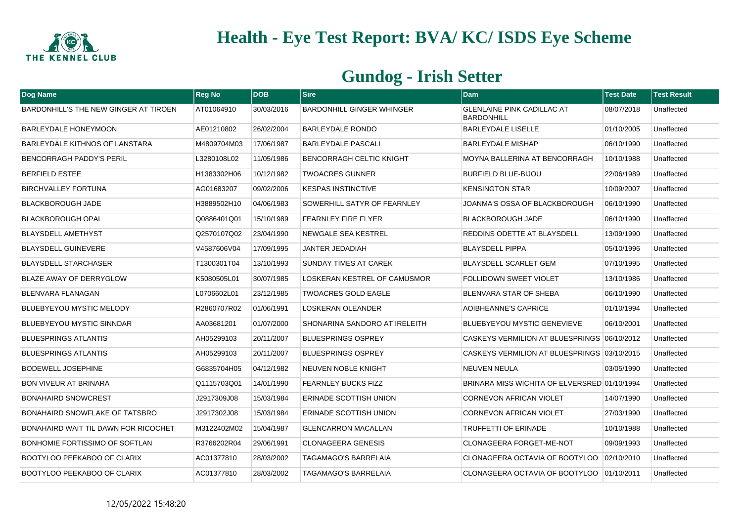

| Dog Name                              | <b>Reg No</b> | <b>DOB</b> | <b>Sire</b>                      | <b>Dam</b>                                             | <b>Test Date</b> | <b>Test Result</b> |
|---------------------------------------|---------------|------------|----------------------------------|--------------------------------------------------------|------------------|--------------------|
| BARDONHILL'S THE NEW GINGER AT TIROEN | AT01064910    | 30/03/2016 | <b>BARDONHILL GINGER WHINGER</b> | <b>GLENLAINE PINK CADILLAC AT</b><br><b>BARDONHILL</b> | 08/07/2018       | Unaffected         |
| BARLEYDALE HONEYMOON                  | AE01210802    | 26/02/2004 | <b>BARLEYDALE RONDO</b>          | <b>BARLEYDALE LISELLE</b>                              | 01/10/2005       | Unaffected         |
| BARLEYDALE KITHNOS OF LANSTARA        | M4809704M03   | 17/06/1987 | <b>BARLEYDALE PASCALI</b>        | <b>BARLEYDALE MISHAP</b>                               | 06/10/1990       | Unaffected         |
| <b>BENCORRAGH PADDY'S PERIL</b>       | L3280108L02   | 11/05/1986 | <b>BENCORRAGH CELTIC KNIGHT</b>  | MOYNA BALLERINA AT BENCORRAGH                          | 10/10/1988       | Unaffected         |
| <b>BERFIELD ESTEE</b>                 | H1383302H06   | 10/12/1982 | <b>TWOACRES GUNNER</b>           | BURFIELD BLUE-BIJOU                                    | 22/06/1989       | Unaffected         |
| <b>BIRCHVALLEY FORTUNA</b>            | AG01683207    | 09/02/2006 | <b>KESPAS INSTINCTIVE</b>        | <b>KENSINGTON STAR</b>                                 | 10/09/2007       | Unaffected         |
| <b>BLACKBOROUGH JADE</b>              | H3889502H10   | 04/06/1983 | SOWERHILL SATYR OF FEARNLEY      | JOANMA'S OSSA OF BLACKBOROUGH                          | 06/10/1990       | Unaffected         |
| <b>BLACKBOROUGH OPAL</b>              | Q0886401Q01   | 15/10/1989 | <b>FEARNLEY FIRE FLYER</b>       | <b>BLACKBOROUGH JADE</b>                               | 06/10/1990       | Unaffected         |
| <b>BLAYSDELL AMETHYST</b>             | Q2570107Q02   | 23/04/1990 | NEWGALE SEA KESTREL              | REDDINS ODETTE AT BLAYSDELL                            | 13/09/1990       | Unaffected         |
| <b>BLAYSDELL GUINEVERE</b>            | V4587606V04   | 17/09/1995 | <b>JANTER JEDADIAH</b>           | <b>BLAYSDELL PIPPA</b>                                 | 05/10/1996       | Unaffected         |
| <b>BLAYSDELL STARCHASER</b>           | T1300301T04   | 13/10/1993 | SUNDAY TIMES AT CAREK            | <b>BLAYSDELL SCARLET GEM</b>                           | 07/10/1995       | Unaffected         |
| BLAZE AWAY OF DERRYGLOW               | K5080505L01   | 30/07/1985 | LOSKERAN KESTREL OF CAMUSMOR     | <b>FOLLIDOWN SWEET VIOLET</b>                          | 13/10/1986       | Unaffected         |
| BLENVARA FLANAGAN                     | L0706602L01   | 23/12/1985 | <b>TWOACRES GOLD EAGLE</b>       | <b>BLENVARA STAR OF SHEBA</b>                          | 06/10/1990       | Unaffected         |
| <b>BLUEBYEYOU MYSTIC MELODY</b>       | R2860707R02   | 01/06/1991 | <b>LOSKERAN OLEANDER</b>         | <b>AOIBHEANNE'S CAPRICE</b>                            | 01/10/1994       | Unaffected         |
| <b>BLUEBYEYOU MYSTIC SINNDAR</b>      | AA03681201    | 01/07/2000 | SHONARINA SANDORO AT IRELEITH    | <b>BLUEBYEYOU MYSTIC GENEVIEVE</b>                     | 06/10/2001       | Unaffected         |
| <b>BLUESPRINGS ATLANTIS</b>           | AH05299103    | 20/11/2007 | <b>BLUESPRINGS OSPREY</b>        | CASKEYS VERMILION AT BLUESPRINGS 06/10/2012            |                  | Unaffected         |
| <b>BLUESPRINGS ATLANTIS</b>           | AH05299103    | 20/11/2007 | <b>BLUESPRINGS OSPREY</b>        | CASKEYS VERMILION AT BLUESPRINGS 03/10/2015            |                  | Unaffected         |
| <b>BODEWELL JOSEPHINE</b>             | G6835704H05   | 04/12/1982 | NEUVEN NOBLE KNIGHT              | <b>NEUVEN NEULA</b>                                    | 03/05/1990       | Unaffected         |
| <b>BON VIVEUR AT BRINARA</b>          | Q1115703Q01   | 14/01/1990 | <b>FEARNLEY BUCKS FIZZ</b>       | BRINARA MISS WICHITA OF ELVERSRED 01/10/1994           |                  | Unaffected         |
| <b>BONAHAIRD SNOWCREST</b>            | J2917309J08   | 15/03/1984 | <b>ERINADE SCOTTISH UNION</b>    | <b>CORNEVON AFRICAN VIOLET</b>                         | 14/07/1990       | Unaffected         |
| BONAHAIRD SNOWFLAKE OF TATSBRO        | J2917302J08   | 15/03/1984 | <b>ERINADE SCOTTISH UNION</b>    | CORNEVON AFRICAN VIOLET                                | 27/03/1990       | Unaffected         |
| BONAHAIRD WAIT TIL DAWN FOR RICOCHET  | M3122402M02   | 15/04/1987 | <b>GLENCARRON MACALLAN</b>       | <b>TRUFFETTI OF ERINADE</b>                            | 10/10/1988       | Unaffected         |
| BONHOMIE FORTISSIMO OF SOFTLAN        | R3766202R04   | 29/06/1991 | <b>CLONAGEERA GENESIS</b>        | CLONAGEERA FORGET-ME-NOT                               | 09/09/1993       | Unaffected         |
| <b>BOOTYLOO PEEKABOO OF CLARIX</b>    | AC01377810    | 28/03/2002 | <b>TAGAMAGO'S BARRELAIA</b>      | CLONAGEERA OCTAVIA OF BOOTYLOO                         | 02/10/2010       | Unaffected         |
| <b>BOOTYLOO PEEKABOO OF CLARIX</b>    | AC01377810    | 28/03/2002 | TAGAMAGO'S BARRELAIA             | CLONAGEERA OCTAVIA OF BOOTYLOO 01/10/2011              |                  | Unaffected         |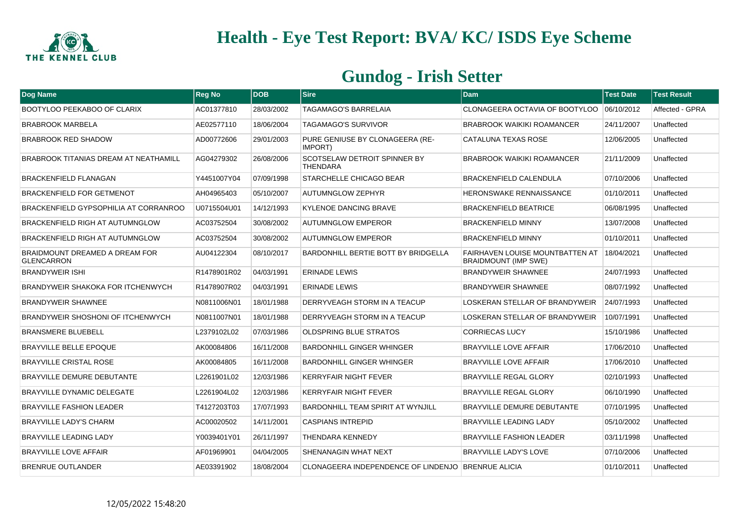

| Dog Name                                                   | <b>Reg No</b> | <b>DOB</b> | <b>Sire</b>                                            | <b>Dam</b>                                                     | <b>Test Date</b> | <b>Test Result</b> |
|------------------------------------------------------------|---------------|------------|--------------------------------------------------------|----------------------------------------------------------------|------------------|--------------------|
| BOOTYLOO PEEKABOO OF CLARIX                                | AC01377810    | 28/03/2002 | TAGAMAGO'S BARRELAIA                                   | CLONAGEERA OCTAVIA OF BOOTYLOO 06/10/2012                      |                  | Affected - GPRA    |
| <b>BRABROOK MARBELA</b>                                    | AE02577110    | 18/06/2004 | <b>TAGAMAGO'S SURVIVOR</b>                             | <b>BRABROOK WAIKIKI ROAMANCER</b>                              | 24/11/2007       | Unaffected         |
| <b>BRABROOK RED SHADOW</b>                                 | AD00772606    | 29/01/2003 | PURE GENIUSE BY CLONAGEERA (RE-<br>IMPORT)             | CATALUNA TEXAS ROSE                                            | 12/06/2005       | Unaffected         |
| <b>BRABROOK TITANIAS DREAM AT NEATHAMILL</b>               | AG04279302    | 26/08/2006 | <b>SCOTSELAW DETROIT SPINNER BY</b><br><b>THENDARA</b> | <b>BRABROOK WAIKIKI ROAMANCER</b>                              | 21/11/2009       | Unaffected         |
| <b>BRACKENFIELD FLANAGAN</b>                               | Y4451007Y04   | 07/09/1998 | <b>STARCHELLE CHICAGO BEAR</b>                         | BRACKENFIELD CALENDULA                                         | 07/10/2006       | Unaffected         |
| <b>BRACKENFIELD FOR GETMENOT</b>                           | AH04965403    | 05/10/2007 | <b>AUTUMNGLOW ZEPHYR</b>                               | <b>HERONSWAKE RENNAISSANCE</b>                                 | 01/10/2011       | Unaffected         |
| BRACKENFIELD GYPSOPHILIA AT CORRANROO                      | U0715504U01   | 14/12/1993 | <b>KYLENOE DANCING BRAVE</b>                           | <b>BRACKENFIELD BEATRICE</b>                                   | 06/08/1995       | Unaffected         |
| BRACKENFIELD RIGH AT AUTUMNGLOW                            | AC03752504    | 30/08/2002 | <b>AUTUMNGLOW EMPEROR</b>                              | <b>BRACKENFIELD MINNY</b>                                      | 13/07/2008       | Unaffected         |
| BRACKENFIELD RIGH AT AUTUMNGLOW                            | AC03752504    | 30/08/2002 | <b>AUTUMNGLOW EMPEROR</b>                              | <b>BRACKENFIELD MINNY</b>                                      | 01/10/2011       | Unaffected         |
| <b>BRAIDMOUNT DREAMED A DREAM FOR</b><br><b>GLENCARRON</b> | AU04122304    | 08/10/2017 | <b>BARDONHILL BERTIE BOTT BY BRIDGELLA</b>             | FAIRHAVEN LOUISE MOUNTBATTEN AT<br><b>BRAIDMOUNT (IMP SWE)</b> | 18/04/2021       | Unaffected         |
| <b>BRANDYWEIR ISHI</b>                                     | R1478901R02   | 04/03/1991 | <b>ERINADE LEWIS</b>                                   | <b>BRANDYWEIR SHAWNEE</b>                                      | 24/07/1993       | Unaffected         |
| BRANDYWEIR SHAKOKA FOR ITCHENWYCH                          | R1478907R02   | 04/03/1991 | <b>ERINADE LEWIS</b>                                   | <b>BRANDYWEIR SHAWNEE</b>                                      | 08/07/1992       | Unaffected         |
| <b>BRANDYWEIR SHAWNEE</b>                                  | N0811006N01   | 18/01/1988 | DERRYVEAGH STORM IN A TEACUP                           | LOSKERAN STELLAR OF BRANDYWEIR                                 | 24/07/1993       | Unaffected         |
| <b>BRANDYWEIR SHOSHONI OF ITCHENWYCH</b>                   | N0811007N01   | 18/01/1988 | DERRYVEAGH STORM IN A TEACUP                           | LOSKERAN STELLAR OF BRANDYWEIR                                 | 10/07/1991       | Unaffected         |
| <b>BRANSMERE BLUEBELL</b>                                  | L2379102L02   | 07/03/1986 | <b>OLDSPRING BLUE STRATOS</b>                          | <b>CORRIECAS LUCY</b>                                          | 15/10/1986       | Unaffected         |
| <b>BRAYVILLE BELLE EPOQUE</b>                              | AK00084806    | 16/11/2008 | <b>BARDONHILL GINGER WHINGER</b>                       | <b>BRAYVILLE LOVE AFFAIR</b>                                   | 17/06/2010       | Unaffected         |
| <b>BRAYVILLE CRISTAL ROSE</b>                              | AK00084805    | 16/11/2008 | <b>BARDONHILL GINGER WHINGER</b>                       | <b>BRAYVILLE LOVE AFFAIR</b>                                   | 17/06/2010       | Unaffected         |
| <b>BRAYVILLE DEMURE DEBUTANTE</b>                          | L2261901L02   | 12/03/1986 | <b>KERRYFAIR NIGHT FEVER</b>                           | <b>BRAYVILLE REGAL GLORY</b>                                   | 02/10/1993       | Unaffected         |
| <b>BRAYVILLE DYNAMIC DELEGATE</b>                          | L2261904L02   | 12/03/1986 | <b>KERRYFAIR NIGHT FEVER</b>                           | <b>BRAYVILLE REGAL GLORY</b>                                   | 06/10/1990       | Unaffected         |
| <b>BRAYVILLE FASHION LEADER</b>                            | T4127203T03   | 17/07/1993 | <b>BARDONHILL TEAM SPIRIT AT WYNJILL</b>               | <b>BRAYVILLE DEMURE DEBUTANTE</b>                              | 07/10/1995       | Unaffected         |
| <b>BRAYVILLE LADY'S CHARM</b>                              | AC00020502    | 14/11/2001 | <b>CASPIANS INTREPID</b>                               | <b>BRAYVILLE LEADING LADY</b>                                  | 05/10/2002       | Unaffected         |
| <b>BRAYVILLE LEADING LADY</b>                              | Y0039401Y01   | 26/11/1997 | THENDARA KENNEDY                                       | <b>BRAYVILLE FASHION LEADER</b>                                | 03/11/1998       | Unaffected         |
| <b>BRAYVILLE LOVE AFFAIR</b>                               | AF01969901    | 04/04/2005 | SHENANAGIN WHAT NEXT                                   | <b>BRAYVILLE LADY'S LOVE</b>                                   | 07/10/2006       | Unaffected         |
| <b>BRENRUE OUTLANDER</b>                                   | AE03391902    | 18/08/2004 | CLONAGEERA INDEPENDENCE OF LINDENJO BRENRUE ALICIA     |                                                                | 01/10/2011       | Unaffected         |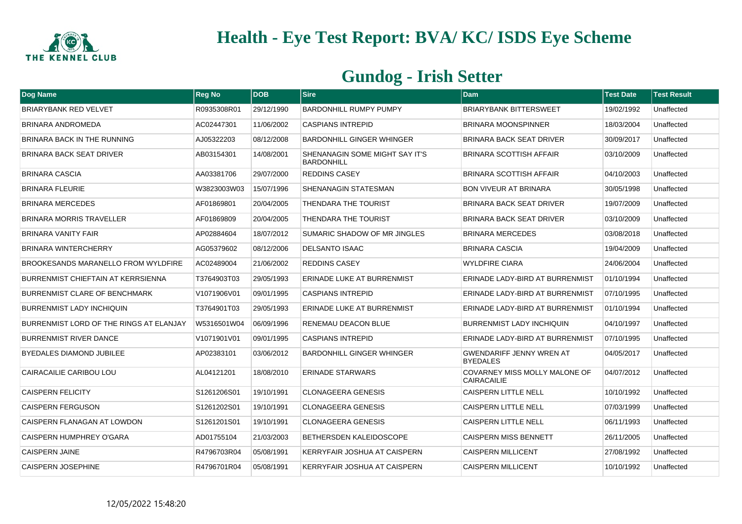

| Dog Name                                  | <b>Reg No</b> | <b>DOB</b> | <b>Sire</b>                                         | Dam                                                | <b>Test Date</b> | <b>Test Result</b> |
|-------------------------------------------|---------------|------------|-----------------------------------------------------|----------------------------------------------------|------------------|--------------------|
| <b>BRIARYBANK RED VELVET</b>              | R0935308R01   | 29/12/1990 | <b>BARDONHILL RUMPY PUMPY</b>                       | <b>BRIARYBANK BITTERSWEET</b>                      | 19/02/1992       | Unaffected         |
| <b>BRINARA ANDROMEDA</b>                  | AC02447301    | 11/06/2002 | <b>CASPIANS INTREPID</b>                            | <b>BRINARA MOONSPINNER</b>                         | 18/03/2004       | Unaffected         |
| <b>BRINARA BACK IN THE RUNNING</b>        | AJ05322203    | 08/12/2008 | <b>BARDONHILL GINGER WHINGER</b>                    | <b>BRINARA BACK SEAT DRIVER</b>                    | 30/09/2017       | Unaffected         |
| <b>BRINARA BACK SEAT DRIVER</b>           | AB03154301    | 14/08/2001 | SHENANAGIN SOME MIGHT SAY IT'S<br><b>BARDONHILL</b> | <b>BRINARA SCOTTISH AFFAIR</b>                     | 03/10/2009       | Unaffected         |
| BRINARA CASCIA                            | AA03381706    | 29/07/2000 | <b>REDDINS CASEY</b>                                | BRINARA SCOTTISH AFFAIR                            | 04/10/2003       | Unaffected         |
| <b>BRINARA FLEURIE</b>                    | W3823003W03   | 15/07/1996 | SHENANAGIN STATESMAN                                | <b>BON VIVEUR AT BRINARA</b>                       | 30/05/1998       | Unaffected         |
| <b>BRINARA MERCEDES</b>                   | AF01869801    | 20/04/2005 | THENDARA THE TOURIST                                | BRINARA BACK SEAT DRIVER                           | 19/07/2009       | Unaffected         |
| <b>BRINARA MORRIS TRAVELLER</b>           | AF01869809    | 20/04/2005 | THENDARA THE TOURIST                                | BRINARA BACK SEAT DRIVER                           | 03/10/2009       | Unaffected         |
| <b>BRINARA VANITY FAIR</b>                | AP02884604    | 18/07/2012 | SUMARIC SHADOW OF MR JINGLES                        | <b>BRINARA MERCEDES</b>                            | 03/08/2018       | Unaffected         |
| <b>BRINARA WINTERCHERRY</b>               | AG05379602    | 08/12/2006 | <b>DELSANTO ISAAC</b>                               | <b>BRINARA CASCIA</b>                              | 19/04/2009       | Unaffected         |
| BROOKESANDS MARANELLO FROM WYLDFIRE       | AC02489004    | 21/06/2002 | <b>REDDINS CASEY</b>                                | <b>WYLDFIRE CIARA</b>                              | 24/06/2004       | Unaffected         |
| <b>BURRENMIST CHIEFTAIN AT KERRSIENNA</b> | T3764903T03   | 29/05/1993 | <b>ERINADE LUKE AT BURRENMIST</b>                   | ERINADE LADY-BIRD AT BURRENMIST                    | 01/10/1994       | Unaffected         |
| <b>BURRENMIST CLARE OF BENCHMARK</b>      | V1071906V01   | 09/01/1995 | <b>CASPIANS INTREPID</b>                            | ERINADE LADY-BIRD AT BURRENMIST                    | 07/10/1995       | Unaffected         |
| <b>BURRENMIST LADY INCHIQUIN</b>          | T3764901T03   | 29/05/1993 | <b>ERINADE LUKE AT BURRENMIST</b>                   | ERINADE LADY-BIRD AT BURRENMIST                    | 01/10/1994       | Unaffected         |
| BURRENMIST LORD OF THE RINGS AT ELANJAY   | W5316501W04   | 06/09/1996 | RENEMAU DEACON BLUE                                 | <b>BURRENMIST LADY INCHIQUIN</b>                   | 04/10/1997       | Unaffected         |
| <b>BURRENMIST RIVER DANCE</b>             | V1071901V01   | 09/01/1995 | <b>CASPIANS INTREPID</b>                            | ERINADE LADY-BIRD AT BURRENMIST                    | 07/10/1995       | Unaffected         |
| <b>BYEDALES DIAMOND JUBILEE</b>           | AP02383101    | 03/06/2012 | <b>BARDONHILL GINGER WHINGER</b>                    | <b>GWENDARIFF JENNY WREN AT</b><br><b>BYEDALES</b> | 04/05/2017       | Unaffected         |
| CAIRACAILIE CARIBOU LOU                   | AL04121201    | 18/08/2010 | <b>ERINADE STARWARS</b>                             | COVARNEY MISS MOLLY MALONE OF<br>CAIRACAILIE       | 04/07/2012       | Unaffected         |
| <b>CAISPERN FELICITY</b>                  | S1261206S01   | 19/10/1991 | CLONAGEERA GENESIS                                  | <b>CAISPERN LITTLE NELL</b>                        | 10/10/1992       | Unaffected         |
| <b>CAISPERN FERGUSON</b>                  | S1261202S01   | 19/10/1991 | <b>CLONAGEERA GENESIS</b>                           | <b>CAISPERN LITTLE NELL</b>                        | 07/03/1999       | Unaffected         |
| CAISPERN FLANAGAN AT LOWDON               | S1261201S01   | 19/10/1991 | <b>CLONAGEERA GENESIS</b>                           | <b>CAISPERN LITTLE NELL</b>                        | 06/11/1993       | Unaffected         |
| CAISPERN HUMPHREY O'GARA                  | AD01755104    | 21/03/2003 | BETHERSDEN KALEIDOSCOPE                             | <b>CAISPERN MISS BENNETT</b>                       | 26/11/2005       | Unaffected         |
| CAISPERN JAINE                            | R4796703R04   | 05/08/1991 | KERRYFAIR JOSHUA AT CAISPERN                        | <b>CAISPERN MILLICENT</b>                          | 27/08/1992       | Unaffected         |
| <b>CAISPERN JOSEPHINE</b>                 | R4796701R04   | 05/08/1991 | <b>KERRYFAIR JOSHUA AT CAISPERN</b>                 | <b>CAISPERN MILLICENT</b>                          | 10/10/1992       | Unaffected         |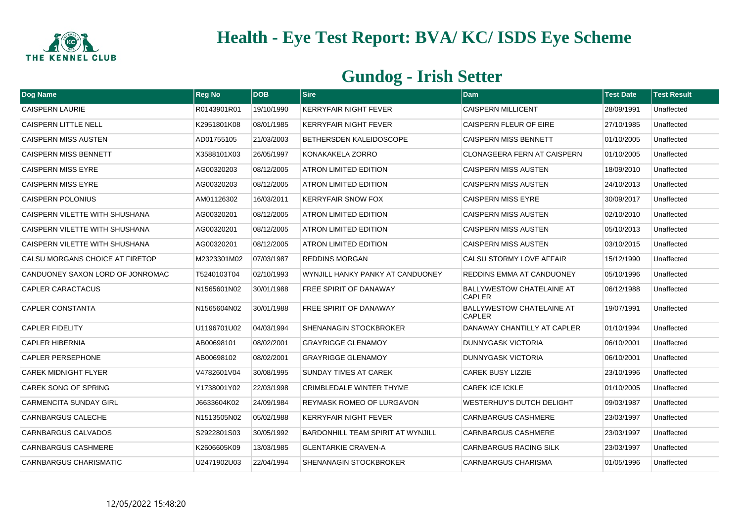

| Dog Name                         | <b>Reg No</b> | <b>DOB</b> | <b>Sire</b>                       | <b>Dam</b>                                        | <b>Test Date</b> | <b>Test Result</b> |
|----------------------------------|---------------|------------|-----------------------------------|---------------------------------------------------|------------------|--------------------|
| <b>CAISPERN LAURIE</b>           | R0143901R01   | 19/10/1990 | <b>KERRYFAIR NIGHT FEVER</b>      | <b>CAISPERN MILLICENT</b>                         | 28/09/1991       | Unaffected         |
| <b>CAISPERN LITTLE NELL</b>      | K2951801K08   | 08/01/1985 | KERRYFAIR NIGHT FEVER             | CAISPERN FLEUR OF EIRE                            | 27/10/1985       | Unaffected         |
| <b>CAISPERN MISS AUSTEN</b>      | AD01755105    | 21/03/2003 | <b>BETHERSDEN KALEIDOSCOPE</b>    | <b>CAISPERN MISS BENNETT</b>                      | 01/10/2005       | Unaffected         |
| <b>CAISPERN MISS BENNETT</b>     | X3588101X03   | 26/05/1997 | KONAKAKELA ZORRO                  | <b>CLONAGEERA FERN AT CAISPERN</b>                | 01/10/2005       | Unaffected         |
| <b>CAISPERN MISS EYRE</b>        | AG00320203    | 08/12/2005 | <b>ATRON LIMITED EDITION</b>      | <b>CAISPERN MISS AUSTEN</b>                       | 18/09/2010       | Unaffected         |
| <b>CAISPERN MISS EYRE</b>        | AG00320203    | 08/12/2005 | <b>ATRON LIMITED EDITION</b>      | <b>CAISPERN MISS AUSTEN</b>                       | 24/10/2013       | Unaffected         |
| <b>CAISPERN POLONIUS</b>         | AM01126302    | 16/03/2011 | <b>KERRYFAIR SNOW FOX</b>         | <b>CAISPERN MISS EYRE</b>                         | 30/09/2017       | Unaffected         |
| CAISPERN VILETTE WITH SHUSHANA   | AG00320201    | 08/12/2005 | <b>ATRON LIMITED EDITION</b>      | <b>CAISPERN MISS AUSTEN</b>                       | 02/10/2010       | Unaffected         |
| CAISPERN VILETTE WITH SHUSHANA   | AG00320201    | 08/12/2005 | <b>ATRON LIMITED EDITION</b>      | <b>CAISPERN MISS AUSTEN</b>                       | 05/10/2013       | Unaffected         |
| CAISPERN VILETTE WITH SHUSHANA   | AG00320201    | 08/12/2005 | ATRON LIMITED EDITION             | <b>CAISPERN MISS AUSTEN</b>                       | 03/10/2015       | Unaffected         |
| CALSU MORGANS CHOICE AT FIRETOP  | M2323301M02   | 07/03/1987 | <b>REDDINS MORGAN</b>             | CALSU STORMY LOVE AFFAIR                          | 15/12/1990       | Unaffected         |
| CANDUONEY SAXON LORD OF JONROMAC | T5240103T04   | 02/10/1993 | WYNJILL HANKY PANKY AT CANDUONEY  | REDDINS EMMA AT CANDUONEY                         | 05/10/1996       | Unaffected         |
| <b>CAPLER CARACTACUS</b>         | N1565601N02   | 30/01/1988 | <b>FREE SPIRIT OF DANAWAY</b>     | <b>BALLYWESTOW CHATELAINE AT</b><br><b>CAPLER</b> | 06/12/1988       | Unaffected         |
| <b>CAPLER CONSTANTA</b>          | N1565604N02   | 30/01/1988 | <b>FREE SPIRIT OF DANAWAY</b>     | <b>BALLYWESTOW CHATELAINE AT</b><br><b>CAPLER</b> | 19/07/1991       | Unaffected         |
| <b>CAPLER FIDELITY</b>           | U1196701U02   | 04/03/1994 | SHENANAGIN STOCKBROKER            | DANAWAY CHANTILLY AT CAPLER                       | 01/10/1994       | Unaffected         |
| <b>CAPLER HIBERNIA</b>           | AB00698101    | 08/02/2001 | <b>GRAYRIGGE GLENAMOY</b>         | <b>DUNNYGASK VICTORIA</b>                         | 06/10/2001       | Unaffected         |
| <b>CAPLER PERSEPHONE</b>         | AB00698102    | 08/02/2001 | <b>GRAYRIGGE GLENAMOY</b>         | <b>DUNNYGASK VICTORIA</b>                         | 06/10/2001       | Unaffected         |
| <b>CAREK MIDNIGHT FLYER</b>      | V4782601V04   | 30/08/1995 | <b>SUNDAY TIMES AT CAREK</b>      | <b>CAREK BUSY LIZZIE</b>                          | 23/10/1996       | Unaffected         |
| CAREK SONG OF SPRING             | Y1738001Y02   | 22/03/1998 | CRIMBLEDALE WINTER THYME          | <b>CAREK ICE ICKLE</b>                            | 01/10/2005       | Unaffected         |
| <b>CARMENCITA SUNDAY GIRL</b>    | J6633604K02   | 24/09/1984 | <b>REYMASK ROMEO OF LURGAVON</b>  | WESTERHUY'S DUTCH DELIGHT                         | 09/03/1987       | Unaffected         |
| CARNBARGUS CALECHE               | N1513505N02   | 05/02/1988 | <b>KERRYFAIR NIGHT FEVER</b>      | <b>CARNBARGUS CASHMERE</b>                        | 23/03/1997       | Unaffected         |
| <b>CARNBARGUS CALVADOS</b>       | S2922801S03   | 30/05/1992 | BARDONHILL TEAM SPIRIT AT WYNJILL | <b>CARNBARGUS CASHMERE</b>                        | 23/03/1997       | Unaffected         |
| <b>CARNBARGUS CASHMERE</b>       | K2606605K09   | 13/03/1985 | <b>GLENTARKIE CRAVEN-A</b>        | <b>CARNBARGUS RACING SILK</b>                     | 23/03/1997       | Unaffected         |
| CARNBARGUS CHARISMATIC           | U2471902U03   | 22/04/1994 | SHENANAGIN STOCKBROKER            | <b>CARNBARGUS CHARISMA</b>                        | 01/05/1996       | Unaffected         |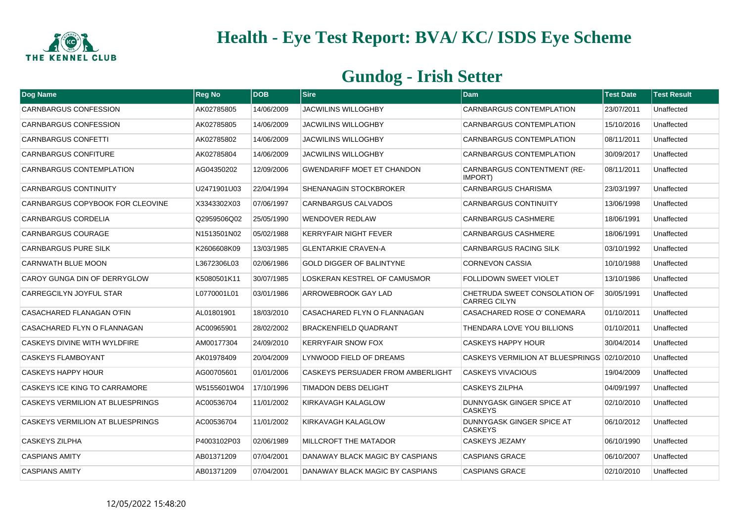

| Dog Name                         | <b>Reg No</b> | <b>DOB</b> | <b>Sire</b>                       | <b>Dam</b>                                           | <b>Test Date</b> | <b>Test Result</b> |
|----------------------------------|---------------|------------|-----------------------------------|------------------------------------------------------|------------------|--------------------|
| CARNBARGUS CONFESSION            | AK02785805    | 14/06/2009 | <b>JACWILINS WILLOGHBY</b>        | CARNBARGUS CONTEMPLATION                             | 23/07/2011       | Unaffected         |
| <b>CARNBARGUS CONFESSION</b>     | AK02785805    | 14/06/2009 | <b>JACWILINS WILLOGHBY</b>        | <b>CARNBARGUS CONTEMPLATION</b>                      | 15/10/2016       | Unaffected         |
| CARNBARGUS CONFETTI              | AK02785802    | 14/06/2009 | <b>JACWILINS WILLOGHBY</b>        | CARNBARGUS CONTEMPLATION                             | 08/11/2011       | Unaffected         |
| <b>CARNBARGUS CONFITURE</b>      | AK02785804    | 14/06/2009 | <b>JACWILINS WILLOGHBY</b>        | <b>CARNBARGUS CONTEMPLATION</b>                      | 30/09/2017       | Unaffected         |
| CARNBARGUS CONTEMPLATION         | AG04350202    | 12/09/2006 | <b>GWENDARIFF MOET ET CHANDON</b> | <b>CARNBARGUS CONTENTMENT (RE-</b><br>IMPORT)        | 08/11/2011       | Unaffected         |
| <b>CARNBARGUS CONTINUITY</b>     | U2471901U03   | 22/04/1994 | <b>SHENANAGIN STOCKBROKER</b>     | <b>CARNBARGUS CHARISMA</b>                           | 23/03/1997       | Unaffected         |
| CARNBARGUS COPYBOOK FOR CLEOVINE | X3343302X03   | 07/06/1997 | CARNBARGUS CALVADOS               | <b>CARNBARGUS CONTINUITY</b>                         | 13/06/1998       | Unaffected         |
| <b>CARNBARGUS CORDELIA</b>       | Q2959506Q02   | 25/05/1990 | <b>WENDOVER REDLAW</b>            | <b>CARNBARGUS CASHMERE</b>                           | 18/06/1991       | Unaffected         |
| <b>CARNBARGUS COURAGE</b>        | N1513501N02   | 05/02/1988 | <b>KERRYFAIR NIGHT FEVER</b>      | <b>CARNBARGUS CASHMERE</b>                           | 18/06/1991       | Unaffected         |
| <b>CARNBARGUS PURE SILK</b>      | K2606608K09   | 13/03/1985 | <b>GLENTARKIE CRAVEN-A</b>        | <b>CARNBARGUS RACING SILK</b>                        | 03/10/1992       | Unaffected         |
| CARNWATH BLUE MOON               | L3672306L03   | 02/06/1986 | <b>GOLD DIGGER OF BALINTYNE</b>   | <b>CORNEVON CASSIA</b>                               | 10/10/1988       | Unaffected         |
| CAROY GUNGA DIN OF DERRYGLOW     | K5080501K11   | 30/07/1985 | LOSKERAN KESTREL OF CAMUSMOR      | FOLLIDOWN SWEET VIOLET                               | 13/10/1986       | Unaffected         |
| CARREGCILYN JOYFUL STAR          | L0770001L01   | 03/01/1986 | ARROWEBROOK GAY LAD               | CHETRUDA SWEET CONSOLATION OF<br><b>CARREG CILYN</b> | 30/05/1991       | Unaffected         |
| CASACHARED FLANAGAN O'FIN        | AL01801901    | 18/03/2010 | CASACHARED FLYN O FLANNAGAN       | CASACHARED ROSE O' CONEMARA                          | 01/10/2011       | Unaffected         |
| CASACHARED FLYN O FLANNAGAN      | AC00965901    | 28/02/2002 | <b>BRACKENFIELD QUADRANT</b>      | THENDARA LOVE YOU BILLIONS                           | 01/10/2011       | Unaffected         |
| CASKEYS DIVINE WITH WYLDFIRE     | AM00177304    | 24/09/2010 | <b>KERRYFAIR SNOW FOX</b>         | <b>CASKEYS HAPPY HOUR</b>                            | 30/04/2014       | Unaffected         |
| <b>CASKEYS FLAMBOYANT</b>        | AK01978409    | 20/04/2009 | LYNWOOD FIELD OF DREAMS           | CASKEYS VERMILION AT BLUESPRINGS 02/10/2010          |                  | Unaffected         |
| <b>CASKEYS HAPPY HOUR</b>        | AG00705601    | 01/01/2006 | CASKEYS PERSUADER FROM AMBERLIGHT | <b>CASKEYS VIVACIOUS</b>                             | 19/04/2009       | Unaffected         |
| CASKEYS ICE KING TO CARRAMORE    | W5155601W04   | 17/10/1996 | <b>TIMADON DEBS DELIGHT</b>       | <b>CASKEYS ZILPHA</b>                                | 04/09/1997       | Unaffected         |
| CASKEYS VERMILION AT BLUESPRINGS | AC00536704    | 11/01/2002 | KIRKAVAGH KALAGLOW                | DUNNYGASK GINGER SPICE AT<br><b>CASKEYS</b>          | 02/10/2010       | Unaffected         |
| CASKEYS VERMILION AT BLUESPRINGS | AC00536704    | 11/01/2002 | KIRKAVAGH KALAGLOW                | DUNNYGASK GINGER SPICE AT<br><b>CASKEYS</b>          | 06/10/2012       | Unaffected         |
| <b>CASKEYS ZILPHA</b>            | P4003102P03   | 02/06/1989 | <b>MILLCROFT THE MATADOR</b>      | <b>CASKEYS JEZAMY</b>                                | 06/10/1990       | Unaffected         |
| <b>CASPIANS AMITY</b>            | AB01371209    | 07/04/2001 | DANAWAY BLACK MAGIC BY CASPIANS   | <b>CASPIANS GRACE</b>                                | 06/10/2007       | Unaffected         |
| <b>CASPIANS AMITY</b>            | AB01371209    | 07/04/2001 | DANAWAY BLACK MAGIC BY CASPIANS   | <b>CASPIANS GRACE</b>                                | 02/10/2010       | Unaffected         |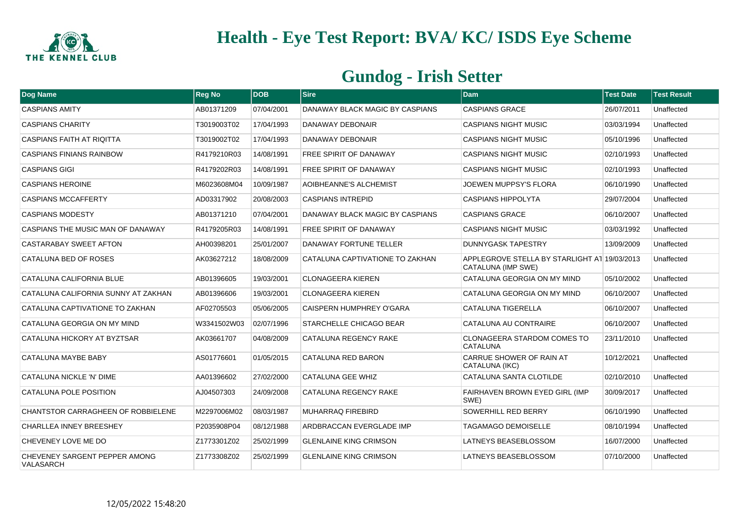

| Dog Name                                   | <b>Reg No</b> | <b>DOB</b> | <b>Sire</b>                     | <b>Dam</b>                                                         | <b>Test Date</b> | <b>Test Result</b> |
|--------------------------------------------|---------------|------------|---------------------------------|--------------------------------------------------------------------|------------------|--------------------|
| <b>CASPIANS AMITY</b>                      | AB01371209    | 07/04/2001 | DANAWAY BLACK MAGIC BY CASPIANS | <b>CASPIANS GRACE</b>                                              | 26/07/2011       | Unaffected         |
| <b>CASPIANS CHARITY</b>                    | T3019003T02   | 17/04/1993 | DANAWAY DEBONAIR                | <b>CASPIANS NIGHT MUSIC</b>                                        | 03/03/1994       | Unaffected         |
| <b>CASPIANS FAITH AT RIQITTA</b>           | T3019002T02   | 17/04/1993 | DANAWAY DEBONAIR                | <b>CASPIANS NIGHT MUSIC</b>                                        | 05/10/1996       | Unaffected         |
| <b>CASPIANS FINIANS RAINBOW</b>            | R4179210R03   | 14/08/1991 | <b>FREE SPIRIT OF DANAWAY</b>   | <b>CASPIANS NIGHT MUSIC</b>                                        | 02/10/1993       | Unaffected         |
| <b>CASPIANS GIGI</b>                       | R4179202R03   | 14/08/1991 | <b>FREE SPIRIT OF DANAWAY</b>   | <b>CASPIANS NIGHT MUSIC</b>                                        | 02/10/1993       | Unaffected         |
| <b>CASPIANS HEROINE</b>                    | M6023608M04   | 10/09/1987 | <b>AOIBHEANNE'S ALCHEMIST</b>   | <b>JOEWEN MUPPSY'S FLORA</b>                                       | 06/10/1990       | Unaffected         |
| <b>CASPIANS MCCAFFERTY</b>                 | AD03317902    | 20/08/2003 | <b>CASPIANS INTREPID</b>        | <b>CASPIANS HIPPOLYTA</b>                                          | 29/07/2004       | Unaffected         |
| <b>CASPIANS MODESTY</b>                    | AB01371210    | 07/04/2001 | DANAWAY BLACK MAGIC BY CASPIANS | <b>CASPIANS GRACE</b>                                              | 06/10/2007       | Unaffected         |
| CASPIANS THE MUSIC MAN OF DANAWAY          | R4179205R03   | 14/08/1991 | FREE SPIRIT OF DANAWAY          | <b>CASPIANS NIGHT MUSIC</b>                                        | 03/03/1992       | Unaffected         |
| CASTARABAY SWEET AFTON                     | AH00398201    | 25/01/2007 | DANAWAY FORTUNE TELLER          | DUNNYGASK TAPESTRY                                                 | 13/09/2009       | Unaffected         |
| CATALUNA BED OF ROSES                      | AK03627212    | 18/08/2009 | CATALUNA CAPTIVATIONE TO ZAKHAN | APPLEGROVE STELLA BY STARLIGHT AT 19/03/2013<br>CATALUNA (IMP SWE) |                  | Unaffected         |
| CATALUNA CALIFORNIA BLUE                   | AB01396605    | 19/03/2001 | <b>CLONAGEERA KIEREN</b>        | CATALUNA GEORGIA ON MY MIND                                        | 05/10/2002       | Unaffected         |
| CATALUNA CALIFORNIA SUNNY AT ZAKHAN        | AB01396606    | 19/03/2001 | <b>CLONAGEERA KIEREN</b>        | CATALUNA GEORGIA ON MY MIND                                        | 06/10/2007       | Unaffected         |
| CATALUNA CAPTIVATIONE TO ZAKHAN            | AF02705503    | 05/06/2005 | <b>CAISPERN HUMPHREY O'GARA</b> | <b>CATALUNA TIGERELLA</b>                                          | 06/10/2007       | Unaffected         |
| CATALUNA GEORGIA ON MY MIND                | W3341502W03   | 02/07/1996 | <b>STARCHELLE CHICAGO BEAR</b>  | CATALUNA AU CONTRAIRE                                              | 06/10/2007       | Unaffected         |
| CATALUNA HICKORY AT BYZTSAR                | AK03661707    | 04/08/2009 | CATALUNA REGENCY RAKE           | CLONAGEERA STARDOM COMES TO<br><b>CATALUNA</b>                     | 23/11/2010       | Unaffected         |
| CATALUNA MAYBE BABY                        | AS01776601    | 01/05/2015 | CATALUNA RED BARON              | <b>CARRUE SHOWER OF RAIN AT</b><br>CATALUNA (IKC)                  | 10/12/2021       | Unaffected         |
| CATALUNA NICKLE 'N' DIME                   | AA01396602    | 27/02/2000 | <b>CATALUNA GEE WHIZ</b>        | CATALUNA SANTA CLOTILDE                                            | 02/10/2010       | Unaffected         |
| CATALUNA POLE POSITION                     | AJ04507303    | 24/09/2008 | CATALUNA REGENCY RAKE           | FAIRHAVEN BROWN EYED GIRL (IMP<br>SWE)                             | 30/09/2017       | Unaffected         |
| <b>CHANTSTOR CARRAGHEEN OF ROBBIELENE</b>  | M2297006M02   | 08/03/1987 | MUHARRAQ FIREBIRD               | SOWERHILL RED BERRY                                                | 06/10/1990       | Unaffected         |
| <b>CHARLLEA INNEY BREESHEY</b>             | P2035908P04   | 08/12/1988 | ARDBRACCAN EVERGLADE IMP        | <b>TAGAMAGO DEMOISELLE</b>                                         | 08/10/1994       | Unaffected         |
| CHEVENEY LOVE ME DO                        | Z1773301Z02   | 25/02/1999 | <b>GLENLAINE KING CRIMSON</b>   | LATNEYS BEASEBLOSSOM                                               | 16/07/2000       | Unaffected         |
| CHEVENEY SARGENT PEPPER AMONG<br>VALASARCH | Z1773308Z02   | 25/02/1999 | <b>GLENLAINE KING CRIMSON</b>   | LATNEYS BEASEBLOSSOM                                               | 07/10/2000       | Unaffected         |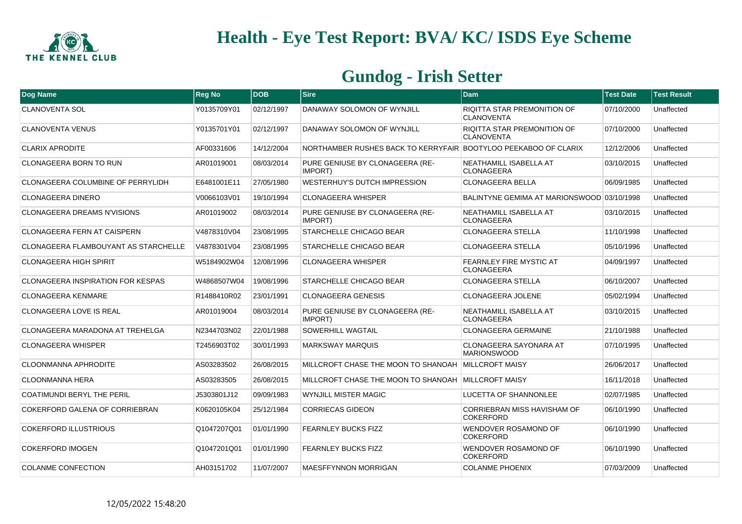

| Dog Name                                    | <b>Reg No</b> | <b>IDOB</b> | <b>Sire</b>                                                     | <b>Dam</b>                                              | <b>Test Date</b> | <b>Test Result</b> |
|---------------------------------------------|---------------|-------------|-----------------------------------------------------------------|---------------------------------------------------------|------------------|--------------------|
| <b>CLANOVENTA SOL</b>                       | Y0135709Y01   | 02/12/1997  | DANAWAY SOLOMON OF WYNJILL                                      | <b>RIQITTA STAR PREMONITION OF</b><br><b>CLANOVENTA</b> | 07/10/2000       | Unaffected         |
| <b>CLANOVENTA VENUS</b>                     | Y0135701Y01   | 02/12/1997  | DANAWAY SOLOMON OF WYNJILL                                      | <b>RIQITTA STAR PREMONITION OF</b><br><b>CLANOVENTA</b> | 07/10/2000       | Unaffected         |
| <b>CLARIX APRODITE</b>                      | AF00331606    | 14/12/2004  | NORTHAMBER RUSHES BACK TO KERRYFAIR BOOTYLOO PEEKABOO OF CLARIX |                                                         | 12/12/2006       | Unaffected         |
| CLONAGEERA BORN TO RUN                      | AR01019001    | 08/03/2014  | PURE GENIUSE BY CLONAGEERA (RE-<br>IMPORT)                      | NEATHAMILL ISABELLA AT<br><b>CLONAGEERA</b>             | 03/10/2015       | Unaffected         |
| <b>CLONAGEERA COLUMBINE OF PERRYLIDH</b>    | E6481001E11   | 27/05/1980  | <b>WESTERHUY'S DUTCH IMPRESSION</b>                             | <b>CLONAGEERA BELLA</b>                                 | 06/09/1985       | Unaffected         |
| <b>CLONAGEERA DINERO</b>                    | V0066103V01   | 19/10/1994  | <b>CLONAGEERA WHISPER</b>                                       | BALINTYNE GEMIMA AT MARIONSWOOD 03/10/1998              |                  | Unaffected         |
| <b>CLONAGEERA DREAMS N'VISIONS</b>          | AR01019002    | 08/03/2014  | PURE GENIUSE BY CLONAGEERA (RE-<br>IMPORT)                      | NEATHAMILL ISABELLA AT<br><b>CLONAGEERA</b>             | 03/10/2015       | Unaffected         |
| <b>CLONAGEERA FERN AT CAISPERN</b>          | V4878310V04   | 23/08/1995  | <b>STARCHELLE CHICAGO BEAR</b>                                  | <b>CLONAGEERA STELLA</b>                                | 11/10/1998       | Unaffected         |
| <b>CLONAGEERA FLAMBOUYANT AS STARCHELLE</b> | V4878301V04   | 23/08/1995  | <b>STARCHELLE CHICAGO BEAR</b>                                  | <b>CLONAGEERA STELLA</b>                                | 05/10/1996       | Unaffected         |
| <b>CLONAGEERA HIGH SPIRIT</b>               | W5184902W04   | 12/08/1996  | <b>CLONAGEERA WHISPER</b>                                       | <b>FEARNLEY FIRE MYSTIC AT</b><br><b>CLONAGEERA</b>     | 04/09/1997       | Unaffected         |
| <b>CLONAGEERA INSPIRATION FOR KESPAS</b>    | W4868507W04   | 19/08/1996  | <b>STARCHELLE CHICAGO BEAR</b>                                  | <b>CLONAGEERA STELLA</b>                                | 06/10/2007       | Unaffected         |
| <b>CLONAGEERA KENMARE</b>                   | R1488410R02   | 23/01/1991  | CLONAGEERA GENESIS                                              | <b>CLONAGEERA JOLENE</b>                                | 05/02/1994       | Unaffected         |
| CLONAGEERA LOVE IS REAL                     | AR01019004    | 08/03/2014  | PURE GENIUSE BY CLONAGEERA (RE-<br>IMPORT)                      | NEATHAMILL ISABELLA AT<br><b>CLONAGEERA</b>             | 03/10/2015       | Unaffected         |
| CLONAGEERA MARADONA AT TREHELGA             | N2344703N02   | 22/01/1988  | <b>SOWERHILL WAGTAIL</b>                                        | <b>CLONAGEERA GERMAINE</b>                              | 21/10/1988       | Unaffected         |
| <b>CLONAGEERA WHISPER</b>                   | T2456903T02   | 30/01/1993  | <b>MARKSWAY MARQUIS</b>                                         | <b>CLONAGEERA SAYONARA AT</b><br><b>MARIONSWOOD</b>     | 07/10/1995       | Unaffected         |
| <b>CLOONMANNA APHRODITE</b>                 | AS03283502    | 26/08/2015  | MILLCROFT CHASE THE MOON TO SHANOAH MILLCROFT MAISY             |                                                         | 26/06/2017       | Unaffected         |
| <b>CLOONMANNA HERA</b>                      | AS03283505    | 26/08/2015  | MILLCROFT CHASE THE MOON TO SHANOAH MILLCROFT MAISY             |                                                         | 16/11/2018       | Unaffected         |
| <b>COATIMUNDI BERYL THE PERIL</b>           | J5303801J12   | 09/09/1983  | <b>WYNJILL MISTER MAGIC</b>                                     | LUCETTA OF SHANNONLEE                                   | 02/07/1985       | Unaffected         |
| COKERFORD GALENA OF CORRIEBRAN              | K0620105K04   | 25/12/1984  | <b>CORRIECAS GIDEON</b>                                         | CORRIEBRAN MISS HAVISHAM OF<br><b>COKERFORD</b>         | 06/10/1990       | Unaffected         |
| <b>COKERFORD ILLUSTRIOUS</b>                | Q1047207Q01   | 01/01/1990  | <b>FEARNLEY BUCKS FIZZ</b>                                      | WENDOVER ROSAMOND OF<br><b>COKERFORD</b>                | 06/10/1990       | Unaffected         |
| <b>COKERFORD IMOGEN</b>                     | Q1047201Q01   | 01/01/1990  | <b>FEARNLEY BUCKS FIZZ</b>                                      | WENDOVER ROSAMOND OF<br><b>COKERFORD</b>                | 06/10/1990       | Unaffected         |
| <b>COLANME CONFECTION</b>                   | AH03151702    | 11/07/2007  | <b>MAESFFYNNON MORRIGAN</b>                                     | <b>COLANME PHOENIX</b>                                  | 07/03/2009       | Unaffected         |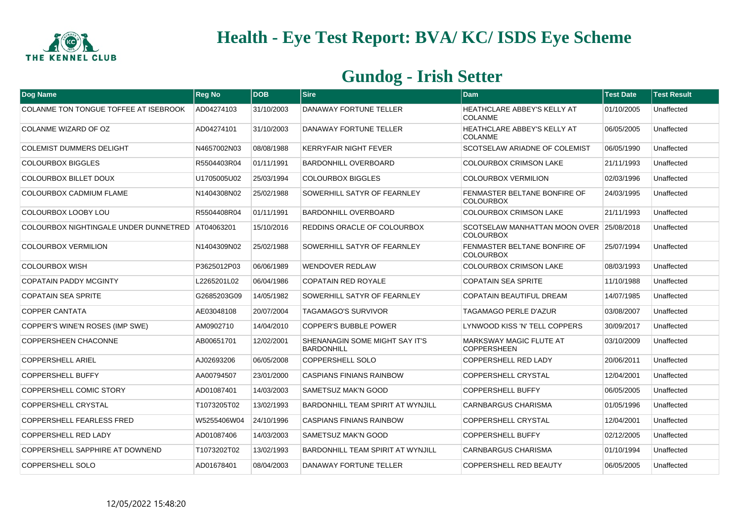

| Dog Name                                         | <b>Reg No</b> | ldob       | <b>Sire</b>                                                | <b>Dam</b>                                                   | <b>Test Date</b> | <b>Test Result</b> |
|--------------------------------------------------|---------------|------------|------------------------------------------------------------|--------------------------------------------------------------|------------------|--------------------|
| COLANME TON TONGUE TOFFEE AT ISEBROOK            | AD04274103    | 31/10/2003 | DANAWAY FORTUNE TELLER                                     | <b>HEATHCLARE ABBEY'S KELLY AT</b><br><b>COLANME</b>         | 01/10/2005       | Unaffected         |
| COLANME WIZARD OF OZ                             | AD04274101    | 31/10/2003 | DANAWAY FORTUNE TELLER                                     | HEATHCLARE ABBEY'S KELLY AT<br><b>COLANME</b>                | 06/05/2005       | Unaffected         |
| <b>COLEMIST DUMMERS DELIGHT</b>                  | N4657002N03   | 08/08/1988 | <b>KERRYFAIR NIGHT FEVER</b>                               | SCOTSELAW ARIADNE OF COLEMIST                                | 06/05/1990       | Unaffected         |
| <b>COLOURBOX BIGGLES</b>                         | R5504403R04   | 01/11/1991 | <b>BARDONHILL OVERBOARD</b>                                | <b>COLOURBOX CRIMSON LAKE</b>                                | 21/11/1993       | Unaffected         |
| COLOURBOX BILLET DOUX                            | U1705005U02   | 25/03/1994 | <b>COLOURBOX BIGGLES</b>                                   | <b>COLOURBOX VERMILION</b>                                   | 02/03/1996       | Unaffected         |
| COLOURBOX CADMIUM FLAME                          | N1404308N02   | 25/02/1988 | SOWERHILL SATYR OF FEARNLEY                                | <b>FENMASTER BELTANE BONFIRE OF</b><br><b>COLOURBOX</b>      | 24/03/1995       | Unaffected         |
| COLOURBOX LOOBY LOU                              | R5504408R04   | 01/11/1991 | <b>BARDONHILL OVERBOARD</b>                                | <b>COLOURBOX CRIMSON LAKE</b>                                | 21/11/1993       | Unaffected         |
| COLOURBOX NIGHTINGALE UNDER DUNNETRED AT04063201 |               | 15/10/2016 | REDDINS ORACLE OF COLOURBOX                                | SCOTSELAW MANHATTAN MOON OVER 25/08/2018<br><b>COLOURBOX</b> |                  | Unaffected         |
| <b>COLOURBOX VERMILION</b>                       | N1404309N02   | 25/02/1988 | SOWERHILL SATYR OF FEARNLEY                                | <b>FENMASTER BELTANE BONFIRE OF</b><br><b>COLOURBOX</b>      | 25/07/1994       | Unaffected         |
| <b>COLOURBOX WISH</b>                            | P3625012P03   | 06/06/1989 | <b>WENDOVER REDLAW</b>                                     | <b>COLOURBOX CRIMSON LAKE</b>                                | 08/03/1993       | Unaffected         |
| <b>COPATAIN PADDY MCGINTY</b>                    | L2265201L02   | 06/04/1986 | <b>COPATAIN RED ROYALE</b>                                 | <b>COPATAIN SEA SPRITE</b>                                   | 11/10/1988       | Unaffected         |
| <b>COPATAIN SEA SPRITE</b>                       | G2685203G09   | 14/05/1982 | SOWERHILL SATYR OF FEARNLEY                                | COPATAIN BEAUTIFUL DREAM                                     | 14/07/1985       | Unaffected         |
| <b>COPPER CANTATA</b>                            | AE03048108    | 20/07/2004 | <b>TAGAMAGO'S SURVIVOR</b>                                 | TAGAMAGO PERLE D'AZUR                                        | 03/08/2007       | Unaffected         |
| COPPER'S WINE'N ROSES (IMP SWE)                  | AM0902710     | 14/04/2010 | <b>COPPER'S BUBBLE POWER</b>                               | LYNWOOD KISS 'N' TELL COPPERS                                | 30/09/2017       | Unaffected         |
| <b>COPPERSHEEN CHACONNE</b>                      | AB00651701    | 12/02/2001 | <b>SHENANAGIN SOME MIGHT SAY IT'S</b><br><b>BARDONHILL</b> | <b>MARKSWAY MAGIC FLUTE AT</b><br><b>COPPERSHEEN</b>         | 03/10/2009       | Unaffected         |
| <b>COPPERSHELL ARIEL</b>                         | AJ02693206    | 06/05/2008 | <b>COPPERSHELL SOLO</b>                                    | <b>COPPERSHELL RED LADY</b>                                  | 20/06/2011       | Unaffected         |
| <b>COPPERSHELL BUFFY</b>                         | AA00794507    | 23/01/2000 | <b>CASPIANS FINIANS RAINBOW</b>                            | <b>COPPERSHELL CRYSTAL</b>                                   | 12/04/2001       | Unaffected         |
| COPPERSHELL COMIC STORY                          | AD01087401    | 14/03/2003 | <b>SAMETSUZ MAK'N GOOD</b>                                 | COPPERSHELL BUFFY                                            | 06/05/2005       | Unaffected         |
| <b>COPPERSHELL CRYSTAL</b>                       | T1073205T02   | 13/02/1993 | <b>BARDONHILL TEAM SPIRIT AT WYNJILL</b>                   | CARNBARGUS CHARISMA                                          | 01/05/1996       | Unaffected         |
| <b>COPPERSHELL FEARLESS FRED</b>                 | W5255406W04   | 24/10/1996 | <b>CASPIANS FINIANS RAINBOW</b>                            | COPPERSHELL CRYSTAL                                          | 12/04/2001       | Unaffected         |
| COPPERSHELL RED LADY                             | AD01087406    | 14/03/2003 | <b>SAMETSUZ MAK'N GOOD</b>                                 | <b>COPPERSHELL BUFFY</b>                                     | 02/12/2005       | Unaffected         |
| COPPERSHELL SAPPHIRE AT DOWNEND                  | T1073202T02   | 13/02/1993 | <b>BARDONHILL TEAM SPIRIT AT WYNJILL</b>                   | CARNBARGUS CHARISMA                                          | 01/10/1994       | Unaffected         |
| COPPERSHELL SOLO                                 | AD01678401    | 08/04/2003 | DANAWAY FORTUNE TELLER                                     | <b>COPPERSHELL RED BEAUTY</b>                                | 06/05/2005       | Unaffected         |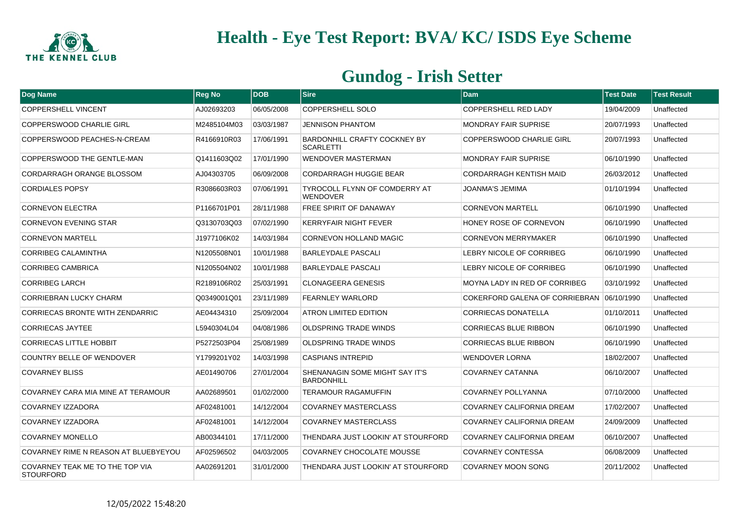

| Dog Name                                            | <b>Reg No</b> | ldob       | $ S$ ire                                                | <b>Dam</b>                                | <b>Test Date</b> | <b>Test Result</b> |
|-----------------------------------------------------|---------------|------------|---------------------------------------------------------|-------------------------------------------|------------------|--------------------|
| <b>COPPERSHELL VINCENT</b>                          | AJ02693203    | 06/05/2008 | <b>COPPERSHELL SOLO</b>                                 | COPPERSHELL RED LADY                      | 19/04/2009       | Unaffected         |
| COPPERSWOOD CHARLIE GIRL                            | M2485104M03   | 03/03/1987 | <b>JENNISON PHANTOM</b>                                 | <b>MONDRAY FAIR SUPRISE</b>               | 20/07/1993       | Unaffected         |
| COPPERSWOOD PEACHES-N-CREAM                         | R4166910R03   | 17/06/1991 | <b>BARDONHILL CRAFTY COCKNEY BY</b><br><b>SCARLETTI</b> | COPPERSWOOD CHARLIE GIRL                  | 20/07/1993       | Unaffected         |
| COPPERSWOOD THE GENTLE-MAN                          | Q1411603Q02   | 17/01/1990 | <b>WENDOVER MASTERMAN</b>                               | <b>MONDRAY FAIR SUPRISE</b>               | 06/10/1990       | Unaffected         |
| CORDARRAGH ORANGE BLOSSOM                           | AJ04303705    | 06/09/2008 | <b>CORDARRAGH HUGGIE BEAR</b>                           | <b>CORDARRAGH KENTISH MAID</b>            | 26/03/2012       | Unaffected         |
| <b>CORDIALES POPSY</b>                              | R3086603R03   | 07/06/1991 | TYROCOLL FLYNN OF COMDERRY AT<br><b>WENDOVER</b>        | JOANMA'S JEMIMA                           | 01/10/1994       | Unaffected         |
| <b>CORNEVON ELECTRA</b>                             | P1166701P01   | 28/11/1988 | <b>FREE SPIRIT OF DANAWAY</b>                           | <b>CORNEVON MARTELL</b>                   | 06/10/1990       | Unaffected         |
| <b>CORNEVON EVENING STAR</b>                        | Q3130703Q03   | 07/02/1990 | <b>KERRYFAIR NIGHT FEVER</b>                            | HONEY ROSE OF CORNEVON                    | 06/10/1990       | Unaffected         |
| <b>CORNEVON MARTELL</b>                             | J1977106K02   | 14/03/1984 | <b>CORNEVON HOLLAND MAGIC</b>                           | <b>CORNEVON MERRYMAKER</b>                | 06/10/1990       | Unaffected         |
| CORRIBEG CALAMINTHA                                 | N1205508N01   | 10/01/1988 | <b>BARLEYDALE PASCALI</b>                               | LEBRY NICOLE OF CORRIBEG                  | 06/10/1990       | Unaffected         |
| <b>CORRIBEG CAMBRICA</b>                            | N1205504N02   | 10/01/1988 | <b>BARLEYDALE PASCALI</b>                               | <b>LEBRY NICOLE OF CORRIBEG</b>           | 06/10/1990       | Unaffected         |
| <b>CORRIBEG LARCH</b>                               | R2189106R02   | 25/03/1991 | CLONAGEERA GENESIS                                      | MOYNA LADY IN RED OF CORRIBEG             | 03/10/1992       | Unaffected         |
| <b>CORRIEBRAN LUCKY CHARM</b>                       | Q0349001Q01   | 23/11/1989 | <b>FEARNLEY WARLORD</b>                                 | COKERFORD GALENA OF CORRIEBRAN 06/10/1990 |                  | Unaffected         |
| CORRIECAS BRONTE WITH ZENDARRIC                     | AE04434310    | 25/09/2004 | ATRON LIMITED EDITION                                   | <b>CORRIECAS DONATELLA</b>                | 01/10/2011       | Unaffected         |
| <b>CORRIECAS JAYTEE</b>                             | L5940304L04   | 04/08/1986 | <b>OLDSPRING TRADE WINDS</b>                            | <b>CORRIECAS BLUE RIBBON</b>              | 06/10/1990       | Unaffected         |
| <b>CORRIECAS LITTLE HOBBIT</b>                      | P5272503P04   | 25/08/1989 | <b>OLDSPRING TRADE WINDS</b>                            | <b>CORRIECAS BLUE RIBBON</b>              | 06/10/1990       | Unaffected         |
| <b>COUNTRY BELLE OF WENDOVER</b>                    | Y1799201Y02   | 14/03/1998 | <b>CASPIANS INTREPID</b>                                | <b>WENDOVER LORNA</b>                     | 18/02/2007       | Unaffected         |
| <b>COVARNEY BLISS</b>                               | AE01490706    | 27/01/2004 | SHENANAGIN SOME MIGHT SAY IT'S<br><b>BARDONHILL</b>     | COVARNEY CATANNA                          | 06/10/2007       | Unaffected         |
| COVARNEY CARA MIA MINE AT TERAMOUR                  | AA02689501    | 01/02/2000 | <b>TERAMOUR RAGAMUFFIN</b>                              | <b>COVARNEY POLLYANNA</b>                 | 07/10/2000       | Unaffected         |
| COVARNEY IZZADORA                                   | AF02481001    | 14/12/2004 | <b>COVARNEY MASTERCLASS</b>                             | COVARNEY CALIFORNIA DREAM                 | 17/02/2007       | Unaffected         |
| <b>COVARNEY IZZADORA</b>                            | AF02481001    | 14/12/2004 | <b>COVARNEY MASTERCLASS</b>                             | COVARNEY CALIFORNIA DREAM                 | 24/09/2009       | Unaffected         |
| <b>COVARNEY MONELLO</b>                             | AB00344101    | 17/11/2000 | THENDARA JUST LOOKIN' AT STOURFORD                      | COVARNEY CALIFORNIA DREAM                 | 06/10/2007       | Unaffected         |
| COVARNEY RIME N REASON AT BLUEBYEYOU                | AF02596502    | 04/03/2005 | <b>COVARNEY CHOCOLATE MOUSSE</b>                        | <b>COVARNEY CONTESSA</b>                  | 06/08/2009       | Unaffected         |
| COVARNEY TEAK ME TO THE TOP VIA<br><b>STOURFORD</b> | AA02691201    | 31/01/2000 | THENDARA JUST LOOKIN' AT STOURFORD                      | <b>COVARNEY MOON SONG</b>                 | 20/11/2002       | Unaffected         |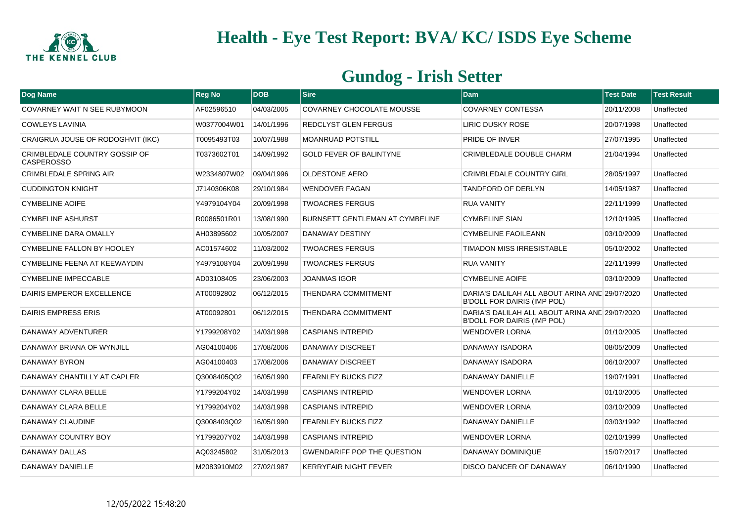

| Dog Name                                           | <b>Reg No</b> | <b>DOB</b> | <b>Sire</b>                            | <b>Dam</b>                                                                           | <b>Test Date</b> | <b>Test Result</b> |
|----------------------------------------------------|---------------|------------|----------------------------------------|--------------------------------------------------------------------------------------|------------------|--------------------|
| COVARNEY WAIT N SEE RUBYMOON                       | AF02596510    | 04/03/2005 | <b>COVARNEY CHOCOLATE MOUSSE</b>       | <b>COVARNEY CONTESSA</b>                                                             | 20/11/2008       | Unaffected         |
| <b>COWLEYS LAVINIA</b>                             | W0377004W01   | 14/01/1996 | REDCLYST GLEN FERGUS                   | LIRIC DUSKY ROSE                                                                     | 20/07/1998       | Unaffected         |
| CRAIGRUA JOUSE OF RODOGHVIT (IKC)                  | T0095493T03   | 10/07/1988 | <b>MOANRUAD POTSTILL</b>               | PRIDE OF INVER                                                                       | 27/07/1995       | Unaffected         |
| CRIMBLEDALE COUNTRY GOSSIP OF<br><b>CASPEROSSO</b> | T0373602T01   | 14/09/1992 | <b>GOLD FEVER OF BALINTYNE</b>         | <b>CRIMBLEDALE DOUBLE CHARM</b>                                                      | 21/04/1994       | Unaffected         |
| <b>CRIMBLEDALE SPRING AIR</b>                      | W2334807W02   | 09/04/1996 | <b>OLDESTONE AERO</b>                  | <b>CRIMBLEDALE COUNTRY GIRL</b>                                                      | 28/05/1997       | Unaffected         |
| <b>CUDDINGTON KNIGHT</b>                           | J7140306K08   | 29/10/1984 | <b>WENDOVER FAGAN</b>                  | <b>TANDFORD OF DERLYN</b>                                                            | 14/05/1987       | Unaffected         |
| <b>CYMBELINE AOIFE</b>                             | Y4979104Y04   | 20/09/1998 | <b>TWOACRES FERGUS</b>                 | <b>RUA VANITY</b>                                                                    | 22/11/1999       | Unaffected         |
| <b>CYMBELINE ASHURST</b>                           | R0086501R01   | 13/08/1990 | <b>BURNSETT GENTLEMAN AT CYMBELINE</b> | <b>CYMBELINE SIAN</b>                                                                | 12/10/1995       | Unaffected         |
| CYMBELINE DARA OMALLY                              | AH03895602    | 10/05/2007 | DANAWAY DESTINY                        | <b>CYMBELINE FAOILEANN</b>                                                           | 03/10/2009       | Unaffected         |
| CYMBELINE FALLON BY HOOLEY                         | AC01574602    | 11/03/2002 | <b>TWOACRES FERGUS</b>                 | TIMADON MISS IRRESISTABLE                                                            | 05/10/2002       | Unaffected         |
| CYMBELINE FEENA AT KEEWAYDIN                       | Y4979108Y04   | 20/09/1998 | <b>TWOACRES FERGUS</b>                 | <b>RUA VANITY</b>                                                                    | 22/11/1999       | Unaffected         |
| <b>CYMBELINE IMPECCABLE</b>                        | AD03108405    | 23/06/2003 | <b>JOANMAS IGOR</b>                    | <b>CYMBELINE AOIFE</b>                                                               | 03/10/2009       | Unaffected         |
| DAIRIS EMPEROR EXCELLENCE                          | AT00092802    | 06/12/2015 | <b>THENDARA COMMITMENT</b>             | DARIA'S DALILAH ALL ABOUT ARINA AND 29/07/2020<br><b>B'DOLL FOR DAIRIS (IMP POL)</b> |                  | Unaffected         |
| DAIRIS EMPRESS ERIS                                | AT00092801    | 06/12/2015 | THENDARA COMMITMENT                    | DARIA'S DALILAH ALL ABOUT ARINA AND 29/07/2020<br><b>B'DOLL FOR DAIRIS (IMP POL)</b> |                  | Unaffected         |
| DANAWAY ADVENTURER                                 | Y1799208Y02   | 14/03/1998 | <b>CASPIANS INTREPID</b>               | <b>WENDOVER LORNA</b>                                                                | 01/10/2005       | Unaffected         |
| DANAWAY BRIANA OF WYNJILL                          | AG04100406    | 17/08/2006 | <b>DANAWAY DISCREET</b>                | <b>DANAWAY ISADORA</b>                                                               | 08/05/2009       | Unaffected         |
| DANAWAY BYRON                                      | AG04100403    | 17/08/2006 | <b>DANAWAY DISCREET</b>                | DANAWAY ISADORA                                                                      | 06/10/2007       | Unaffected         |
| DANAWAY CHANTILLY AT CAPLER                        | Q3008405Q02   | 16/05/1990 | <b>FEARNLEY BUCKS FIZZ</b>             | DANAWAY DANIELLE                                                                     | 19/07/1991       | Unaffected         |
| DANAWAY CLARA BELLE                                | Y1799204Y02   | 14/03/1998 | <b>CASPIANS INTREPID</b>               | WENDOVER LORNA                                                                       | 01/10/2005       | Unaffected         |
| DANAWAY CLARA BELLE                                | Y1799204Y02   | 14/03/1998 | <b>CASPIANS INTREPID</b>               | <b>WENDOVER LORNA</b>                                                                | 03/10/2009       | Unaffected         |
| DANAWAY CLAUDINE                                   | Q3008403Q02   | 16/05/1990 | <b>FEARNLEY BUCKS FIZZ</b>             | <b>DANAWAY DANIELLE</b>                                                              | 03/03/1992       | Unaffected         |
| DANAWAY COUNTRY BOY                                | Y1799207Y02   | 14/03/1998 | CASPIANS INTREPID                      | <b>WENDOVER LORNA</b>                                                                | 02/10/1999       | Unaffected         |
| DANAWAY DALLAS                                     | AQ03245802    | 31/05/2013 | <b>GWENDARIFF POP THE QUESTION</b>     | DANAWAY DOMINIQUE                                                                    | 15/07/2017       | Unaffected         |
| DANAWAY DANIELLE                                   | M2083910M02   | 27/02/1987 | <b>KERRYFAIR NIGHT FEVER</b>           | <b>DISCO DANCER OF DANAWAY</b>                                                       | 06/10/1990       | Unaffected         |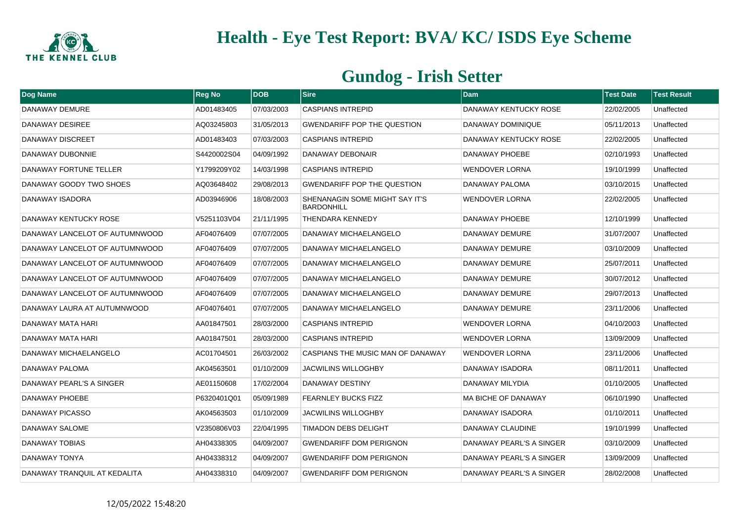

| Dog Name                       | <b>Reg No</b> | <b>DOB</b> | $ S$ ire                                            | <b>Dam</b>                 | <b>Test Date</b> | <b>Test Result</b> |
|--------------------------------|---------------|------------|-----------------------------------------------------|----------------------------|------------------|--------------------|
| DANAWAY DEMURE                 | AD01483405    | 07/03/2003 | <b>CASPIANS INTREPID</b>                            | DANAWAY KENTUCKY ROSE      | 22/02/2005       | Unaffected         |
| DANAWAY DESIREE                | AQ03245803    | 31/05/2013 | <b>GWENDARIFF POP THE QUESTION</b>                  | DANAWAY DOMINIQUE          | 05/11/2013       | Unaffected         |
| <b>DANAWAY DISCREET</b>        | AD01483403    | 07/03/2003 | <b>CASPIANS INTREPID</b>                            | DANAWAY KENTUCKY ROSE      | 22/02/2005       | Unaffected         |
| DANAWAY DUBONNIE               | S4420002S04   | 04/09/1992 | DANAWAY DEBONAIR                                    | DANAWAY PHOEBE             | 02/10/1993       | Unaffected         |
| DANAWAY FORTUNE TELLER         | Y1799209Y02   | 14/03/1998 | <b>CASPIANS INTREPID</b>                            | <b>WENDOVER LORNA</b>      | 19/10/1999       | Unaffected         |
| DANAWAY GOODY TWO SHOES        | AQ03648402    | 29/08/2013 | <b>GWENDARIFF POP THE QUESTION</b>                  | DANAWAY PALOMA             | 03/10/2015       | Unaffected         |
| DANAWAY ISADORA                | AD03946906    | 18/08/2003 | SHENANAGIN SOME MIGHT SAY IT'S<br><b>BARDONHILL</b> | <b>WENDOVER LORNA</b>      | 22/02/2005       | Unaffected         |
| DANAWAY KENTUCKY ROSE          | V5251103V04   | 21/11/1995 | <b>THENDARA KENNEDY</b>                             | DANAWAY PHOEBE             | 12/10/1999       | Unaffected         |
| DANAWAY LANCELOT OF AUTUMNWOOD | AF04076409    | 07/07/2005 | DANAWAY MICHAELANGELO                               | DANAWAY DEMURE             | 31/07/2007       | Unaffected         |
| DANAWAY LANCELOT OF AUTUMNWOOD | AF04076409    | 07/07/2005 | DANAWAY MICHAELANGELO                               | DANAWAY DEMURE             | 03/10/2009       | Unaffected         |
| DANAWAY LANCELOT OF AUTUMNWOOD | AF04076409    | 07/07/2005 | DANAWAY MICHAELANGELO                               | DANAWAY DEMURE             | 25/07/2011       | Unaffected         |
| DANAWAY LANCELOT OF AUTUMNWOOD | AF04076409    | 07/07/2005 | DANAWAY MICHAELANGELO                               | DANAWAY DEMURE             | 30/07/2012       | Unaffected         |
| DANAWAY LANCELOT OF AUTUMNWOOD | AF04076409    | 07/07/2005 | DANAWAY MICHAELANGELO                               | DANAWAY DEMURE             | 29/07/2013       | Unaffected         |
| DANAWAY LAURA AT AUTUMNWOOD    | AF04076401    | 07/07/2005 | DANAWAY MICHAELANGELO                               | DANAWAY DEMURE             | 23/11/2006       | Unaffected         |
| DANAWAY MATA HARI              | AA01847501    | 28/03/2000 | <b>CASPIANS INTREPID</b>                            | <b>WENDOVER LORNA</b>      | 04/10/2003       | Unaffected         |
| DANAWAY MATA HARI              | AA01847501    | 28/03/2000 | <b>CASPIANS INTREPID</b>                            | <b>WENDOVER LORNA</b>      | 13/09/2009       | Unaffected         |
| DANAWAY MICHAELANGELO          | AC01704501    | 26/03/2002 | CASPIANS THE MUSIC MAN OF DANAWAY                   | <b>WENDOVER LORNA</b>      | 23/11/2006       | Unaffected         |
| DANAWAY PALOMA                 | AK04563501    | 01/10/2009 | <b>JACWILINS WILLOGHBY</b>                          | DANAWAY ISADORA            | 08/11/2011       | Unaffected         |
| DANAWAY PEARL'S A SINGER       | AE01150608    | 17/02/2004 | DANAWAY DESTINY                                     | DANAWAY MILYDIA            | 01/10/2005       | Unaffected         |
| DANAWAY PHOEBE                 | P6320401Q01   | 05/09/1989 | <b>FEARNLEY BUCKS FIZZ</b>                          | <b>MA BICHE OF DANAWAY</b> | 06/10/1990       | Unaffected         |
| <b>DANAWAY PICASSO</b>         | AK04563503    | 01/10/2009 | <b>JACWILINS WILLOGHBY</b>                          | DANAWAY ISADORA            | 01/10/2011       | Unaffected         |
| DANAWAY SALOME                 | V2350806V03   | 22/04/1995 | <b>TIMADON DEBS DELIGHT</b>                         | DANAWAY CLAUDINE           | 19/10/1999       | Unaffected         |
| <b>DANAWAY TOBIAS</b>          | AH04338305    | 04/09/2007 | <b>GWENDARIFF DOM PERIGNON</b>                      | DANAWAY PEARL'S A SINGER   | 03/10/2009       | Unaffected         |
| DANAWAY TONYA                  | AH04338312    | 04/09/2007 | <b>GWENDARIFF DOM PERIGNON</b>                      | DANAWAY PEARL'S A SINGER   | 13/09/2009       | Unaffected         |
| DANAWAY TRANQUIL AT KEDALITA   | AH04338310    | 04/09/2007 | <b>GWENDARIFF DOM PERIGNON</b>                      | DANAWAY PEARL'S A SINGER   | 28/02/2008       | Unaffected         |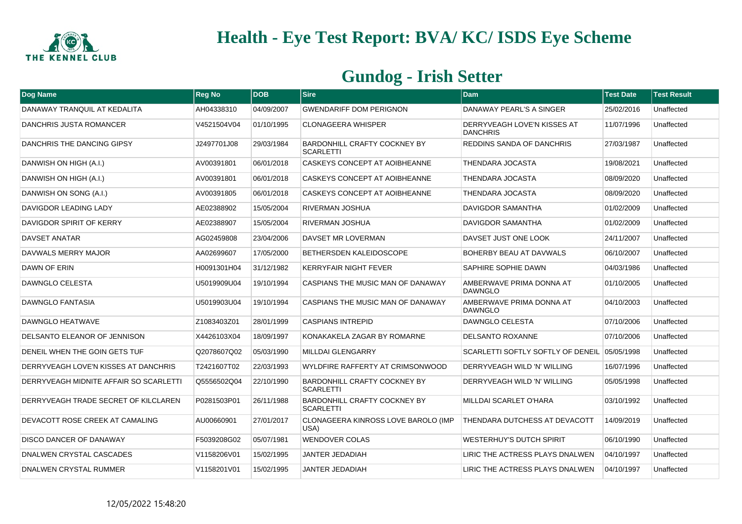

| Dog Name                               | <b>Reg No</b> | <b>DOB</b> | Sire                                                    | <b>Dam</b>                                     | <b>Test Date</b> | <b>Test Result</b> |
|----------------------------------------|---------------|------------|---------------------------------------------------------|------------------------------------------------|------------------|--------------------|
| DANAWAY TRANQUIL AT KEDALITA           | AH04338310    | 04/09/2007 | GWENDARIFF DOM PERIGNON                                 | DANAWAY PEARL'S A SINGER                       | 25/02/2016       | Unaffected         |
| DANCHRIS JUSTA ROMANCER                | V4521504V04   | 01/10/1995 | <b>CLONAGEERA WHISPER</b>                               | DERRYVEAGH LOVE'N KISSES AT<br><b>DANCHRIS</b> | 11/07/1996       | Unaffected         |
| DANCHRIS THE DANCING GIPSY             | J2497701J08   | 29/03/1984 | <b>BARDONHILL CRAFTY COCKNEY BY</b><br><b>SCARLETTI</b> | <b>REDDINS SANDA OF DANCHRIS</b>               | 27/03/1987       | Unaffected         |
| DANWISH ON HIGH (A.I.)                 | AV00391801    | 06/01/2018 | <b>CASKEYS CONCEPT AT AOIBHEANNE</b>                    | <b>THENDARA JOCASTA</b>                        | 19/08/2021       | Unaffected         |
| DANWISH ON HIGH (A.I.)                 | AV00391801    | 06/01/2018 | CASKEYS CONCEPT AT AOIBHEANNE                           | THENDARA JOCASTA                               | 08/09/2020       | Unaffected         |
| DANWISH ON SONG (A.I.)                 | AV00391805    | 06/01/2018 | <b>CASKEYS CONCEPT AT AOIBHEANNE</b>                    | <b>THENDARA JOCASTA</b>                        | 08/09/2020       | Unaffected         |
| DAVIGDOR LEADING LADY                  | AE02388902    | 15/05/2004 | <b>RIVERMAN JOSHUA</b>                                  | <b>DAVIGDOR SAMANTHA</b>                       | 01/02/2009       | Unaffected         |
| DAVIGDOR SPIRIT OF KERRY               | AE02388907    | 15/05/2004 | <b>RIVERMAN JOSHUA</b>                                  | DAVIGDOR SAMANTHA                              | 01/02/2009       | Unaffected         |
| <b>DAVSET ANATAR</b>                   | AG02459808    | 23/04/2006 | DAVSET MR LOVERMAN                                      | DAVSET JUST ONE LOOK                           | 24/11/2007       | Unaffected         |
| DAVWALS MERRY MAJOR                    | AA02699607    | 17/05/2000 | <b>BETHERSDEN KALEIDOSCOPE</b>                          | BOHERBY BEAU AT DAVWALS                        | 06/10/2007       | Unaffected         |
| <b>DAWN OF ERIN</b>                    | H0091301H04   | 31/12/1982 | <b>KERRYFAIR NIGHT FEVER</b>                            | <b>SAPHIRE SOPHIE DAWN</b>                     | 04/03/1986       | Unaffected         |
| DAWNGLO CELESTA                        | U5019909U04   | 19/10/1994 | CASPIANS THE MUSIC MAN OF DANAWAY                       | AMBERWAVE PRIMA DONNA AT<br><b>DAWNGLO</b>     | 01/10/2005       | Unaffected         |
| <b>DAWNGLO FANTASIA</b>                | U5019903U04   | 19/10/1994 | CASPIANS THE MUSIC MAN OF DANAWAY                       | AMBERWAVE PRIMA DONNA AT<br><b>DAWNGLO</b>     | 04/10/2003       | Unaffected         |
| DAWNGLO HEATWAVE                       | Z1083403Z01   | 28/01/1999 | CASPIANS INTREPID                                       | DAWNGLO CELESTA                                | 07/10/2006       | Unaffected         |
| DELSANTO ELEANOR OF JENNISON           | X4426103X04   | 18/09/1997 | KONAKAKELA ZAGAR BY ROMARNE                             | <b>DELSANTO ROXANNE</b>                        | 07/10/2006       | Unaffected         |
| DENEIL WHEN THE GOIN GETS TUF          | Q2078607Q02   | 05/03/1990 | <b>MILLDAI GLENGARRY</b>                                | SCARLETTI SOFTLY SOFTLY OF DENEIL              | 05/05/1998       | Unaffected         |
| DERRYVEAGH LOVE'N KISSES AT DANCHRIS   | T2421607T02   | 22/03/1993 | WYLDFIRE RAFFERTY AT CRIMSONWOOD                        | DERRYVEAGH WILD 'N' WILLING                    | 16/07/1996       | Unaffected         |
| DERRYVEAGH MIDNITE AFFAIR SO SCARLETTI | Q5556502Q04   | 22/10/1990 | <b>BARDONHILL CRAFTY COCKNEY BY</b><br><b>SCARLETTI</b> | DERRYVEAGH WILD 'N' WILLING                    | 05/05/1998       | Unaffected         |
| DERRYVEAGH TRADE SECRET OF KILCLAREN   | P0281503P01   | 26/11/1988 | <b>BARDONHILL CRAFTY COCKNEY BY</b><br><b>SCARLETTI</b> | MILLDAI SCARLET O'HARA                         | 03/10/1992       | Unaffected         |
| DEVACOTT ROSE CREEK AT CAMALING        | AU00660901    | 27/01/2017 | CLONAGEERA KINROSS LOVE BAROLO (IMP<br>USA)             | THENDARA DUTCHESS AT DEVACOTT                  | 14/09/2019       | Unaffected         |
| <b>DISCO DANCER OF DANAWAY</b>         | F5039208G02   | 05/07/1981 | <b>WENDOVER COLAS</b>                                   | <b>WESTERHUY'S DUTCH SPIRIT</b>                | 06/10/1990       | Unaffected         |
| DNALWEN CRYSTAL CASCADES               | V1158206V01   | 15/02/1995 | JANTER JEDADIAH                                         | LIRIC THE ACTRESS PLAYS DNALWEN                | 04/10/1997       | Unaffected         |
| DNALWEN CRYSTAL RUMMER                 | V1158201V01   | 15/02/1995 | <b>JANTER JEDADIAH</b>                                  | LIRIC THE ACTRESS PLAYS DNALWEN                | 04/10/1997       | Unaffected         |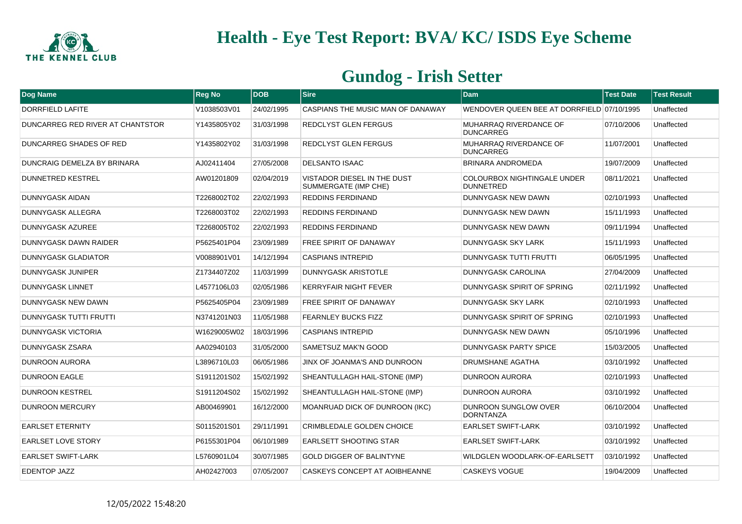

| Dog Name                         | <b>Reg No</b> | <b>DOB</b> | <b>Sire</b>                                         | <b>Dam</b>                                             | <b>Test Date</b> | <b>Test Result</b> |
|----------------------------------|---------------|------------|-----------------------------------------------------|--------------------------------------------------------|------------------|--------------------|
| DORRFIELD LAFITE                 | V1038503V01   | 24/02/1995 | CASPIANS THE MUSIC MAN OF DANAWAY                   | WENDOVER QUEEN BEE AT DORRFIELD 07/10/1995             |                  | Unaffected         |
| DUNCARREG RED RIVER AT CHANTSTOR | Y1435805Y02   | 31/03/1998 | <b>REDCLYST GLEN FERGUS</b>                         | MUHARRAQ RIVERDANCE OF<br><b>DUNCARREG</b>             | 07/10/2006       | Unaffected         |
| DUNCARREG SHADES OF RED          | Y1435802Y02   | 31/03/1998 | <b>REDCLYST GLEN FERGUS</b>                         | MUHARRAQ RIVERDANCE OF<br><b>DUNCARREG</b>             | 11/07/2001       | Unaffected         |
| DUNCRAIG DEMELZA BY BRINARA      | AJ02411404    | 27/05/2008 | <b>DELSANTO ISAAC</b>                               | BRINARA ANDROMEDA                                      | 19/07/2009       | Unaffected         |
| <b>DUNNETRED KESTREL</b>         | AW01201809    | 02/04/2019 | VISTADOR DIESEL IN THE DUST<br>SUMMERGATE (IMP CHE) | <b>COLOURBOX NIGHTINGALE UNDER</b><br><b>DUNNETRED</b> | 08/11/2021       | Unaffected         |
| DUNNYGASK AIDAN                  | T2268002T02   | 22/02/1993 | REDDINS FERDINAND                                   | DUNNYGASK NEW DAWN                                     | 02/10/1993       | Unaffected         |
| DUNNYGASK ALLEGRA                | T2268003T02   | 22/02/1993 | <b>REDDINS FERDINAND</b>                            | DUNNYGASK NEW DAWN                                     | 15/11/1993       | Unaffected         |
| DUNNYGASK AZUREE                 | T2268005T02   | 22/02/1993 | REDDINS FERDINAND                                   | DUNNYGASK NEW DAWN                                     | 09/11/1994       | Unaffected         |
| DUNNYGASK DAWN RAIDER            | P5625401P04   | 23/09/1989 | <b>FREE SPIRIT OF DANAWAY</b>                       | <b>DUNNYGASK SKY LARK</b>                              | 15/11/1993       | Unaffected         |
| DUNNYGASK GLADIATOR              | V0088901V01   | 14/12/1994 | <b>CASPIANS INTREPID</b>                            | DUNNYGASK TUTTI FRUTTI                                 | 06/05/1995       | Unaffected         |
| DUNNYGASK JUNIPER                | Z1734407Z02   | 11/03/1999 | <b>DUNNYGASK ARISTOTLE</b>                          | DUNNYGASK CAROLINA                                     | 27/04/2009       | Unaffected         |
| <b>DUNNYGASK LINNET</b>          | L4577106L03   | 02/05/1986 | <b>KERRYFAIR NIGHT FEVER</b>                        | DUNNYGASK SPIRIT OF SPRING                             | 02/11/1992       | Unaffected         |
| DUNNYGASK NEW DAWN               | P5625405P04   | 23/09/1989 | <b>FREE SPIRIT OF DANAWAY</b>                       | DUNNYGASK SKY LARK                                     | 02/10/1993       | Unaffected         |
| <b>DUNNYGASK TUTTI FRUTTI</b>    | N3741201N03   | 11/05/1988 | <b>FEARNLEY BUCKS FIZZ</b>                          | DUNNYGASK SPIRIT OF SPRING                             | 02/10/1993       | Unaffected         |
| DUNNYGASK VICTORIA               | W1629005W02   | 18/03/1996 | <b>CASPIANS INTREPID</b>                            | DUNNYGASK NEW DAWN                                     | 05/10/1996       | Unaffected         |
| <b>DUNNYGASK ZSARA</b>           | AA02940103    | 31/05/2000 | <b>SAMETSUZ MAK'N GOOD</b>                          | <b>DUNNYGASK PARTY SPICE</b>                           | 15/03/2005       | Unaffected         |
| <b>DUNROON AURORA</b>            | L3896710L03   | 06/05/1986 | JINX OF JOANMA'S AND DUNROON                        | DRUMSHANE AGATHA                                       | 03/10/1992       | Unaffected         |
| <b>DUNROON EAGLE</b>             | S1911201S02   | 15/02/1992 | SHEANTULLAGH HAIL-STONE (IMP)                       | DUNROON AURORA                                         | 02/10/1993       | Unaffected         |
| <b>DUNROON KESTREL</b>           | S1911204S02   | 15/02/1992 | SHEANTULLAGH HAIL-STONE (IMP)                       | DUNROON AURORA                                         | 03/10/1992       | Unaffected         |
| <b>DUNROON MERCURY</b>           | AB00469901    | 16/12/2000 | MOANRUAD DICK OF DUNROON (IKC)                      | DUNROON SUNGLOW OVER<br><b>DORNTANZA</b>               | 06/10/2004       | Unaffected         |
| <b>EARLSET ETERNITY</b>          | S0115201S01   | 29/11/1991 | <b>CRIMBLEDALE GOLDEN CHOICE</b>                    | <b>EARLSET SWIFT-LARK</b>                              | 03/10/1992       | Unaffected         |
| <b>EARLSET LOVE STORY</b>        | P6155301P04   | 06/10/1989 | <b>EARLSETT SHOOTING STAR</b>                       | <b>EARLSET SWIFT-LARK</b>                              | 03/10/1992       | Unaffected         |
| <b>EARLSET SWIFT-LARK</b>        | L5760901L04   | 30/07/1985 | <b>GOLD DIGGER OF BALINTYNE</b>                     | WILDGLEN WOODLARK-OF-EARLSETT                          | 03/10/1992       | Unaffected         |
| <b>EDENTOP JAZZ</b>              | AH02427003    | 07/05/2007 | CASKEYS CONCEPT AT AOIBHEANNE                       | <b>CASKEYS VOGUE</b>                                   | 19/04/2009       | Unaffected         |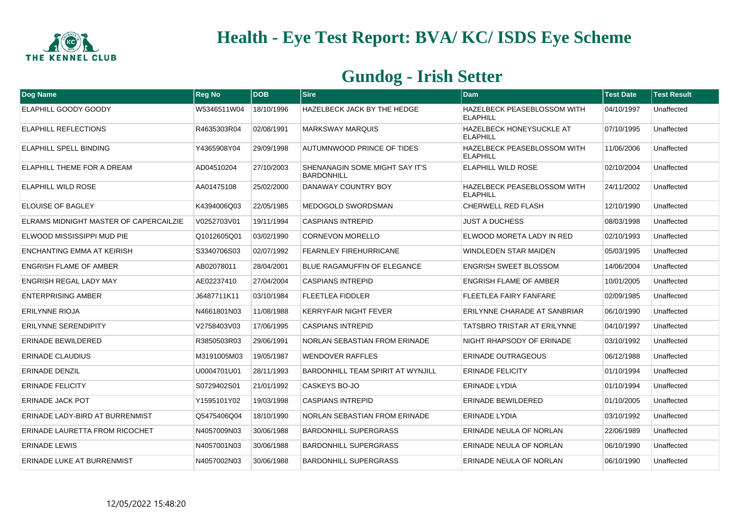

| Dog Name                               | <b>Reg No</b> | <b>DOB</b> | <b>Sire</b>                                                | <b>Dam</b>                                         | <b>Test Date</b> | <b>Test Result</b> |
|----------------------------------------|---------------|------------|------------------------------------------------------------|----------------------------------------------------|------------------|--------------------|
| <b>ELAPHILL GOODY GOODY</b>            | W5346511W04   | 18/10/1996 | HAZELBECK JACK BY THE HEDGE                                | HAZELBECK PEASEBLOSSOM WITH<br><b>ELAPHILL</b>     | 04/10/1997       | Unaffected         |
| <b>ELAPHILL REFLECTIONS</b>            | R4635303R04   | 02/08/1991 | <b>MARKSWAY MARQUIS</b>                                    | <b>HAZELBECK HONEYSUCKLE AT</b><br><b>ELAPHILL</b> | 07/10/1995       | Unaffected         |
| <b>ELAPHILL SPELL BINDING</b>          | Y4365908Y04   | 29/09/1998 | <b>AUTUMNWOOD PRINCE OF TIDES</b>                          | HAZELBECK PEASEBLOSSOM WITH<br><b>ELAPHILL</b>     | 11/06/2006       | Unaffected         |
| ELAPHILL THEME FOR A DREAM             | AD04510204    | 27/10/2003 | <b>SHENANAGIN SOME MIGHT SAY IT'S</b><br><b>BARDONHILL</b> | ELAPHILL WILD ROSE                                 | 02/10/2004       | Unaffected         |
| <b>ELAPHILL WILD ROSE</b>              | AA01475108    | 25/02/2000 | DANAWAY COUNTRY BOY                                        | HAZELBECK PEASEBLOSSOM WITH<br><b>ELAPHILL</b>     | 24/11/2002       | Unaffected         |
| ELOUISE OF BAGLEY                      | K4394006Q03   | 22/05/1985 | MEDOGOLD SWORDSMAN                                         | <b>CHERWELL RED FLASH</b>                          | 12/10/1990       | Unaffected         |
| ELRAMS MIDNIGHT MASTER OF CAPERCAILZIE | V0252703V01   | 19/11/1994 | <b>CASPIANS INTREPID</b>                                   | <b>JUST A DUCHESS</b>                              | 08/03/1998       | Unaffected         |
| ELWOOD MISSISSIPPI MUD PIE             | Q1012605Q01   | 03/02/1990 | <b>CORNEVON MORELLO</b>                                    | ELWOOD MORETA LADY IN RED                          | 02/10/1993       | Unaffected         |
| ENCHANTING EMMA AT KEIRISH             | S3340706S03   | 02/07/1992 | <b>FEARNLEY FIREHURRICANE</b>                              | <b>WINDLEDEN STAR MAIDEN</b>                       | 05/03/1995       | Unaffected         |
| <b>ENGRISH FLAME OF AMBER</b>          | AB02078011    | 28/04/2001 | <b>BLUE RAGAMUFFIN OF ELEGANCE</b>                         | <b>ENGRISH SWEET BLOSSOM</b>                       | 14/06/2004       | Unaffected         |
| <b>ENGRISH REGAL LADY MAY</b>          | AE02237410    | 27/04/2004 | <b>CASPIANS INTREPID</b>                                   | ENGRISH FLAME OF AMBER                             | 10/01/2005       | Unaffected         |
| <b>ENTERPRISING AMBER</b>              | J6487711K11   | 03/10/1984 | <b>FLEETLEA FIDDLER</b>                                    | FLEETLEA FAIRY FANFARE                             | 02/09/1985       | Unaffected         |
| <b>ERILYNNE RIOJA</b>                  | N4661801N03   | 11/08/1988 | <b>KERRYFAIR NIGHT FEVER</b>                               | ERILYNNE CHARADE AT SANBRIAR                       | 06/10/1990       | Unaffected         |
| <b>ERILYNNE SERENDIPITY</b>            | V2758403V03   | 17/06/1995 | <b>CASPIANS INTREPID</b>                                   | TATSBRO TRISTAR AT ERILYNNE                        | 04/10/1997       | Unaffected         |
| <b>ERINADE BEWILDERED</b>              | R3850503R03   | 29/06/1991 | NORLAN SEBASTIAN FROM ERINADE                              | NIGHT RHAPSODY OF ERINADE                          | 03/10/1992       | Unaffected         |
| <b>ERINADE CLAUDIUS</b>                | M3191005M03   | 19/05/1987 | <b>WENDOVER RAFFLES</b>                                    | <b>ERINADE OUTRAGEOUS</b>                          | 06/12/1988       | Unaffected         |
| <b>ERINADE DENZIL</b>                  | U0004701U01   | 28/11/1993 | <b>BARDONHILL TEAM SPIRIT AT WYNJILL</b>                   | <b>ERINADE FELICITY</b>                            | 01/10/1994       | Unaffected         |
| <b>ERINADE FELICITY</b>                | S0729402S01   | 21/01/1992 | CASKEYS BO-JO                                              | ERINADE LYDIA                                      | 01/10/1994       | Unaffected         |
| <b>ERINADE JACK POT</b>                | Y1595101Y02   | 19/03/1998 | <b>CASPIANS INTREPID</b>                                   | <b>ERINADE BEWILDERED</b>                          | 01/10/2005       | Unaffected         |
| ERINADE LADY-BIRD AT BURRENMIST        | Q5475406Q04   | 18/10/1990 | <b>NORLAN SEBASTIAN FROM ERINADE</b>                       | <b>ERINADE LYDIA</b>                               | 03/10/1992       | Unaffected         |
| <b>ERINADE LAURETTA FROM RICOCHET</b>  | N4057009N03   | 30/06/1988 | <b>BARDONHILL SUPERGRASS</b>                               | ERINADE NEULA OF NORLAN                            | 22/06/1989       | Unaffected         |
| <b>ERINADE LEWIS</b>                   | N4057001N03   | 30/06/1988 | <b>BARDONHILL SUPERGRASS</b>                               | ERINADE NEULA OF NORLAN                            | 06/10/1990       | Unaffected         |
| ERINADE LUKE AT BURRENMIST             | N4057002N03   | 30/06/1988 | <b>BARDONHILL SUPERGRASS</b>                               | ERINADE NEULA OF NORLAN                            | 06/10/1990       | Unaffected         |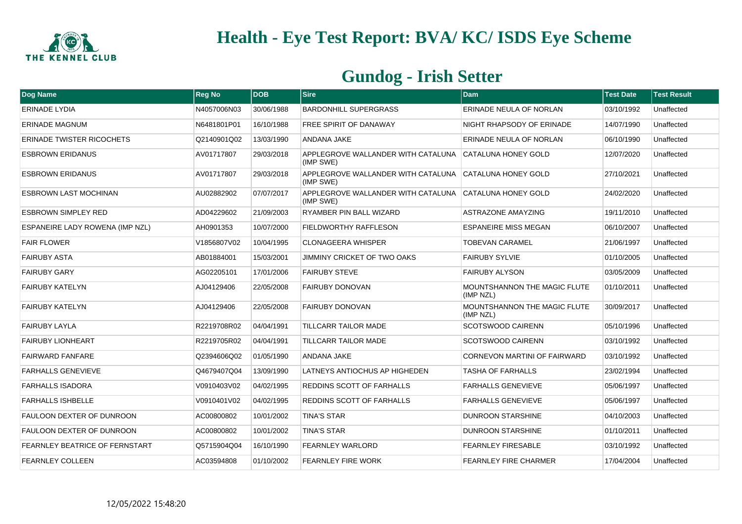

| Dog Name                         | <b>Reg No</b> | <b>DOB</b> | Sire                                            | <b>Dam</b>                                | <b>Test Date</b> | <b>Test Result</b> |
|----------------------------------|---------------|------------|-------------------------------------------------|-------------------------------------------|------------------|--------------------|
| <b>ERINADE LYDIA</b>             | N4057006N03   | 30/06/1988 | <b>BARDONHILL SUPERGRASS</b>                    | ERINADE NEULA OF NORLAN                   | 03/10/1992       | Unaffected         |
| <b>ERINADE MAGNUM</b>            | N6481801P01   | 16/10/1988 | <b>FREE SPIRIT OF DANAWAY</b>                   | NIGHT RHAPSODY OF ERINADE                 | 14/07/1990       | Unaffected         |
| <b>ERINADE TWISTER RICOCHETS</b> | Q2140901Q02   | 13/03/1990 | <b>ANDANA JAKE</b>                              | ERINADE NEULA OF NORLAN                   | 06/10/1990       | Unaffected         |
| <b>ESBROWN ERIDANUS</b>          | AV01717807    | 29/03/2018 | APPLEGROVE WALLANDER WITH CATALUNA<br>(IMP SWE) | CATALUNA HONEY GOLD                       | 12/07/2020       | Unaffected         |
| <b>ESBROWN ERIDANUS</b>          | AV01717807    | 29/03/2018 | APPLEGROVE WALLANDER WITH CATALUNA<br>(IMP SWE) | <b>CATALUNA HONEY GOLD</b>                | 27/10/2021       | Unaffected         |
| <b>ESBROWN LAST MOCHINAN</b>     | AU02882902    | 07/07/2017 | APPLEGROVE WALLANDER WITH CATALUNA<br>(IMP SWE) | CATALUNA HONEY GOLD                       | 24/02/2020       | Unaffected         |
| <b>ESBROWN SIMPLEY RED</b>       | AD04229602    | 21/09/2003 | RYAMBER PIN BALL WIZARD                         | <b>ASTRAZONE AMAYZING</b>                 | 19/11/2010       | Unaffected         |
| ESPANEIRE LADY ROWENA (IMP NZL)  | AH0901353     | 10/07/2000 | FIELDWORTHY RAFFLESON                           | <b>ESPANEIRE MISS MEGAN</b>               | 06/10/2007       | Unaffected         |
| <b>FAIR FLOWER</b>               | V1856807V02   | 10/04/1995 | <b>CLONAGEERA WHISPER</b>                       | <b>TOBEVAN CARAMEL</b>                    | 21/06/1997       | Unaffected         |
| <b>FAIRUBY ASTA</b>              | AB01884001    | 15/03/2001 | JIMMINY CRICKET OF TWO OAKS                     | <b>FAIRUBY SYLVIE</b>                     | 01/10/2005       | Unaffected         |
| <b>FAIRUBY GARY</b>              | AG02205101    | 17/01/2006 | <b>FAIRUBY STEVE</b>                            | <b>FAIRUBY ALYSON</b>                     | 03/05/2009       | Unaffected         |
| <b>FAIRUBY KATELYN</b>           | AJ04129406    | 22/05/2008 | <b>FAIRUBY DONOVAN</b>                          | MOUNTSHANNON THE MAGIC FLUTE<br>(IMP NZL) | 01/10/2011       | Unaffected         |
| <b>FAIRUBY KATELYN</b>           | AJ04129406    | 22/05/2008 | <b>FAIRUBY DONOVAN</b>                          | MOUNTSHANNON THE MAGIC FLUTE<br>(IMP NZL) | 30/09/2017       | Unaffected         |
| <b>FAIRUBY LAYLA</b>             | R2219708R02   | 04/04/1991 | <b>TILLCARR TAILOR MADE</b>                     | <b>SCOTSWOOD CAIRENN</b>                  | 05/10/1996       | Unaffected         |
| <b>FAIRUBY LIONHEART</b>         | R2219705R02   | 04/04/1991 | <b>TILLCARR TAILOR MADE</b>                     | <b>SCOTSWOOD CAIRENN</b>                  | 03/10/1992       | Unaffected         |
| <b>FAIRWARD FANFARE</b>          | Q2394606Q02   | 01/05/1990 | <b>ANDANA JAKE</b>                              | CORNEVON MARTINI OF FAIRWARD              | 03/10/1992       | Unaffected         |
| <b>FARHALLS GENEVIEVE</b>        | Q4679407Q04   | 13/09/1990 | LATNEYS ANTIOCHUS AP HIGHEDEN                   | <b>TASHA OF FARHALLS</b>                  | 23/02/1994       | Unaffected         |
| <b>FARHALLS ISADORA</b>          | V0910403V02   | 04/02/1995 | REDDINS SCOTT OF FARHALLS                       | <b>FARHALLS GENEVIEVE</b>                 | 05/06/1997       | Unaffected         |
| <b>FARHALLS ISHBELLE</b>         | V0910401V02   | 04/02/1995 | REDDINS SCOTT OF FARHALLS                       | <b>FARHALLS GENEVIEVE</b>                 | 05/06/1997       | Unaffected         |
| FAULOON DEXTER OF DUNROON        | AC00800802    | 10/01/2002 | <b>TINA'S STAR</b>                              | <b>DUNROON STARSHINE</b>                  | 04/10/2003       | Unaffected         |
| FAULOON DEXTER OF DUNROON        | AC00800802    | 10/01/2002 | <b>TINA'S STAR</b>                              | <b>DUNROON STARSHINE</b>                  | 01/10/2011       | Unaffected         |
| FEARNLEY BEATRICE OF FERNSTART   | Q5715904Q04   | 16/10/1990 | <b>FEARNLEY WARLORD</b>                         | <b>FEARNLEY FIRESABLE</b>                 | 03/10/1992       | Unaffected         |
| <b>FEARNLEY COLLEEN</b>          | AC03594808    | 01/10/2002 | <b>FEARNLEY FIRE WORK</b>                       | <b>FEARNLEY FIRE CHARMER</b>              | 17/04/2004       | Unaffected         |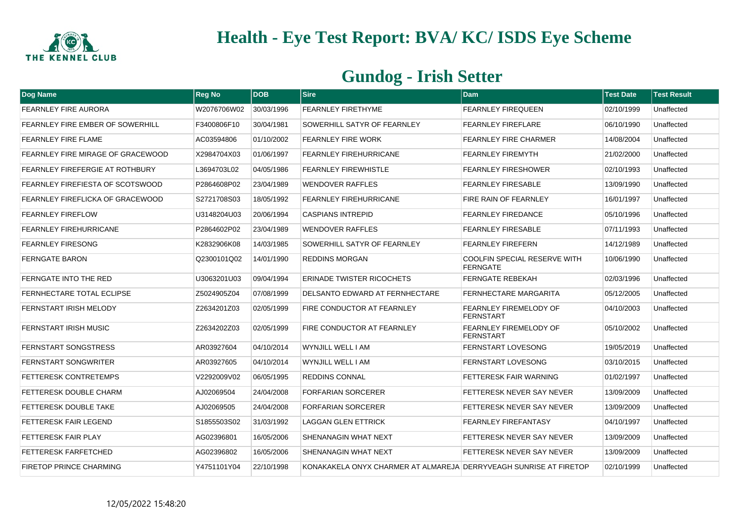

| Dog Name                          | <b>Reg No</b> | <b>DOB</b> | <b>Sire</b>                                                       | <b>Dam</b>                                             | <b>Test Date</b> | <b>Test Result</b> |
|-----------------------------------|---------------|------------|-------------------------------------------------------------------|--------------------------------------------------------|------------------|--------------------|
| <b>FEARNLEY FIRE AURORA</b>       | W2076706W02   | 30/03/1996 | <b>FEARNLEY FIRETHYME</b>                                         | <b>FEARNLEY FIREQUEEN</b>                              | 02/10/1999       | Unaffected         |
| FEARNLEY FIRE EMBER OF SOWERHILL  | F3400806F10   | 30/04/1981 | SOWERHILL SATYR OF FEARNLEY                                       | <b>FEARNLEY FIREFLARE</b>                              | 06/10/1990       | Unaffected         |
| FEARNLEY FIRE FLAME               | AC03594806    | 01/10/2002 | <b>FEARNLEY FIRE WORK</b>                                         | <b>FEARNLEY FIRE CHARMER</b>                           | 14/08/2004       | Unaffected         |
| FEARNLEY FIRE MIRAGE OF GRACEWOOD | X2984704X03   | 01/06/1997 | <b>FEARNLEY FIREHURRICANE</b>                                     | <b>FEARNLEY FIREMYTH</b>                               | 21/02/2000       | Unaffected         |
| FEARNLEY FIREFERGIE AT ROTHBURY   | L3694703L02   | 04/05/1986 | <b>FEARNLEY FIREWHISTLE</b>                                       | <b>FEARNLEY FIRESHOWER</b>                             | 02/10/1993       | Unaffected         |
| FEARNLEY FIREFIESTA OF SCOTSWOOD  | P2864608P02   | 23/04/1989 | <b>WENDOVER RAFFLES</b>                                           | <b>FEARNLEY FIRESABLE</b>                              | 13/09/1990       | Unaffected         |
| FEARNLEY FIREFLICKA OF GRACEWOOD  | S2721708S03   | 18/05/1992 | <b>FEARNLEY FIREHURRICANE</b>                                     | <b>FIRE RAIN OF FEARNLEY</b>                           | 16/01/1997       | Unaffected         |
| <b>FEARNLEY FIREFLOW</b>          | U3148204U03   | 20/06/1994 | <b>CASPIANS INTREPID</b>                                          | <b>FEARNLEY FIREDANCE</b>                              | 05/10/1996       | Unaffected         |
| <b>FEARNLEY FIREHURRICANE</b>     | P2864602P02   | 23/04/1989 | <b>WENDOVER RAFFLES</b>                                           | <b>FEARNLEY FIRESABLE</b>                              | 07/11/1993       | Unaffected         |
| <b>FEARNLEY FIRESONG</b>          | K2832906K08   | 14/03/1985 | SOWERHILL SATYR OF FEARNLEY                                       | <b>FEARNLEY FIREFERN</b>                               | 14/12/1989       | Unaffected         |
| <b>FERNGATE BARON</b>             | Q2300101Q02   | 14/01/1990 | <b>REDDINS MORGAN</b>                                             | <b>COOLFIN SPECIAL RESERVE WITH</b><br><b>FERNGATE</b> | 10/06/1990       | Unaffected         |
| FERNGATE INTO THE RED             | U3063201U03   | 09/04/1994 | <b>ERINADE TWISTER RICOCHETS</b>                                  | <b>FERNGATE REBEKAH</b>                                | 02/03/1996       | Unaffected         |
| FERNHECTARE TOTAL ECLIPSE         | Z5024905Z04   | 07/08/1999 | DELSANTO EDWARD AT FERNHECTARE                                    | FERNHECTARE MARGARITA                                  | 05/12/2005       | Unaffected         |
| <b>FERNSTART IRISH MELODY</b>     | Z2634201Z03   | 02/05/1999 | FIRE CONDUCTOR AT FEARNLEY                                        | <b>FEARNLEY FIREMELODY OF</b><br><b>FERNSTART</b>      | 04/10/2003       | Unaffected         |
| <b>FERNSTART IRISH MUSIC</b>      | Z2634202Z03   | 02/05/1999 | FIRE CONDUCTOR AT FEARNLEY                                        | <b>FEARNLEY FIREMELODY OF</b><br><b>FERNSTART</b>      | 05/10/2002       | Unaffected         |
| <b>FERNSTART SONGSTRESS</b>       | AR03927604    | 04/10/2014 | WYNJILL WELL I AM                                                 | <b>FERNSTART LOVESONG</b>                              | 19/05/2019       | Unaffected         |
| <b>FERNSTART SONGWRITER</b>       | AR03927605    | 04/10/2014 | WYNJILL WELL I AM                                                 | <b>FERNSTART LOVESONG</b>                              | 03/10/2015       | Unaffected         |
| <b>FETTERESK CONTRETEMPS</b>      | V2292009V02   | 06/05/1995 | <b>REDDINS CONNAL</b>                                             | <b>FETTERESK FAIR WARNING</b>                          | 01/02/1997       | Unaffected         |
| FETTERESK DOUBLE CHARM            | AJ02069504    | 24/04/2008 | <b>FORFARIAN SORCERER</b>                                         | FETTERESK NEVER SAY NEVER                              | 13/09/2009       | Unaffected         |
| <b>FETTERESK DOUBLE TAKE</b>      | AJ02069505    | 24/04/2008 | <b>FORFARIAN SORCERER</b>                                         | FETTERESK NEVER SAY NEVER                              | 13/09/2009       | Unaffected         |
| FETTERESK FAIR LEGEND             | S1855503S02   | 31/03/1992 | <b>LAGGAN GLEN ETTRICK</b>                                        | <b>FEARNLEY FIREFANTASY</b>                            | 04/10/1997       | Unaffected         |
| FETTERESK FAIR PLAY               | AG02396801    | 16/05/2006 | <b>SHENANAGIN WHAT NEXT</b>                                       | FETTERESK NEVER SAY NEVER                              | 13/09/2009       | Unaffected         |
| <b>FETTERESK FARFETCHED</b>       | AG02396802    | 16/05/2006 | <b>SHENANAGIN WHAT NEXT</b>                                       | FETTERESK NEVER SAY NEVER                              | 13/09/2009       | Unaffected         |
| <b>FIRETOP PRINCE CHARMING</b>    | Y4751101Y04   | 22/10/1998 | KONAKAKELA ONYX CHARMER AT ALMAREJA DERRYVEAGH SUNRISE AT FIRETOP |                                                        | 02/10/1999       | Unaffected         |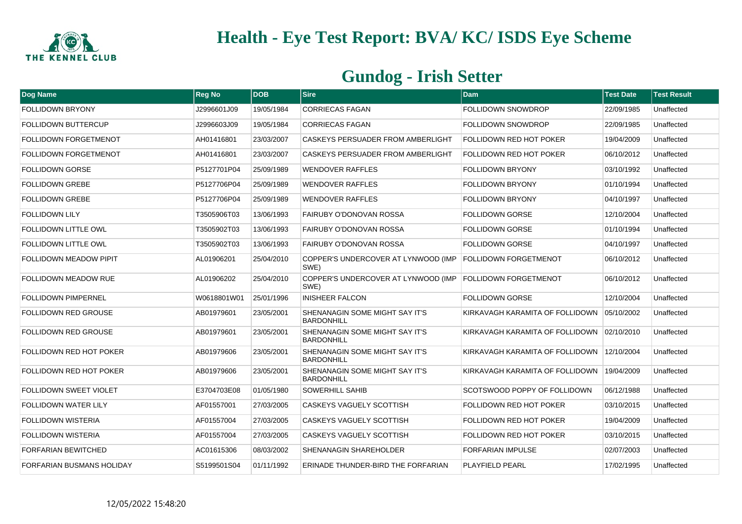

| Dog Name                         | <b>Reg No</b> | <b>DOB</b> | <b>Sire</b>                                                | <b>Dam</b>                                 | <b>Test Date</b> | <b>Test Result</b> |
|----------------------------------|---------------|------------|------------------------------------------------------------|--------------------------------------------|------------------|--------------------|
| <b>FOLLIDOWN BRYONY</b>          | J2996601J09   | 19/05/1984 | <b>CORRIECAS FAGAN</b>                                     | <b>FOLLIDOWN SNOWDROP</b>                  | 22/09/1985       | Unaffected         |
| <b>FOLLIDOWN BUTTERCUP</b>       | J2996603J09   | 19/05/1984 | <b>CORRIECAS FAGAN</b>                                     | FOLLIDOWN SNOWDROP                         | 22/09/1985       | Unaffected         |
| <b>FOLLIDOWN FORGETMENOT</b>     | AH01416801    | 23/03/2007 | <b>CASKEYS PERSUADER FROM AMBERLIGHT</b>                   | <b>FOLLIDOWN RED HOT POKER</b>             | 19/04/2009       | Unaffected         |
| <b>FOLLIDOWN FORGETMENOT</b>     | AH01416801    | 23/03/2007 | <b>CASKEYS PERSUADER FROM AMBERLIGHT</b>                   | FOLLIDOWN RED HOT POKER                    | 06/10/2012       | Unaffected         |
| <b>FOLLIDOWN GORSE</b>           | P5127701P04   | 25/09/1989 | <b>WENDOVER RAFFLES</b>                                    | <b>FOLLIDOWN BRYONY</b>                    | 03/10/1992       | Unaffected         |
| <b>FOLLIDOWN GREBE</b>           | P5127706P04   | 25/09/1989 | <b>WENDOVER RAFFLES</b>                                    | <b>FOLLIDOWN BRYONY</b>                    | 01/10/1994       | Unaffected         |
| <b>FOLLIDOWN GREBE</b>           | P5127706P04   | 25/09/1989 | <b>WENDOVER RAFFLES</b>                                    | <b>FOLLIDOWN BRYONY</b>                    | 04/10/1997       | Unaffected         |
| <b>FOLLIDOWN LILY</b>            | T3505906T03   | 13/06/1993 | <b>FAIRUBY O'DONOVAN ROSSA</b>                             | <b>FOLLIDOWN GORSE</b>                     | 12/10/2004       | Unaffected         |
| FOLLIDOWN LITTLE OWL             | T3505902T03   | 13/06/1993 | <b>FAIRUBY O'DONOVAN ROSSA</b>                             | <b>FOLLIDOWN GORSE</b>                     | 01/10/1994       | Unaffected         |
| <b>FOLLIDOWN LITTLE OWL</b>      | T3505902T03   | 13/06/1993 | FAIRUBY O'DONOVAN ROSSA                                    | <b>FOLLIDOWN GORSE</b>                     | 04/10/1997       | Unaffected         |
| <b>FOLLIDOWN MEADOW PIPIT</b>    | AL01906201    | 25/04/2010 | COPPER'S UNDERCOVER AT LYNWOOD (IMP<br>SWE)                | <b>FOLLIDOWN FORGETMENOT</b>               | 06/10/2012       | Unaffected         |
| <b>FOLLIDOWN MEADOW RUE</b>      | AL01906202    | 25/04/2010 | COPPER'S UNDERCOVER AT LYNWOOD (IMP<br>SWE)                | <b>FOLLIDOWN FORGETMENOT</b>               | 06/10/2012       | Unaffected         |
| <b>FOLLIDOWN PIMPERNEL</b>       | W0618801W01   | 25/01/1996 | <b>INISHEER FALCON</b>                                     | <b>FOLLIDOWN GORSE</b>                     | 12/10/2004       | Unaffected         |
| <b>FOLLIDOWN RED GROUSE</b>      | AB01979601    | 23/05/2001 | SHENANAGIN SOME MIGHT SAY IT'S<br><b>BARDONHILL</b>        | KIRKAVAGH KARAMITA OF FOLLIDOWN            | 05/10/2002       | Unaffected         |
| <b>FOLLIDOWN RED GROUSE</b>      | AB01979601    | 23/05/2001 | SHENANAGIN SOME MIGHT SAY IT'S<br><b>BARDONHILL</b>        | KIRKAVAGH KARAMITA OF FOLLIDOWN 02/10/2010 |                  | Unaffected         |
| <b>FOLLIDOWN RED HOT POKER</b>   | AB01979606    | 23/05/2001 | <b>SHENANAGIN SOME MIGHT SAY IT'S</b><br><b>BARDONHILL</b> | KIRKAVAGH KARAMITA OF FOLLIDOWN            | 12/10/2004       | Unaffected         |
| <b>FOLLIDOWN RED HOT POKER</b>   | AB01979606    | 23/05/2001 | <b>SHENANAGIN SOME MIGHT SAY IT'S</b><br><b>BARDONHILL</b> | KIRKAVAGH KARAMITA OF FOLLIDOWN            | 19/04/2009       | Unaffected         |
| <b>FOLLIDOWN SWEET VIOLET</b>    | E3704703E08   | 01/05/1980 | <b>SOWERHILL SAHIB</b>                                     | SCOTSWOOD POPPY OF FOLLIDOWN               | 06/12/1988       | Unaffected         |
| <b>FOLLIDOWN WATER LILY</b>      | AF01557001    | 27/03/2005 | <b>CASKEYS VAGUELY SCOTTISH</b>                            | <b>FOLLIDOWN RED HOT POKER</b>             | 03/10/2015       | Unaffected         |
| <b>FOLLIDOWN WISTERIA</b>        | AF01557004    | 27/03/2005 | <b>CASKEYS VAGUELY SCOTTISH</b>                            | FOLLIDOWN RED HOT POKER                    | 19/04/2009       | Unaffected         |
| <b>FOLLIDOWN WISTERIA</b>        | AF01557004    | 27/03/2005 | CASKEYS VAGUELY SCOTTISH                                   | <b>FOLLIDOWN RED HOT POKER</b>             | 03/10/2015       | Unaffected         |
| <b>FORFARIAN BEWITCHED</b>       | AC01615306    | 08/03/2002 | SHENANAGIN SHAREHOLDER                                     | <b>FORFARIAN IMPULSE</b>                   | 02/07/2003       | Unaffected         |
| <b>FORFARIAN BUSMANS HOLIDAY</b> | S5199501S04   | 01/11/1992 | ERINADE THUNDER-BIRD THE FORFARIAN                         | <b>PLAYFIELD PEARL</b>                     | 17/02/1995       | Unaffected         |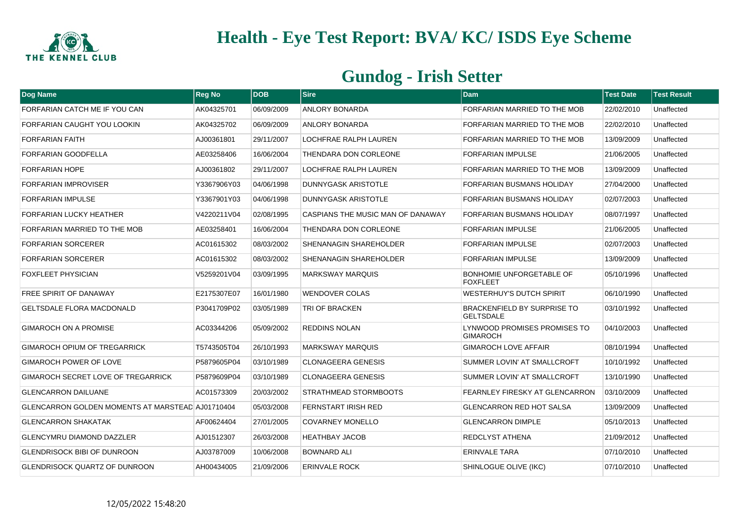

| Dog Name                                                | <b>Reg No</b> | <b>DOB</b> | <b>Sire</b>                       | <b>Dam</b>                                             | <b>Test Date</b> | <b>Test Result</b> |
|---------------------------------------------------------|---------------|------------|-----------------------------------|--------------------------------------------------------|------------------|--------------------|
| FORFARIAN CATCH ME IF YOU CAN                           | AK04325701    | 06/09/2009 | <b>ANLORY BONARDA</b>             | FORFARIAN MARRIED TO THE MOB                           | 22/02/2010       | Unaffected         |
| FORFARIAN CAUGHT YOU LOOKIN                             | AK04325702    | 06/09/2009 | <b>ANLORY BONARDA</b>             | FORFARIAN MARRIED TO THE MOB                           | 22/02/2010       | Unaffected         |
| <b>FORFARIAN FAITH</b>                                  | AJ00361801    | 29/11/2007 | LOCHFRAE RALPH LAUREN             | FORFARIAN MARRIED TO THE MOB                           | 13/09/2009       | Unaffected         |
| FORFARIAN GOODFELLA                                     | AE03258406    | 16/06/2004 | THENDARA DON CORLEONE             | <b>FORFARIAN IMPULSE</b>                               | 21/06/2005       | Unaffected         |
| <b>FORFARIAN HOPE</b>                                   | AJ00361802    | 29/11/2007 | LOCHFRAE RALPH LAUREN             | FORFARIAN MARRIED TO THE MOB                           | 13/09/2009       | Unaffected         |
| <b>FORFARIAN IMPROVISER</b>                             | Y3367906Y03   | 04/06/1998 | <b>DUNNYGASK ARISTOTLE</b>        | <b>FORFARIAN BUSMANS HOLIDAY</b>                       | 27/04/2000       | Unaffected         |
| <b>FORFARIAN IMPULSE</b>                                | Y3367901Y03   | 04/06/1998 | DUNNYGASK ARISTOTLE               | FORFARIAN BUSMANS HOLIDAY                              | 02/07/2003       | Unaffected         |
| FORFARIAN LUCKY HEATHER                                 | V4220211V04   | 02/08/1995 | CASPIANS THE MUSIC MAN OF DANAWAY | <b>FORFARIAN BUSMANS HOLIDAY</b>                       | 08/07/1997       | Unaffected         |
| FORFARIAN MARRIED TO THE MOB                            | AE03258401    | 16/06/2004 | THENDARA DON CORLEONE             | <b>FORFARIAN IMPULSE</b>                               | 21/06/2005       | Unaffected         |
| <b>FORFARIAN SORCERER</b>                               | AC01615302    | 08/03/2002 | <b>SHENANAGIN SHAREHOLDER</b>     | <b>FORFARIAN IMPULSE</b>                               | 02/07/2003       | Unaffected         |
| <b>FORFARIAN SORCERER</b>                               | AC01615302    | 08/03/2002 | <b>SHENANAGIN SHAREHOLDER</b>     | <b>FORFARIAN IMPULSE</b>                               | 13/09/2009       | Unaffected         |
| <b>FOXFLEET PHYSICIAN</b>                               | V5259201V04   | 03/09/1995 | <b>MARKSWAY MARQUIS</b>           | <b>BONHOMIE UNFORGETABLE OF</b><br><b>FOXFLEET</b>     | 05/10/1996       | Unaffected         |
| FREE SPIRIT OF DANAWAY                                  | E2175307E07   | 16/01/1980 | <b>WENDOVER COLAS</b>             | <b>WESTERHUY'S DUTCH SPIRIT</b>                        | 06/10/1990       | Unaffected         |
| <b>GELTSDALE FLORA MACDONALD</b>                        | P3041709P02   | 03/05/1989 | TRI OF BRACKEN                    | <b>BRACKENFIELD BY SURPRISE TO</b><br><b>GELTSDALE</b> | 03/10/1992       | Unaffected         |
| GIMAROCH ON A PROMISE                                   | AC03344206    | 05/09/2002 | <b>REDDINS NOLAN</b>              | LYNWOOD PROMISES PROMISES TO<br><b>GIMAROCH</b>        | 04/10/2003       | Unaffected         |
| <b>GIMAROCH OPIUM OF TREGARRICK</b>                     | T5743505T04   | 26/10/1993 | <b>MARKSWAY MARQUIS</b>           | <b>GIMAROCH LOVE AFFAIR</b>                            | 08/10/1994       | Unaffected         |
| <b>GIMAROCH POWER OF LOVE</b>                           | P5879605P04   | 03/10/1989 | <b>CLONAGEERA GENESIS</b>         | SUMMER LOVIN' AT SMALLCROFT                            | 10/10/1992       | Unaffected         |
| <b>GIMAROCH SECRET LOVE OF TREGARRICK</b>               | P5879609P04   | 03/10/1989 | <b>CLONAGEERA GENESIS</b>         | SUMMER LOVIN' AT SMALLCROFT                            | 13/10/1990       | Unaffected         |
| <b>GLENCARRON DAILUANE</b>                              | AC01573309    | 20/03/2002 | STRATHMEAD STORMBOOTS             | <b>FEARNLEY FIRESKY AT GLENCARRON</b>                  | 03/10/2009       | Unaffected         |
| <b>GLENCARRON GOLDEN MOMENTS AT MARSTEAD AJ01710404</b> |               | 05/03/2008 | <b>FERNSTART IRISH RED</b>        | <b>GLENCARRON RED HOT SALSA</b>                        | 13/09/2009       | Unaffected         |
| <b>GLENCARRON SHAKATAK</b>                              | AF00624404    | 27/01/2005 | <b>COVARNEY MONELLO</b>           | <b>GLENCARRON DIMPLE</b>                               | 05/10/2013       | Unaffected         |
| <b>GLENCYMRU DIAMOND DAZZLER</b>                        | AJ01512307    | 26/03/2008 | <b>HEATHBAY JACOB</b>             | <b>REDCLYST ATHENA</b>                                 | 21/09/2012       | Unaffected         |
| <b>GLENDRISOCK BIBI OF DUNROON</b>                      | AJ03787009    | 10/06/2008 | <b>BOWNARD ALI</b>                | <b>ERINVALE TARA</b>                                   | 07/10/2010       | Unaffected         |
| <b>GLENDRISOCK QUARTZ OF DUNROON</b>                    | AH00434005    | 21/09/2006 | <b>ERINVALE ROCK</b>              | SHINLOGUE OLIVE (IKC)                                  | 07/10/2010       | Unaffected         |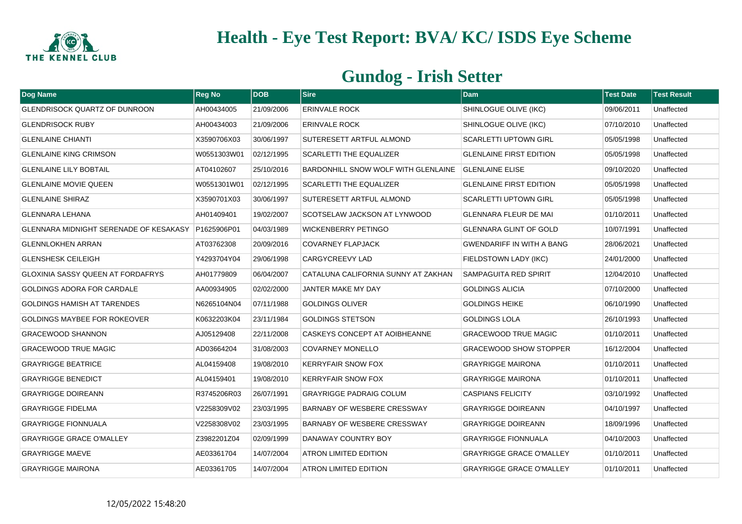

| Dog Name                               | <b>Reg No</b> | <b>DOB</b> | <b>Sire</b>                         | <b>Dam</b>                       | <b>Test Date</b> | <b>Test Result</b> |
|----------------------------------------|---------------|------------|-------------------------------------|----------------------------------|------------------|--------------------|
| <b>GLENDRISOCK QUARTZ OF DUNROON</b>   | AH00434005    | 21/09/2006 | <b>ERINVALE ROCK</b>                | SHINLOGUE OLIVE (IKC)            | 09/06/2011       | Unaffected         |
| <b>GLENDRISOCK RUBY</b>                | AH00434003    | 21/09/2006 | <b>ERINVALE ROCK</b>                | SHINLOGUE OLIVE (IKC)            | 07/10/2010       | Unaffected         |
| <b>GLENLAINE CHIANTI</b>               | X3590706X03   | 30/06/1997 | <b>SUTERESETT ARTFUL ALMOND</b>     | <b>SCARLETTI UPTOWN GIRL</b>     | 05/05/1998       | Unaffected         |
| <b>GLENLAINE KING CRIMSON</b>          | W0551303W01   | 02/12/1995 | <b>SCARLETTI THE EQUALIZER</b>      | <b>GLENLAINE FIRST EDITION</b>   | 05/05/1998       | Unaffected         |
| <b>GLENLAINE LILY BOBTAIL</b>          | AT04102607    | 25/10/2016 | BARDONHILL SNOW WOLF WITH GLENLAINE | <b>GLENLAINE ELISE</b>           | 09/10/2020       | Unaffected         |
| <b>GLENLAINE MOVIE QUEEN</b>           | W0551301W01   | 02/12/1995 | <b>SCARLETTI THE EQUALIZER</b>      | <b>GLENLAINE FIRST EDITION</b>   | 05/05/1998       | Unaffected         |
| <b>GLENLAINE SHIRAZ</b>                | X3590701X03   | 30/06/1997 | SUTERESETT ARTFUL ALMOND            | <b>SCARLETTI UPTOWN GIRL</b>     | 05/05/1998       | Unaffected         |
| <b>GLENNARA LEHANA</b>                 | AH01409401    | 19/02/2007 | SCOTSELAW JACKSON AT LYNWOOD        | <b>GLENNARA FLEUR DE MAI</b>     | 01/10/2011       | Unaffected         |
| GLENNARA MIDNIGHT SERENADE OF KESAKASY | P1625906P01   | 04/03/1989 | <b>WICKENBERRY PETINGO</b>          | <b>GLENNARA GLINT OF GOLD</b>    | 10/07/1991       | Unaffected         |
| <b>GLENNLOKHEN ARRAN</b>               | AT03762308    | 20/09/2016 | <b>COVARNEY FLAPJACK</b>            | <b>GWENDARIFF IN WITH A BANG</b> | 28/06/2021       | Unaffected         |
| <b>GLENSHESK CEILEIGH</b>              | Y4293704Y04   | 29/06/1998 | <b>CARGYCREEVY LAD</b>              | FIELDSTOWN LADY (IKC)            | 24/01/2000       | Unaffected         |
| GLOXINIA SASSY QUEEN AT FORDAFRYS      | AH01779809    | 06/04/2007 | CATALUNA CALIFORNIA SUNNY AT ZAKHAN | <b>SAMPAGUITA RED SPIRIT</b>     | 12/04/2010       | Unaffected         |
| GOLDINGS ADORA FOR CARDALE             | AA00934905    | 02/02/2000 | JANTER MAKE MY DAY                  | <b>GOLDINGS ALICIA</b>           | 07/10/2000       | Unaffected         |
| <b>GOLDINGS HAMISH AT TARENDES</b>     | N6265104N04   | 07/11/1988 | <b>GOLDINGS OLIVER</b>              | <b>GOLDINGS HEIKE</b>            | 06/10/1990       | Unaffected         |
| <b>GOLDINGS MAYBEE FOR ROKEOVER</b>    | K0632203K04   | 23/11/1984 | <b>GOLDINGS STETSON</b>             | <b>GOLDINGS LOLA</b>             | 26/10/1993       | Unaffected         |
| <b>GRACEWOOD SHANNON</b>               | AJ05129408    | 22/11/2008 | CASKEYS CONCEPT AT AOIBHEANNE       | <b>GRACEWOOD TRUE MAGIC</b>      | 01/10/2011       | Unaffected         |
| <b>GRACEWOOD TRUE MAGIC</b>            | AD03664204    | 31/08/2003 | <b>COVARNEY MONELLO</b>             | <b>GRACEWOOD SHOW STOPPER</b>    | 16/12/2004       | Unaffected         |
| <b>GRAYRIGGE BEATRICE</b>              | AL04159408    | 19/08/2010 | <b>KERRYFAIR SNOW FOX</b>           | <b>GRAYRIGGE MAIRONA</b>         | 01/10/2011       | Unaffected         |
| <b>GRAYRIGGE BENEDICT</b>              | AL04159401    | 19/08/2010 | <b>KERRYFAIR SNOW FOX</b>           | <b>GRAYRIGGE MAIRONA</b>         | 01/10/2011       | Unaffected         |
| <b>GRAYRIGGE DOIREANN</b>              | R3745206R03   | 26/07/1991 | <b>GRAYRIGGE PADRAIG COLUM</b>      | <b>CASPIANS FELICITY</b>         | 03/10/1992       | Unaffected         |
| <b>GRAYRIGGE FIDELMA</b>               | V2258309V02   | 23/03/1995 | <b>BARNABY OF WESBERE CRESSWAY</b>  | <b>GRAYRIGGE DOIREANN</b>        | 04/10/1997       | Unaffected         |
| <b>GRAYRIGGE FIONNUALA</b>             | V2258308V02   | 23/03/1995 | <b>BARNABY OF WESBERE CRESSWAY</b>  | <b>GRAYRIGGE DOIREANN</b>        | 18/09/1996       | Unaffected         |
| <b>GRAYRIGGE GRACE O'MALLEY</b>        | Z3982201Z04   | 02/09/1999 | DANAWAY COUNTRY BOY                 | <b>GRAYRIGGE FIONNUALA</b>       | 04/10/2003       | Unaffected         |
| <b>GRAYRIGGE MAEVE</b>                 | AE03361704    | 14/07/2004 | ATRON LIMITED EDITION               | <b>GRAYRIGGE GRACE O'MALLEY</b>  | 01/10/2011       | Unaffected         |
| <b>GRAYRIGGE MAIRONA</b>               | AE03361705    | 14/07/2004 | ATRON LIMITED EDITION               | <b>GRAYRIGGE GRACE O'MALLEY</b>  | 01/10/2011       | Unaffected         |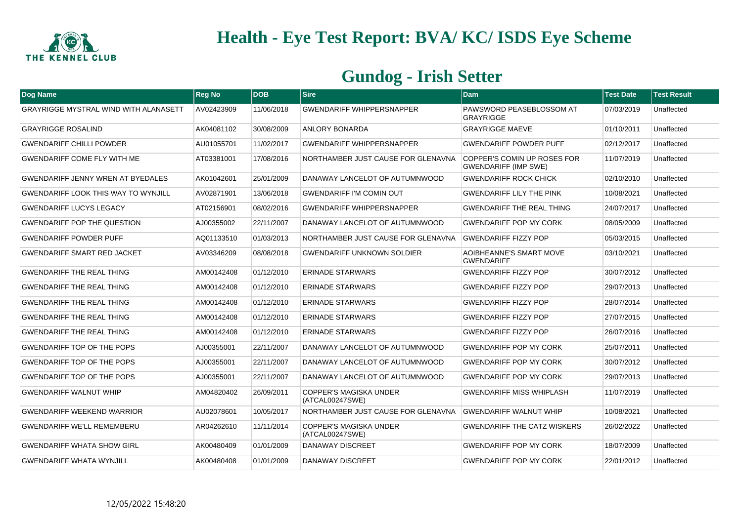

| Dog Name                                     | <b>Reg No</b> | <b>DOB</b> | <b>Sire</b>                                      | <b>Dam</b>                                                 | <b>Test Date</b> | <b>Test Result</b> |
|----------------------------------------------|---------------|------------|--------------------------------------------------|------------------------------------------------------------|------------------|--------------------|
| <b>GRAYRIGGE MYSTRAL WIND WITH ALANASETT</b> | AV02423909    | 11/06/2018 | <b>GWENDARIFF WHIPPERSNAPPER</b>                 | PAWSWORD PEASEBLOSSOM AT<br><b>GRAYRIGGE</b>               | 07/03/2019       | Unaffected         |
| <b>GRAYRIGGE ROSALIND</b>                    | AK04081102    | 30/08/2009 | <b>ANLORY BONARDA</b>                            | <b>GRAYRIGGE MAEVE</b>                                     | 01/10/2011       | Unaffected         |
| <b>GWENDARIFF CHILLI POWDER</b>              | AU01055701    | 11/02/2017 | <b>GWENDARIFF WHIPPERSNAPPER</b>                 | <b>GWENDARIFF POWDER PUFF</b>                              | 02/12/2017       | Unaffected         |
| <b>GWENDARIFF COME FLY WITH ME</b>           | AT03381001    | 17/08/2016 | NORTHAMBER JUST CAUSE FOR GLENAVNA               | COPPER'S COMIN UP ROSES FOR<br><b>GWENDARIFF (IMP SWE)</b> | 11/07/2019       | Unaffected         |
| <b>GWENDARIFF JENNY WREN AT BYEDALES</b>     | AK01042601    | 25/01/2009 | DANAWAY LANCELOT OF AUTUMNWOOD                   | <b>GWENDARIFF ROCK CHICK</b>                               | 02/10/2010       | Unaffected         |
| <b>GWENDARIFF LOOK THIS WAY TO WYNJILL</b>   | AV02871901    | 13/06/2018 | <b>GWENDARIFF I'M COMIN OUT</b>                  | <b>GWENDARIFF LILY THE PINK</b>                            | 10/08/2021       | Unaffected         |
| <b>GWENDARIFF LUCYS LEGACY</b>               | AT02156901    | 08/02/2016 | <b>GWENDARIFF WHIPPERSNAPPER</b>                 | <b>GWENDARIFF THE REAL THING</b>                           | 24/07/2017       | Unaffected         |
| <b>GWENDARIFF POP THE QUESTION</b>           | AJ00355002    | 22/11/2007 | DANAWAY LANCELOT OF AUTUMNWOOD                   | <b>GWENDARIFF POP MY CORK</b>                              | 08/05/2009       | Unaffected         |
| <b>GWENDARIFF POWDER PUFF</b>                | AQ01133510    | 01/03/2013 | NORTHAMBER JUST CAUSE FOR GLENAVNA               | <b>GWENDARIFF FIZZY POP</b>                                | 05/03/2015       | Unaffected         |
| <b>GWENDARIFF SMART RED JACKET</b>           | AV03346209    | 08/08/2018 | <b>GWENDARIFF UNKNOWN SOLDIER</b>                | AOIBHEANNE'S SMART MOVE<br><b>GWENDARIFF</b>               | 03/10/2021       | Unaffected         |
| <b>GWENDARIFF THE REAL THING</b>             | AM00142408    | 01/12/2010 | <b>ERINADE STARWARS</b>                          | <b>GWENDARIFF FIZZY POP</b>                                | 30/07/2012       | Unaffected         |
| <b>GWENDARIFF THE REAL THING</b>             | AM00142408    | 01/12/2010 | <b>ERINADE STARWARS</b>                          | <b>GWENDARIFF FIZZY POP</b>                                | 29/07/2013       | Unaffected         |
| <b>GWENDARIFF THE REAL THING</b>             | AM00142408    | 01/12/2010 | <b>ERINADE STARWARS</b>                          | <b>GWENDARIFF FIZZY POP</b>                                | 28/07/2014       | Unaffected         |
| <b>GWENDARIFF THE REAL THING</b>             | AM00142408    | 01/12/2010 | <b>ERINADE STARWARS</b>                          | <b>GWENDARIFF FIZZY POP</b>                                | 27/07/2015       | Unaffected         |
| <b>GWENDARIFF THE REAL THING</b>             | AM00142408    | 01/12/2010 | <b>ERINADE STARWARS</b>                          | <b>GWENDARIFF FIZZY POP</b>                                | 26/07/2016       | Unaffected         |
| <b>GWENDARIFF TOP OF THE POPS</b>            | AJ00355001    | 22/11/2007 | DANAWAY LANCELOT OF AUTUMNWOOD                   | <b>GWENDARIFF POP MY CORK</b>                              | 25/07/2011       | Unaffected         |
| <b>GWENDARIFF TOP OF THE POPS</b>            | AJ00355001    | 22/11/2007 | DANAWAY LANCELOT OF AUTUMNWOOD                   | <b>GWENDARIFF POP MY CORK</b>                              | 30/07/2012       | Unaffected         |
| <b>GWENDARIFF TOP OF THE POPS</b>            | AJ00355001    | 22/11/2007 | DANAWAY LANCELOT OF AUTUMNWOOD                   | <b>GWENDARIFF POP MY CORK</b>                              | 29/07/2013       | Unaffected         |
| <b>GWENDARIFF WALNUT WHIP</b>                | AM04820402    | 26/09/2011 | <b>COPPER'S MAGISKA UNDER</b><br>(ATCAL00247SWE) | <b>GWENDARIFF MISS WHIPLASH</b>                            | 11/07/2019       | Unaffected         |
| <b>GWENDARIFF WEEKEND WARRIOR</b>            | AU02078601    | 10/05/2017 | NORTHAMBER JUST CAUSE FOR GLENAVNA               | <b>GWENDARIFF WALNUT WHIP</b>                              | 10/08/2021       | Unaffected         |
| <b>GWENDARIFF WE'LL REMEMBERU</b>            | AR04262610    | 11/11/2014 | <b>COPPER'S MAGISKA UNDER</b><br>(ATCAL00247SWE) | <b>GWENDARIFF THE CATZ WISKERS</b>                         | 26/02/2022       | Unaffected         |
| <b>GWENDARIFF WHATA SHOW GIRL</b>            | AK00480409    | 01/01/2009 | DANAWAY DISCREET                                 | <b>GWENDARIFF POP MY CORK</b>                              | 18/07/2009       | Unaffected         |
| <b>GWENDARIFF WHATA WYNJILL</b>              | AK00480408    | 01/01/2009 | DANAWAY DISCREET                                 | <b>GWENDARIFF POP MY CORK</b>                              | 22/01/2012       | Unaffected         |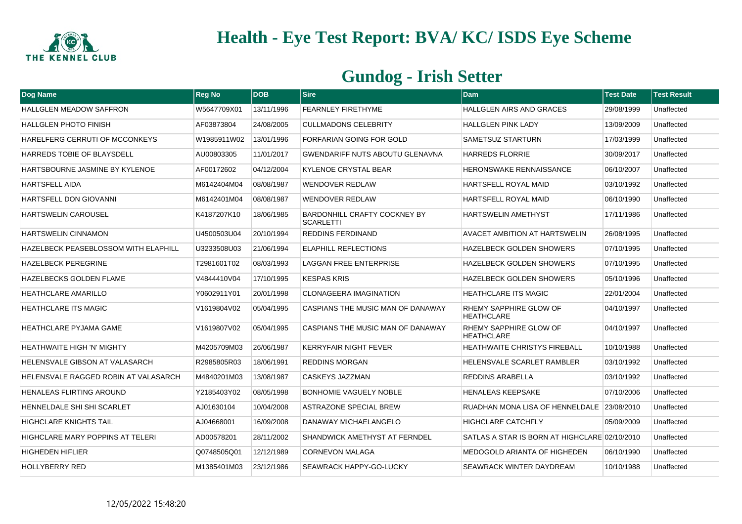

| Dog Name                                | <b>Reg No</b> | <b>DOB</b> | <b>Sire</b>                                             | <b>Dam</b>                                    | <b>Test Date</b> | <b>Test Result</b> |
|-----------------------------------------|---------------|------------|---------------------------------------------------------|-----------------------------------------------|------------------|--------------------|
| <b>HALLGLEN MEADOW SAFFRON</b>          | W5647709X01   | 13/11/1996 | <b>FEARNLEY FIRETHYME</b>                               | <b>HALLGLEN AIRS AND GRACES</b>               | 29/08/1999       | Unaffected         |
| <b>HALLGLEN PHOTO FINISH</b>            | AF03873804    | 24/08/2005 | <b>CULLMADONS CELEBRITY</b>                             | <b>HALLGLEN PINK LADY</b>                     | 13/09/2009       | Unaffected         |
| HARELFERG CERRUTI OF MCCONKEYS          | W1985911W02   | 13/01/1996 | FORFARIAN GOING FOR GOLD                                | SAMETSUZ STARTURN                             | 17/03/1999       | Unaffected         |
| HARREDS TOBIE OF BLAYSDELL              | AU00803305    | 11/01/2017 | <b>GWENDARIFF NUTS ABOUTU GLENAVNA</b>                  | <b>HARREDS FLORRIE</b>                        | 30/09/2017       | Unaffected         |
| HARTSBOURNE JASMINE BY KYLENOE          | AF00172602    | 04/12/2004 | <b>KYLENOE CRYSTAL BEAR</b>                             | HERONSWAKE RENNAISSANCE                       | 06/10/2007       | Unaffected         |
| <b>HARTSFELL AIDA</b>                   | M6142404M04   | 08/08/1987 | <b>WENDOVER REDLAW</b>                                  | <b>HARTSFELL ROYAL MAID</b>                   | 03/10/1992       | Unaffected         |
| HARTSFELL DON GIOVANNI                  | M6142401M04   | 08/08/1987 | <b>WENDOVER REDLAW</b>                                  | <b>HARTSFELL ROYAL MAID</b>                   | 06/10/1990       | Unaffected         |
| <b>HARTSWELIN CAROUSEL</b>              | K4187207K10   | 18/06/1985 | <b>BARDONHILL CRAFTY COCKNEY BY</b><br><b>SCARLETTI</b> | <b>HARTSWELIN AMETHYST</b>                    | 17/11/1986       | Unaffected         |
| <b>HARTSWELIN CINNAMON</b>              | U4500503U04   | 20/10/1994 | <b>REDDINS FERDINAND</b>                                | AVACET AMBITION AT HARTSWELIN                 | 26/08/1995       | Unaffected         |
| HAZELBECK PEASEBLOSSOM WITH ELAPHILL    | U3233508U03   | 21/06/1994 | <b>ELAPHILL REFLECTIONS</b>                             | <b>HAZELBECK GOLDEN SHOWERS</b>               | 07/10/1995       | Unaffected         |
| <b>HAZELBECK PEREGRINE</b>              | T2981601T02   | 08/03/1993 | LAGGAN FREE ENTERPRISE                                  | <b>HAZELBECK GOLDEN SHOWERS</b>               | 07/10/1995       | Unaffected         |
| <b>HAZELBECKS GOLDEN FLAME</b>          | V4844410V04   | 17/10/1995 | <b>KESPAS KRIS</b>                                      | <b>HAZELBECK GOLDEN SHOWERS</b>               | 05/10/1996       | Unaffected         |
| <b>HEATHCLARE AMARILLO</b>              | Y0602911Y01   | 20/01/1998 | <b>CLONAGEERA IMAGINATION</b>                           | <b>HEATHCLARE ITS MAGIC</b>                   | 22/01/2004       | Unaffected         |
| <b>HEATHCLARE ITS MAGIC</b>             | V1619804V02   | 05/04/1995 | CASPIANS THE MUSIC MAN OF DANAWAY                       | RHEMY SAPPHIRE GLOW OF<br><b>HEATHCLARE</b>   | 04/10/1997       | Unaffected         |
| <b>HEATHCLARE PYJAMA GAME</b>           | V1619807V02   | 05/04/1995 | CASPIANS THE MUSIC MAN OF DANAWAY                       | RHEMY SAPPHIRE GLOW OF<br><b>HEATHCLARE</b>   | 04/10/1997       | Unaffected         |
| <b>HEATHWAITE HIGH 'N' MIGHTY</b>       | M4205709M03   | 26/06/1987 | <b>KERRYFAIR NIGHT FEVER</b>                            | <b>HEATHWAITE CHRISTYS FIREBALL</b>           | 10/10/1988       | Unaffected         |
| <b>HELENSVALE GIBSON AT VALASARCH</b>   | R2985805R03   | 18/06/1991 | <b>REDDINS MORGAN</b>                                   | HELENSVALE SCARLET RAMBLER                    | 03/10/1992       | Unaffected         |
| HELENSVALE RAGGED ROBIN AT VALASARCH    | M4840201M03   | 13/08/1987 | CASKEYS JAZZMAN                                         | REDDINS ARABELLA                              | 03/10/1992       | Unaffected         |
| <b>HENALEAS FLIRTING AROUND</b>         | Y2185403Y02   | 08/05/1998 | <b>BONHOMIE VAGUELY NOBLE</b>                           | <b>HENALEAS KEEPSAKE</b>                      | 07/10/2006       | Unaffected         |
| HENNELDALE SHI SHI SCARLET              | AJ01630104    | 10/04/2008 | ASTRAZONE SPECIAL BREW                                  | RUADHAN MONA LISA OF HENNELDALE 23/08/2010    |                  | Unaffected         |
| <b>HIGHCLARE KNIGHTS TAIL</b>           | AJ04668001    | 16/09/2008 | DANAWAY MICHAELANGELO                                   | <b>HIGHCLARE CATCHFLY</b>                     | 05/09/2009       | Unaffected         |
| <b>HIGHCLARE MARY POPPINS AT TELERI</b> | AD00578201    | 28/11/2002 | SHANDWICK AMETHYST AT FERNDEL                           | SATLAS A STAR IS BORN AT HIGHCLARE 02/10/2010 |                  | Unaffected         |
| <b>HIGHEDEN HIFLIER</b>                 | Q0748505Q01   | 12/12/1989 | <b>CORNEVON MALAGA</b>                                  | MEDOGOLD ARIANTA OF HIGHEDEN                  | 06/10/1990       | Unaffected         |
| <b>HOLLYBERRY RED</b>                   | M1385401M03   | 23/12/1986 | SEAWRACK HAPPY-GO-LUCKY                                 | SEAWRACK WINTER DAYDREAM                      | 10/10/1988       | Unaffected         |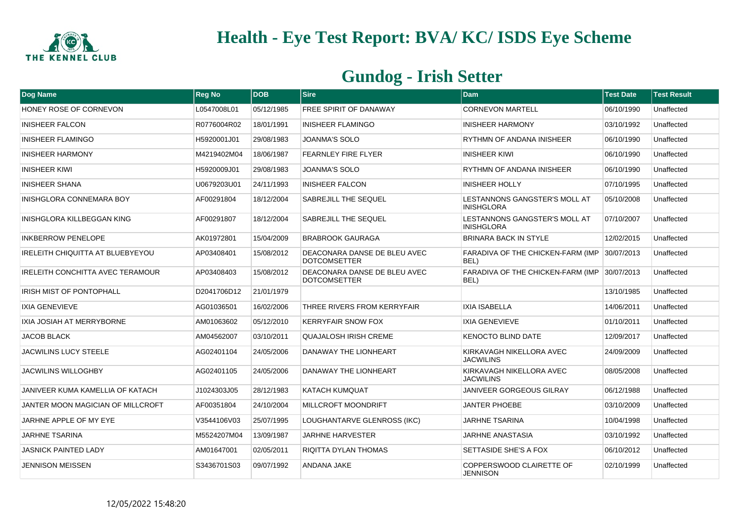

| Dog Name                                | <b>Reg No</b> | <b>DOB</b> | Sire                                                | <b>Dam</b>                                         | <b>Test Date</b> | <b>Test Result</b> |
|-----------------------------------------|---------------|------------|-----------------------------------------------------|----------------------------------------------------|------------------|--------------------|
| HONEY ROSE OF CORNEVON                  | L0547008L01   | 05/12/1985 | <b>FREE SPIRIT OF DANAWAY</b>                       | <b>CORNEVON MARTELL</b>                            | 06/10/1990       | Unaffected         |
| <b>INISHEER FALCON</b>                  | R0776004R02   | 18/01/1991 | <b>INISHEER FLAMINGO</b>                            | <b>INISHEER HARMONY</b>                            | 03/10/1992       | Unaffected         |
| <b>INISHEER FLAMINGO</b>                | H5920001J01   | 29/08/1983 | <b>JOANMA'S SOLO</b>                                | RYTHMN OF ANDANA INISHEER                          | 06/10/1990       | Unaffected         |
| <b>INISHEER HARMONY</b>                 | M4219402M04   | 18/06/1987 | <b>FEARNLEY FIRE FLYER</b>                          | <b>INISHEER KIWI</b>                               | 06/10/1990       | Unaffected         |
| <b>INISHEER KIWI</b>                    | H5920009J01   | 29/08/1983 | <b>JOANMA'S SOLO</b>                                | RYTHMN OF ANDANA INISHEER                          | 06/10/1990       | Unaffected         |
| <b>INISHEER SHANA</b>                   | U0679203U01   | 24/11/1993 | <b>INISHEER FALCON</b>                              | <b>INISHEER HOLLY</b>                              | 07/10/1995       | Unaffected         |
| <b>INISHGLORA CONNEMARA BOY</b>         | AF00291804    | 18/12/2004 | <b>SABREJILL THE SEQUEL</b>                         | LESTANNONS GANGSTER'S MOLL AT<br><b>INISHGLORA</b> | 05/10/2008       | Unaffected         |
| INISHGLORA KILLBEGGAN KING              | AF00291807    | 18/12/2004 | <b>SABREJILL THE SEQUEL</b>                         | LESTANNONS GANGSTER'S MOLL AT<br><b>INISHGLORA</b> | 07/10/2007       | Unaffected         |
| <b>INKBERROW PENELOPE</b>               | AK01972801    | 15/04/2009 | <b>BRABROOK GAURAGA</b>                             | <b>BRINARA BACK IN STYLE</b>                       | 12/02/2015       | Unaffected         |
| IRELEITH CHIQUITTA AT BLUEBYEYOU        | AP03408401    | 15/08/2012 | DEACONARA DANSE DE BLEU AVEC<br><b>DOTCOMSETTER</b> | FARADIVA OF THE CHICKEN-FARM (IMP<br>BEL)          | 30/07/2013       | Unaffected         |
| <b>IRELEITH CONCHITTA AVEC TERAMOUR</b> | AP03408403    | 15/08/2012 | DEACONARA DANSE DE BLEU AVEC<br><b>DOTCOMSETTER</b> | FARADIVA OF THE CHICKEN-FARM (IMP<br>BEL)          | 30/07/2013       | Unaffected         |
| <b>IRISH MIST OF PONTOPHALL</b>         | D2041706D12   | 21/01/1979 |                                                     |                                                    | 13/10/1985       | Unaffected         |
| <b>IXIA GENEVIEVE</b>                   | AG01036501    | 16/02/2006 | THREE RIVERS FROM KERRYFAIR                         | <b>IXIA ISABELLA</b>                               | 14/06/2011       | Unaffected         |
| IXIA JOSIAH AT MERRYBORNE               | AM01063602    | 05/12/2010 | <b>KERRYFAIR SNOW FOX</b>                           | IXIA GENEVIEVE                                     | 01/10/2011       | Unaffected         |
| <b>JACOB BLACK</b>                      | AM04562007    | 03/10/2011 | <b>QUAJALOSH IRISH CREME</b>                        | KENOCTO BLIND DATE                                 | 12/09/2017       | Unaffected         |
| <b>JACWILINS LUCY STEELE</b>            | AG02401104    | 24/05/2006 | DANAWAY THE LIONHEART                               | KIRKAVAGH NIKELLORA AVEC<br><b>JACWILINS</b>       | 24/09/2009       | Unaffected         |
| <b>JACWILINS WILLOGHBY</b>              | AG02401105    | 24/05/2006 | DANAWAY THE LIONHEART                               | KIRKAVAGH NIKELLORA AVEC<br><b>JACWILINS</b>       | 08/05/2008       | Unaffected         |
| JANIVEER KUMA KAMELLIA OF KATACH        | J1024303J05   | 28/12/1983 | <b>KATACH KUMQUAT</b>                               | <b>JANIVEER GORGEOUS GILRAY</b>                    | 06/12/1988       | Unaffected         |
| JANTER MOON MAGICIAN OF MILLCROFT       | AF00351804    | 24/10/2004 | <b>MILLCROFT MOONDRIFT</b>                          | <b>JANTER PHOEBE</b>                               | 03/10/2009       | Unaffected         |
| JARHNE APPLE OF MY EYE                  | V3544106V03   | 25/07/1995 | LOUGHANTARVE GLENROSS (IKC)                         | <b>JARHNE TSARINA</b>                              | 10/04/1998       | Unaffected         |
| <b>JARHNE TSARINA</b>                   | M5524207M04   | 13/09/1987 | <b>JARHNE HARVESTER</b>                             | JARHNE ANASTASIA                                   | 03/10/1992       | Unaffected         |
| <b>JASNICK PAINTED LADY</b>             | AM01647001    | 02/05/2011 | <b>RIQITTA DYLAN THOMAS</b>                         | <b>SETTASIDE SHE'S A FOX</b>                       | 06/10/2012       | Unaffected         |
| <b>JENNISON MEISSEN</b>                 | S3436701S03   | 09/07/1992 | ANDANA JAKE                                         | COPPERSWOOD CLAIRETTE OF<br><b>JENNISON</b>        | 02/10/1999       | Unaffected         |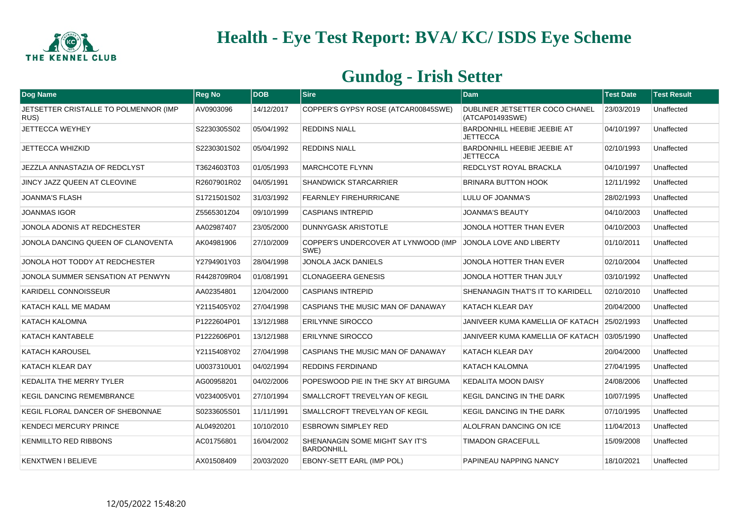

| Dog Name                                      | <b>Reg No</b> | <b>IDOB</b> | <b>Sire</b>                                         | <b>Dam</b>                                            | <b>Test Date</b> | <b>Test Result</b> |
|-----------------------------------------------|---------------|-------------|-----------------------------------------------------|-------------------------------------------------------|------------------|--------------------|
| JETSETTER CRISTALLE TO POLMENNOR (IMP<br>RUS) | AV0903096     | 14/12/2017  | COPPER'S GYPSY ROSE (ATCAR00845SWE)                 | DUBLINER JETSETTER COCO CHANEL<br>(ATCAP01493SWE)     | 23/03/2019       | Unaffected         |
| JETTECCA WEYHEY                               | S2230305S02   | 05/04/1992  | <b>REDDINS NIALL</b>                                | <b>BARDONHILL HEEBIE JEEBIE AT</b><br><b>JETTECCA</b> | 04/10/1997       | Unaffected         |
| <b>JETTECCA WHIZKID</b>                       | S2230301S02   | 05/04/1992  | <b>REDDINS NIALL</b>                                | BARDONHILL HEEBIE JEEBIE AT<br><b>JETTECCA</b>        | 02/10/1993       | Unaffected         |
| JEZZLA ANNASTAZIA OF REDCLYST                 | T3624603T03   | 01/05/1993  | <b>MARCHCOTE FLYNN</b>                              | REDCLYST ROYAL BRACKLA                                | 04/10/1997       | Unaffected         |
| JINCY JAZZ QUEEN AT CLEOVINE                  | R2607901R02   | 04/05/1991  | <b>SHANDWICK STARCARRIER</b>                        | <b>BRINARA BUTTON HOOK</b>                            | 12/11/1992       | Unaffected         |
| <b>JOANMA'S FLASH</b>                         | S1721501S02   | 31/03/1992  | <b>FEARNLEY FIREHURRICANE</b>                       | LULU OF JOANMA'S                                      | 28/02/1993       | Unaffected         |
| <b>JOANMAS IGOR</b>                           | Z5565301Z04   | 09/10/1999  | <b>CASPIANS INTREPID</b>                            | JOANMA'S BEAUTY                                       | 04/10/2003       | Unaffected         |
| JONOLA ADONIS AT REDCHESTER                   | AA02987407    | 23/05/2000  | <b>DUNNYGASK ARISTOTLE</b>                          | JONOLA HOTTER THAN EVER                               | 04/10/2003       | Unaffected         |
| JONOLA DANCING QUEEN OF CLANOVENTA            | AK04981906    | 27/10/2009  | COPPER'S UNDERCOVER AT LYNWOOD (IMP<br>SWE)         | JONOLA LOVE AND LIBERTY                               | 01/10/2011       | Unaffected         |
| JONOLA HOT TODDY AT REDCHESTER                | Y2794901Y03   | 28/04/1998  | JONOLA JACK DANIELS                                 | JONOLA HOTTER THAN EVER                               | 02/10/2004       | Unaffected         |
| JONOLA SUMMER SENSATION AT PENWYN             | R4428709R04   | 01/08/1991  | <b>CLONAGEERA GENESIS</b>                           | JONOLA HOTTER THAN JULY                               | 03/10/1992       | Unaffected         |
| <b>KARIDELL CONNOISSEUR</b>                   | AA02354801    | 12/04/2000  | <b>CASPIANS INTREPID</b>                            | SHENANAGIN THAT'S IT TO KARIDELL                      | 02/10/2010       | Unaffected         |
| <b>KATACH KALL ME MADAM</b>                   | Y2115405Y02   | 27/04/1998  | CASPIANS THE MUSIC MAN OF DANAWAY                   | KATACH KLEAR DAY                                      | 20/04/2000       | Unaffected         |
| <b>KATACH KALOMNA</b>                         | P1222604P01   | 13/12/1988  | <b>ERILYNNE SIROCCO</b>                             | JANIVEER KUMA KAMELLIA OF KATACH 125/02/1993          |                  | Unaffected         |
| <b>KATACH KANTABELE</b>                       | P1222606P01   | 13/12/1988  | <b>ERILYNNE SIROCCO</b>                             | JANIVEER KUMA KAMELLIA OF KATACH ∣03/05/1990          |                  | Unaffected         |
| <b>KATACH KAROUSEL</b>                        | Y2115408Y02   | 27/04/1998  | CASPIANS THE MUSIC MAN OF DANAWAY                   | KATACH KLEAR DAY                                      | 20/04/2000       | Unaffected         |
| <b>KATACH KLEAR DAY</b>                       | U0037310U01   | 04/02/1994  | <b>REDDINS FERDINAND</b>                            | <b>KATACH KALOMNA</b>                                 | 27/04/1995       | Unaffected         |
| <b>KEDALITA THE MERRY TYLER</b>               | AG00958201    | 04/02/2006  | POPESWOOD PIE IN THE SKY AT BIRGUMA                 | <b>KEDALITA MOON DAISY</b>                            | 24/08/2006       | Unaffected         |
| <b>KEGIL DANCING REMEMBRANCE</b>              | V0234005V01   | 27/10/1994  | <b>SMALLCROFT TREVELYAN OF KEGIL</b>                | <b>KEGIL DANCING IN THE DARK</b>                      | 10/07/1995       | Unaffected         |
| KEGIL FLORAL DANCER OF SHEBONNAE              | S0233605S01   | 11/11/1991  | SMALLCROFT TREVELYAN OF KEGIL                       | KEGIL DANCING IN THE DARK                             | 07/10/1995       | Unaffected         |
| <b>KENDECI MERCURY PRINCE</b>                 | AL04920201    | 10/10/2010  | <b>ESBROWN SIMPLEY RED</b>                          | ALOLFRAN DANCING ON ICE                               | 11/04/2013       | Unaffected         |
| <b>KENMILLTO RED RIBBONS</b>                  | AC01756801    | 16/04/2002  | SHENANAGIN SOME MIGHT SAY IT'S<br><b>BARDONHILL</b> | <b>TIMADON GRACEFULL</b>                              | 15/09/2008       | Unaffected         |
| <b>KENXTWEN I BELIEVE</b>                     | AX01508409    | 20/03/2020  | EBONY-SETT EARL (IMP POL)                           | PAPINEAU NAPPING NANCY                                | 18/10/2021       | Unaffected         |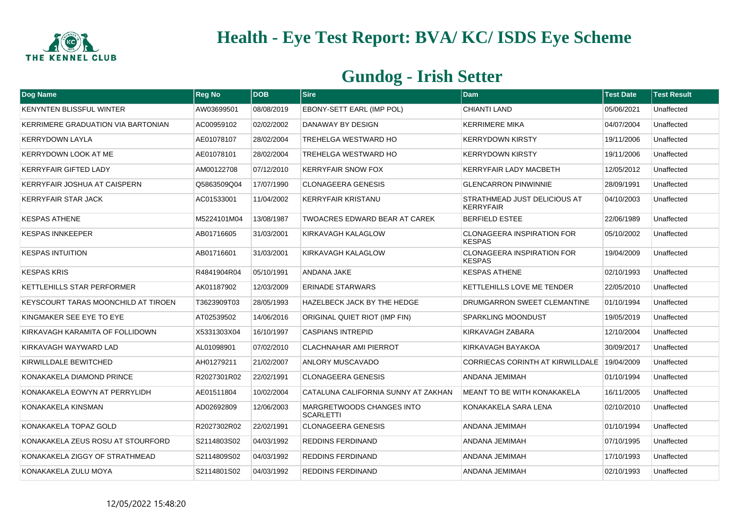

| Dog Name                                  | <b>Reg No</b> | <b>DOB</b> | Sire                                          | Dam                                                | <b>Test Date</b> | <b>Test Result</b> |
|-------------------------------------------|---------------|------------|-----------------------------------------------|----------------------------------------------------|------------------|--------------------|
| <b>KENYNTEN BLISSFUL WINTER</b>           | AW03699501    | 08/08/2019 | EBONY-SETT EARL (IMP POL)                     | CHIANTI LAND                                       | 05/06/2021       | Unaffected         |
| <b>KERRIMERE GRADUATION VIA BARTONIAN</b> | AC00959102    | 02/02/2002 | DANAWAY BY DESIGN                             | <b>KERRIMERE MIKA</b>                              | 04/07/2004       | Unaffected         |
| <b>KERRYDOWN LAYLA</b>                    | AE01078107    | 28/02/2004 | TREHELGA WESTWARD HO                          | <b>KERRYDOWN KIRSTY</b>                            | 19/11/2006       | Unaffected         |
| <b>KERRYDOWN LOOK AT ME</b>               | AE01078101    | 28/02/2004 | TREHELGA WESTWARD HO                          | <b>KERRYDOWN KIRSTY</b>                            | 19/11/2006       | Unaffected         |
| <b>KERRYFAIR GIFTED LADY</b>              | AM00122708    | 07/12/2010 | <b>KERRYFAIR SNOW FOX</b>                     | <b>KERRYFAIR LADY MACBETH</b>                      | 12/05/2012       | Unaffected         |
| <b>KERRYFAIR JOSHUA AT CAISPERN</b>       | Q5863509Q04   | 17/07/1990 | <b>CLONAGEERA GENESIS</b>                     | <b>GLENCARRON PINWINNIE</b>                        | 28/09/1991       | Unaffected         |
| <b>KERRYFAIR STAR JACK</b>                | AC01533001    | 11/04/2002 | <b>KERRYFAIR KRISTANU</b>                     | STRATHMEAD JUST DELICIOUS AT<br><b>KERRYFAIR</b>   | 04/10/2003       | Unaffected         |
| <b>KESPAS ATHENE</b>                      | M5224101M04   | 13/08/1987 | TWOACRES EDWARD BEAR AT CAREK                 | <b>BERFIELD ESTEE</b>                              | 22/06/1989       | Unaffected         |
| <b>KESPAS INNKEEPER</b>                   | AB01716605    | 31/03/2001 | KIRKAVAGH KALAGLOW                            | <b>CLONAGEERA INSPIRATION FOR</b><br><b>KESPAS</b> | 05/10/2002       | Unaffected         |
| <b>KESPAS INTUITION</b>                   | AB01716601    | 31/03/2001 | KIRKAVAGH KALAGLOW                            | <b>CLONAGEERA INSPIRATION FOR</b><br><b>KESPAS</b> | 19/04/2009       | Unaffected         |
| <b>KESPAS KRIS</b>                        | R4841904R04   | 05/10/1991 | <b>ANDANA JAKE</b>                            | <b>KESPAS ATHENE</b>                               | 02/10/1993       | Unaffected         |
| KETTLEHILLS STAR PERFORMER                | AK01187902    | 12/03/2009 | <b>ERINADE STARWARS</b>                       | KETTLEHILLS LOVE ME TENDER                         | 22/05/2010       | Unaffected         |
| KEYSCOURT TARAS MOONCHILD AT TIROEN       | T3623909T03   | 28/05/1993 | HAZELBECK JACK BY THE HEDGE                   | DRUMGARRON SWEET CLEMANTINE                        | 01/10/1994       | Unaffected         |
| KINGMAKER SEE EYE TO EYE                  | AT02539502    | 14/06/2016 | ORIGINAL QUIET RIOT (IMP FIN)                 | <b>SPARKLING MOONDUST</b>                          | 19/05/2019       | Unaffected         |
| KIRKAVAGH KARAMITA OF FOLLIDOWN           | X5331303X04   | 16/10/1997 | <b>CASPIANS INTREPID</b>                      | KIRKAVAGH ZABARA                                   | 12/10/2004       | Unaffected         |
| KIRKAVAGH WAYWARD LAD                     | AL01098901    | 07/02/2010 | <b>CLACHNAHAR AMI PIERROT</b>                 | KIRKAVAGH BAYAKOA                                  | 30/09/2017       | Unaffected         |
| KIRWILLDALE BEWITCHED                     | AH01279211    | 21/02/2007 | <b>ANLORY MUSCAVADO</b>                       | <b>CORRIECAS CORINTH AT KIRWILLDALE</b>            | 19/04/2009       | Unaffected         |
| KONAKAKELA DIAMOND PRINCE                 | R2027301R02   | 22/02/1991 | <b>CLONAGEERA GENESIS</b>                     | ANDANA JEMIMAH                                     | 01/10/1994       | Unaffected         |
| KONAKAKELA EOWYN AT PERRYLIDH             | AE01511804    | 10/02/2004 | CATALUNA CALIFORNIA SUNNY AT ZAKHAN           | MEANT TO BE WITH KONAKAKELA                        | 16/11/2005       | Unaffected         |
| KONAKAKELA KINSMAN                        | AD02692809    | 12/06/2003 | MARGRETWOODS CHANGES INTO<br><b>SCARLETTI</b> | KONAKAKELA SARA LENA                               | 02/10/2010       | Unaffected         |
| KONAKAKELA TOPAZ GOLD                     | R2027302R02   | 22/02/1991 | <b>CLONAGEERA GENESIS</b>                     | <b>ANDANA JEMIMAH</b>                              | 01/10/1994       | Unaffected         |
| KONAKAKELA ZEUS ROSU AT STOURFORD         | S2114803S02   | 04/03/1992 | <b>REDDINS FERDINAND</b>                      | ANDANA JEMIMAH                                     | 07/10/1995       | Unaffected         |
| KONAKAKELA ZIGGY OF STRATHMEAD            | S2114809S02   | 04/03/1992 | <b>REDDINS FERDINAND</b>                      | ANDANA JEMIMAH                                     | 17/10/1993       | Unaffected         |
| KONAKAKELA ZULU MOYA                      | S2114801S02   | 04/03/1992 | <b>REDDINS FERDINAND</b>                      | ANDANA JEMIMAH                                     | 02/10/1993       | Unaffected         |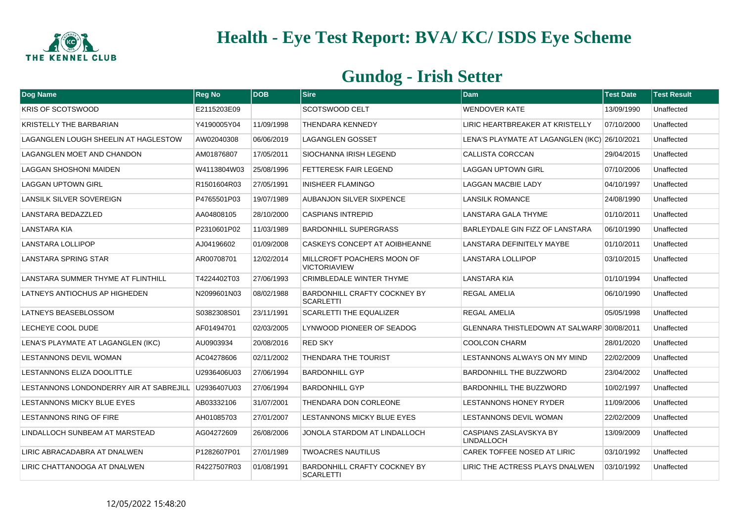

| <b>Dog Name</b>                         | <b>Reg No</b> | <b>DOB</b> | <b>Sire</b>                                             | <b>Dam</b>                                         | <b>Test Date</b> | <b>Test Result</b> |
|-----------------------------------------|---------------|------------|---------------------------------------------------------|----------------------------------------------------|------------------|--------------------|
| <b>KRIS OF SCOTSWOOD</b>                | E2115203E09   |            | <b>SCOTSWOOD CELT</b>                                   | <b>WENDOVER KATE</b>                               | 13/09/1990       | Unaffected         |
| KRISTELLY THE BARBARIAN                 | Y4190005Y04   | 11/09/1998 | <b>THENDARA KENNEDY</b>                                 | LIRIC HEARTBREAKER AT KRISTELLY                    | 07/10/2000       | Unaffected         |
| LAGANGLEN LOUGH SHEELIN AT HAGLESTOW    | AW02040308    | 06/06/2019 | <b>LAGANGLEN GOSSET</b>                                 | LENA'S PLAYMATE AT LAGANGLEN (IKC) 26/10/2021      |                  | Unaffected         |
| <b>LAGANGLEN MOET AND CHANDON</b>       | AM01876807    | 17/05/2011 | SIOCHANNA IRISH LEGEND                                  | CALLISTA CORCCAN                                   | 29/04/2015       | Unaffected         |
| LAGGAN SHOSHONI MAIDEN                  | W4113804W03   | 25/08/1996 | <b>FETTERESK FAIR LEGEND</b>                            | <b>LAGGAN UPTOWN GIRL</b>                          | 07/10/2006       | Unaffected         |
| <b>LAGGAN UPTOWN GIRL</b>               | R1501604R03   | 27/05/1991 | <b>INISHEER FLAMINGO</b>                                | <b>LAGGAN MACBIE LADY</b>                          | 04/10/1997       | Unaffected         |
| LANSILK SILVER SOVEREIGN                | P4765501P03   | 19/07/1989 | <b>AUBANJON SILVER SIXPENCE</b>                         | <b>LANSILK ROMANCE</b>                             | 24/08/1990       | Unaffected         |
| LANSTARA BEDAZZLED                      | AA04808105    | 28/10/2000 | <b>CASPIANS INTREPID</b>                                | LANSTARA GALA THYME                                | 01/10/2011       | Unaffected         |
| <b>LANSTARA KIA</b>                     | P2310601P02   | 11/03/1989 | <b>BARDONHILL SUPERGRASS</b>                            | BARLEYDALE GIN FIZZ OF LANSTARA                    | 06/10/1990       | Unaffected         |
| <b>LANSTARA LOLLIPOP</b>                | AJ04196602    | 01/09/2008 | CASKEYS CONCEPT AT AOIBHEANNE                           | LANSTARA DEFINITELY MAYBE                          | 01/10/2011       | Unaffected         |
| <b>LANSTARA SPRING STAR</b>             | AR00708701    | 12/02/2014 | MILLCROFT POACHERS MOON OF<br><b>VICTORIAVIEW</b>       | LANSTARA LOLLIPOP                                  | 03/10/2015       | Unaffected         |
| LANSTARA SUMMER THYME AT FLINTHILL      | T4224402T03   | 27/06/1993 | CRIMBLEDALE WINTER THYME                                | <b>LANSTARA KIA</b>                                | 01/10/1994       | Unaffected         |
| LATNEYS ANTIOCHUS AP HIGHEDEN           | N2099601N03   | 08/02/1988 | <b>BARDONHILL CRAFTY COCKNEY BY</b><br><b>SCARLETTI</b> | <b>REGAL AMELIA</b>                                | 06/10/1990       | Unaffected         |
| LATNEYS BEASEBLOSSOM                    | S0382308S01   | 23/11/1991 | <b>SCARLETTI THE EQUALIZER</b>                          | <b>REGAL AMELIA</b>                                | 05/05/1998       | Unaffected         |
| LECHEYE COOL DUDE                       | AF01494701    | 02/03/2005 | LYNWOOD PIONEER OF SEADOG                               | GLENNARA THISTLEDOWN AT SALWARP 30/08/2011         |                  | Unaffected         |
| LENA'S PLAYMATE AT LAGANGLEN (IKC)      | AU0903934     | 20/08/2016 | <b>RED SKY</b>                                          | <b>COOLCON CHARM</b>                               | 28/01/2020       | Unaffected         |
| LESTANNONS DEVIL WOMAN                  | AC04278606    | 02/11/2002 | THENDARA THE TOURIST                                    | LESTANNONS ALWAYS ON MY MIND                       | 22/02/2009       | Unaffected         |
| LESTANNONS ELIZA DOOLITTLE              | U2936406U03   | 27/06/1994 | <b>BARDONHILL GYP</b>                                   | <b>BARDONHILL THE BUZZWORD</b>                     | 23/04/2002       | Unaffected         |
| LESTANNONS LONDONDERRY AIR AT SABREJILL | U2936407U03   | 27/06/1994 | <b>BARDONHILL GYP</b>                                   | <b>BARDONHILL THE BUZZWORD</b>                     | 10/02/1997       | Unaffected         |
| LESTANNONS MICKY BLUE EYES              | AB03332106    | 31/07/2001 | THENDARA DON CORLEONE                                   | <b>LESTANNONS HONEY RYDER</b>                      | 11/09/2006       | Unaffected         |
| LESTANNONS RING OF FIRE                 | AH01085703    | 27/01/2007 | LESTANNONS MICKY BLUE EYES                              | LESTANNONS DEVIL WOMAN                             | 22/02/2009       | Unaffected         |
| LINDALLOCH SUNBEAM AT MARSTEAD          | AG04272609    | 26/08/2006 | JONOLA STARDOM AT LINDALLOCH                            | <b>CASPIANS ZASLAVSKYA BY</b><br><b>LINDALLOCH</b> | 13/09/2009       | Unaffected         |
| LIRIC ABRACADABRA AT DNALWEN            | P1282607P01   | 27/01/1989 | <b>TWOACRES NAUTILUS</b>                                | CAREK TOFFEE NOSED AT LIRIC                        | 03/10/1992       | Unaffected         |
| LIRIC CHATTANOOGA AT DNALWEN            | R4227507R03   | 01/08/1991 | BARDONHILL CRAFTY COCKNEY BY<br><b>SCARLETTI</b>        | LIRIC THE ACTRESS PLAYS DNALWEN                    | 03/10/1992       | Unaffected         |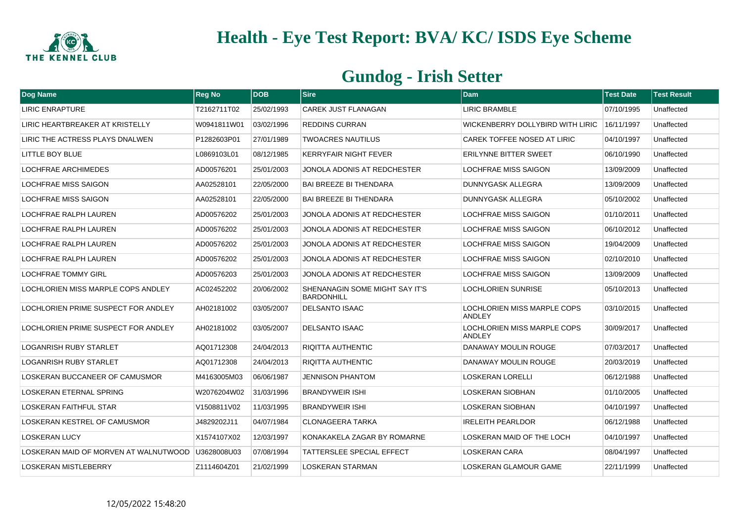

| Dog Name                              | <b>Reg No</b> | DOB        | <b>Sire</b>                                  | <b>Dam</b>                                   | <b>Test Date</b> | <b>Test Result</b> |
|---------------------------------------|---------------|------------|----------------------------------------------|----------------------------------------------|------------------|--------------------|
| <b>LIRIC ENRAPTURE</b>                | T2162711T02   | 25/02/1993 | <b>CAREK JUST FLANAGAN</b>                   | <b>LIRIC BRAMBLE</b>                         | 07/10/1995       | Unaffected         |
| LIRIC HEARTBREAKER AT KRISTELLY       | W0941811W01   | 03/02/1996 | <b>REDDINS CURRAN</b>                        | WICKENBERRY DOLLYBIRD WITH LIRIC             | 16/11/1997       | Unaffected         |
| LIRIC THE ACTRESS PLAYS DNALWEN       | P1282603P01   | 27/01/1989 | <b>TWOACRES NAUTILUS</b>                     | CAREK TOFFEE NOSED AT LIRIC                  | 04/10/1997       | Unaffected         |
| LITTLE BOY BLUE                       | L0869103L01   | 08/12/1985 | <b>KERRYFAIR NIGHT FEVER</b>                 | <b>ERILYNNE BITTER SWEET</b>                 | 06/10/1990       | Unaffected         |
| <b>LOCHFRAE ARCHIMEDES</b>            | AD00576201    | 25/01/2003 | JONOLA ADONIS AT REDCHESTER                  | <b>LOCHFRAE MISS SAIGON</b>                  | 13/09/2009       | Unaffected         |
| LOCHFRAE MISS SAIGON                  | AA02528101    | 22/05/2000 | <b>BAI BREEZE BI THENDARA</b>                | DUNNYGASK ALLEGRA                            | 13/09/2009       | Unaffected         |
| <b>LOCHFRAE MISS SAIGON</b>           | AA02528101    | 22/05/2000 | <b>BAI BREEZE BI THENDARA</b>                | <b>DUNNYGASK ALLEGRA</b>                     | 05/10/2002       | Unaffected         |
| LOCHFRAE RALPH LAUREN                 | AD00576202    | 25/01/2003 | JONOLA ADONIS AT REDCHESTER                  | <b>LOCHFRAE MISS SAIGON</b>                  | 01/10/2011       | Unaffected         |
| LOCHFRAE RALPH LAUREN                 | AD00576202    | 25/01/2003 | JONOLA ADONIS AT REDCHESTER                  | <b>LOCHFRAE MISS SAIGON</b>                  | 06/10/2012       | Unaffected         |
| LOCHFRAE RALPH LAUREN                 | AD00576202    | 25/01/2003 | JONOLA ADONIS AT REDCHESTER                  | <b>LOCHFRAE MISS SAIGON</b>                  | 19/04/2009       | Unaffected         |
| LOCHFRAE RALPH LAUREN                 | AD00576202    | 25/01/2003 | JONOLA ADONIS AT REDCHESTER                  | <b>LOCHFRAE MISS SAIGON</b>                  | 02/10/2010       | Unaffected         |
| <b>LOCHFRAE TOMMY GIRL</b>            | AD00576203    | 25/01/2003 | JONOLA ADONIS AT REDCHESTER                  | LOCHFRAE MISS SAIGON                         | 13/09/2009       | Unaffected         |
| LOCHLORIEN MISS MARPLE COPS ANDLEY    | AC02452202    | 20/06/2002 | SHENANAGIN SOME MIGHT SAY IT'S<br>BARDONHILL | <b>LOCHLORIEN SUNRISE</b>                    | 05/10/2013       | Unaffected         |
| LOCHLORIEN PRIME SUSPECT FOR ANDLEY   | AH02181002    | 03/05/2007 | <b>DELSANTO ISAAC</b>                        | <b>LOCHLORIEN MISS MARPLE COPS</b><br>ANDLEY | 03/10/2015       | Unaffected         |
| LOCHLORIEN PRIME SUSPECT FOR ANDLEY   | AH02181002    | 03/05/2007 | <b>DELSANTO ISAAC</b>                        | LOCHLORIEN MISS MARPLE COPS<br><b>ANDLEY</b> | 30/09/2017       | Unaffected         |
| <b>LOGANRISH RUBY STARLET</b>         | AQ01712308    | 24/04/2013 | <b>RIQITTA AUTHENTIC</b>                     | <b>DANAWAY MOULIN ROUGE</b>                  | 07/03/2017       | Unaffected         |
| <b>LOGANRISH RUBY STARLET</b>         | AQ01712308    | 24/04/2013 | <b>RIQITTA AUTHENTIC</b>                     | DANAWAY MOULIN ROUGE                         | 20/03/2019       | Unaffected         |
| LOSKERAN BUCCANEER OF CAMUSMOR        | M4163005M03   | 06/06/1987 | <b>JENNISON PHANTOM</b>                      | <b>LOSKERAN LORELLI</b>                      | 06/12/1988       | Unaffected         |
| LOSKERAN ETERNAL SPRING               | W2076204W02   | 31/03/1996 | <b>BRANDYWEIR ISHI</b>                       | <b>LOSKERAN SIOBHAN</b>                      | 01/10/2005       | Unaffected         |
| LOSKERAN FAITHFUL STAR                | V1508811V02   | 11/03/1995 | <b>BRANDYWEIR ISHI</b>                       | <b>LOSKERAN SIOBHAN</b>                      | 04/10/1997       | Unaffected         |
| LOSKERAN KESTREL OF CAMUSMOR          | J4829202J11   | 04/07/1984 | <b>CLONAGEERA TARKA</b>                      | <b>IRELEITH PEARLDOR</b>                     | 06/12/1988       | Unaffected         |
| <b>LOSKERAN LUCY</b>                  | X1574107X02   | 12/03/1997 | KONAKAKELA ZAGAR BY ROMARNE                  | LOSKERAN MAID OF THE LOCH                    | 04/10/1997       | Unaffected         |
| LOSKERAN MAID OF MORVEN AT WALNUTWOOD | U3628008U03   | 07/08/1994 | <b>TATTERSLEE SPECIAL EFFECT</b>             | <b>LOSKERAN CARA</b>                         | 08/04/1997       | Unaffected         |
| LOSKERAN MISTLEBERRY                  | Z1114604Z01   | 21/02/1999 | <b>LOSKERAN STARMAN</b>                      | LOSKERAN GLAMOUR GAME                        | 22/11/1999       | Unaffected         |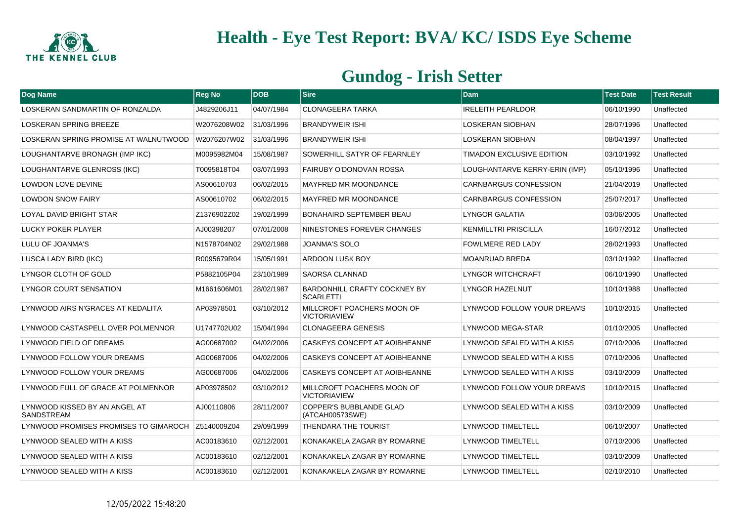

| Dog Name                                    | <b>Reg No</b> | <b>DOB</b> | <b>Sire</b>                                             | <b>Dam</b>                    | <b>Test Date</b> | <b>Test Result</b> |
|---------------------------------------------|---------------|------------|---------------------------------------------------------|-------------------------------|------------------|--------------------|
| LOSKERAN SANDMARTIN OF RONZALDA             | J4829206J11   | 04/07/1984 | CLONAGEERA TARKA                                        | <b>IRELEITH PEARLDOR</b>      | 06/10/1990       | Unaffected         |
| <b>LOSKERAN SPRING BREEZE</b>               | W2076208W02   | 31/03/1996 | <b>BRANDYWEIR ISHI</b>                                  | <b>LOSKERAN SIOBHAN</b>       | 28/07/1996       | Unaffected         |
| LOSKERAN SPRING PROMISE AT WALNUTWOOD       | W2076207W02   | 31/03/1996 | <b>BRANDYWEIR ISHI</b>                                  | <b>LOSKERAN SIOBHAN</b>       | 08/04/1997       | Unaffected         |
| LOUGHANTARVE BRONAGH (IMP IKC)              | M0095982M04   | 15/08/1987 | SOWERHILL SATYR OF FEARNLEY                             | TIMADON EXCLUSIVE EDITION     | 03/10/1992       | Unaffected         |
| LOUGHANTARVE GLENROSS (IKC)                 | T0095818T04   | 03/07/1993 | <b>FAIRUBY O'DONOVAN ROSSA</b>                          | LOUGHANTARVE KERRY-ERIN (IMP) | 05/10/1996       | Unaffected         |
| LOWDON LOVE DEVINE                          | AS00610703    | 06/02/2015 | <b>MAYFRED MR MOONDANCE</b>                             | <b>CARNBARGUS CONFESSION</b>  | 21/04/2019       | Unaffected         |
| <b>LOWDON SNOW FAIRY</b>                    | AS00610702    | 06/02/2015 | <b>MAYFRED MR MOONDANCE</b>                             | <b>CARNBARGUS CONFESSION</b>  | 25/07/2017       | Unaffected         |
| <b>LOYAL DAVID BRIGHT STAR</b>              | Z1376902Z02   | 19/02/1999 | <b>BONAHAIRD SEPTEMBER BEAU</b>                         | LYNGOR GALATIA                | 03/06/2005       | Unaffected         |
| <b>LUCKY POKER PLAYER</b>                   | AJ00398207    | 07/01/2008 | NINESTONES FOREVER CHANGES                              | <b>KENMILLTRI PRISCILLA</b>   | 16/07/2012       | Unaffected         |
| LULU OF JOANMA'S                            | N1578704N02   | 29/02/1988 | <b>JOANMA'S SOLO</b>                                    | <b>FOWLMERE RED LADY</b>      | 28/02/1993       | Unaffected         |
| LUSCA LADY BIRD (IKC)                       | R0095679R04   | 15/05/1991 | ARDOON LUSK BOY                                         | <b>MOANRUAD BREDA</b>         | 03/10/1992       | Unaffected         |
| LYNGOR CLOTH OF GOLD                        | P5882105P04   | 23/10/1989 | <b>SAORSA CLANNAD</b>                                   | LYNGOR WITCHCRAFT             | 06/10/1990       | Unaffected         |
| LYNGOR COURT SENSATION                      | M1661606M01   | 28/02/1987 | <b>BARDONHILL CRAFTY COCKNEY BY</b><br><b>SCARLETTI</b> | LYNGOR HAZELNUT               | 10/10/1988       | Unaffected         |
| LYNWOOD AIRS N'GRACES AT KEDALITA           | AP03978501    | 03/10/2012 | MILLCROFT POACHERS MOON OF<br><b>VICTORIAVIEW</b>       | LYNWOOD FOLLOW YOUR DREAMS    | 10/10/2015       | Unaffected         |
| LYNWOOD CASTASPELL OVER POLMENNOR           | U1747702U02   | 15/04/1994 | <b>CLONAGEERA GENESIS</b>                               | LYNWOOD MEGA-STAR             | 01/10/2005       | Unaffected         |
| LYNWOOD FIELD OF DREAMS                     | AG00687002    | 04/02/2006 | CASKEYS CONCEPT AT AOIBHEANNE                           | LYNWOOD SEALED WITH A KISS    | 07/10/2006       | Unaffected         |
| LYNWOOD FOLLOW YOUR DREAMS                  | AG00687006    | 04/02/2006 | CASKEYS CONCEPT AT AOIBHEANNE                           | LYNWOOD SEALED WITH A KISS    | 07/10/2006       | Unaffected         |
| LYNWOOD FOLLOW YOUR DREAMS                  | AG00687006    | 04/02/2006 | CASKEYS CONCEPT AT AOIBHEANNE                           | LYNWOOD SEALED WITH A KISS    | 03/10/2009       | Unaffected         |
| LYNWOOD FULL OF GRACE AT POLMENNOR          | AP03978502    | 03/10/2012 | MILLCROFT POACHERS MOON OF<br><b>VICTORIAVIEW</b>       | LYNWOOD FOLLOW YOUR DREAMS    | 10/10/2015       | Unaffected         |
| LYNWOOD KISSED BY AN ANGEL AT<br>SANDSTREAM | AJ00110806    | 28/11/2007 | COPPER'S BUBBLANDE GLAD<br>(ATCAH00573SWE)              | LYNWOOD SEALED WITH A KISS    | 03/10/2009       | Unaffected         |
| LYNWOOD PROMISES PROMISES TO GIMAROCH       | Z5140009Z04   | 29/09/1999 | <b>THENDARA THE TOURIST</b>                             | <b>LYNWOOD TIMELTELL</b>      | 06/10/2007       | Unaffected         |
| LYNWOOD SEALED WITH A KISS                  | AC00183610    | 02/12/2001 | KONAKAKELA ZAGAR BY ROMARNE                             | LYNWOOD TIMELTELL             | 07/10/2006       | Unaffected         |
| LYNWOOD SEALED WITH A KISS                  | AC00183610    | 02/12/2001 | KONAKAKELA ZAGAR BY ROMARNE                             | <b>LYNWOOD TIMELTELL</b>      | 03/10/2009       | Unaffected         |
| LYNWOOD SEALED WITH A KISS                  | AC00183610    | 02/12/2001 | KONAKAKELA ZAGAR BY ROMARNE                             | LYNWOOD TIMELTELL             | 02/10/2010       | Unaffected         |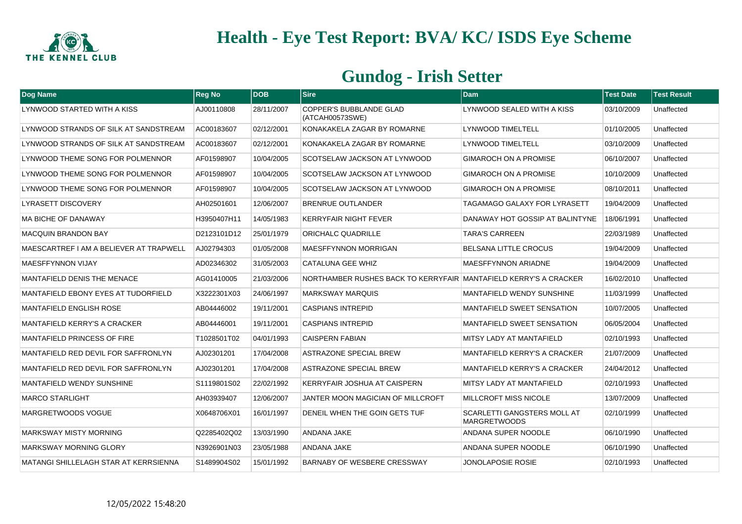

| Dog Name                                | <b>Reg No</b> | <b>DOB</b> | <b>Sire</b>                                                      | <b>Dam</b>                                                | <b>Test Date</b> | <b>Test Result</b> |
|-----------------------------------------|---------------|------------|------------------------------------------------------------------|-----------------------------------------------------------|------------------|--------------------|
| LYNWOOD STARTED WITH A KISS             | AJ00110808    | 28/11/2007 | COPPER'S BUBBLANDE GLAD<br>(ATCAH00573SWE)                       | LYNWOOD SEALED WITH A KISS                                | 03/10/2009       | Unaffected         |
| LYNWOOD STRANDS OF SILK AT SANDSTREAM   | AC00183607    | 02/12/2001 | KONAKAKELA ZAGAR BY ROMARNE                                      | <b>LYNWOOD TIMELTELL</b>                                  | 01/10/2005       | Unaffected         |
| LYNWOOD STRANDS OF SILK AT SANDSTREAM   | AC00183607    | 02/12/2001 | KONAKAKELA ZAGAR BY ROMARNE                                      | <b>LYNWOOD TIMELTELL</b>                                  | 03/10/2009       | Unaffected         |
| LYNWOOD THEME SONG FOR POLMENNOR        | AF01598907    | 10/04/2005 | <b>SCOTSELAW JACKSON AT LYNWOOD</b>                              | <b>GIMAROCH ON A PROMISE</b>                              | 06/10/2007       | Unaffected         |
| LYNWOOD THEME SONG FOR POLMENNOR        | AF01598907    | 10/04/2005 | <b>SCOTSELAW JACKSON AT LYNWOOD</b>                              | <b>GIMAROCH ON A PROMISE</b>                              | 10/10/2009       | Unaffected         |
| LYNWOOD THEME SONG FOR POLMENNOR        | AF01598907    | 10/04/2005 | <b>SCOTSELAW JACKSON AT LYNWOOD</b>                              | <b>GIMAROCH ON A PROMISE</b>                              | 08/10/2011       | Unaffected         |
| <b>LYRASETT DISCOVERY</b>               | AH02501601    | 12/06/2007 | <b>BRENRUE OUTLANDER</b>                                         | <b>TAGAMAGO GALAXY FOR LYRASETT</b>                       | 19/04/2009       | Unaffected         |
| MA BICHE OF DANAWAY                     | H3950407H11   | 14/05/1983 | <b>KERRYFAIR NIGHT FEVER</b>                                     | DANAWAY HOT GOSSIP AT BALINTYNE                           | 18/06/1991       | Unaffected         |
| <b>MACQUIN BRANDON BAY</b>              | D2123101D12   | 25/01/1979 | ORICHALC QUADRILLE                                               | <b>TARA'S CARREEN</b>                                     | 22/03/1989       | Unaffected         |
| MAESCARTREF I AM A BELIEVER AT TRAPWELL | AJ02794303    | 01/05/2008 | <b>MAESFFYNNON MORRIGAN</b>                                      | <b>BELSANA LITTLE CROCUS</b>                              | 19/04/2009       | Unaffected         |
| <b>MAESFFYNNON VIJAY</b>                | AD02346302    | 31/05/2003 | CATALUNA GEE WHIZ                                                | <b>MAESFFYNNON ARIADNE</b>                                | 19/04/2009       | Unaffected         |
| MANTAFIELD DENIS THE MENACE             | AG01410005    | 21/03/2006 | NORTHAMBER RUSHES BACK TO KERRYFAIR MANTAFIELD KERRY'S A CRACKER |                                                           | 16/02/2010       | Unaffected         |
| MANTAFIELD EBONY EYES AT TUDORFIELD     | X3222301X03   | 24/06/1997 | <b>MARKSWAY MARQUIS</b>                                          | <b>MANTAFIELD WENDY SUNSHINE</b>                          | 11/03/1999       | Unaffected         |
| <b>MANTAFIELD ENGLISH ROSE</b>          | AB04446002    | 19/11/2001 | <b>CASPIANS INTREPID</b>                                         | <b>MANTAFIELD SWEET SENSATION</b>                         | 10/07/2005       | Unaffected         |
| <b>MANTAFIELD KERRY'S A CRACKER</b>     | AB04446001    | 19/11/2001 | <b>CASPIANS INTREPID</b>                                         | <b>MANTAFIELD SWEET SENSATION</b>                         | 06/05/2004       | Unaffected         |
| <b>MANTAFIELD PRINCESS OF FIRE</b>      | T1028501T02   | 04/01/1993 | <b>CAISPERN FABIAN</b>                                           | MITSY LADY AT MANTAFIELD                                  | 02/10/1993       | Unaffected         |
| MANTAFIELD RED DEVIL FOR SAFFRONLYN     | AJ02301201    | 17/04/2008 | ASTRAZONE SPECIAL BREW                                           | MANTAFIELD KERRY'S A CRACKER                              | 21/07/2009       | Unaffected         |
| MANTAFIELD RED DEVIL FOR SAFFRONLYN     | AJ02301201    | 17/04/2008 | <b>ASTRAZONE SPECIAL BREW</b>                                    | MANTAFIELD KERRY'S A CRACKER                              | 24/04/2012       | Unaffected         |
| MANTAFIELD WENDY SUNSHINE               | S1119801S02   | 22/02/1992 | KERRYFAIR JOSHUA AT CAISPERN                                     | MITSY LADY AT MANTAFIELD                                  | 02/10/1993       | Unaffected         |
| <b>MARCO STARLIGHT</b>                  | AH03939407    | 12/06/2007 | JANTER MOON MAGICIAN OF MILLCROFT                                | <b>MILLCROFT MISS NICOLE</b>                              | 13/07/2009       | Unaffected         |
| MARGRETWOODS VOGUE                      | X0648706X01   | 16/01/1997 | DENEIL WHEN THE GOIN GETS TUF                                    | <b>SCARLETTI GANGSTERS MOLL AT</b><br><b>MARGRETWOODS</b> | 02/10/1999       | Unaffected         |
| <b>MARKSWAY MISTY MORNING</b>           | Q2285402Q02   | 13/03/1990 | ANDANA JAKE                                                      | ANDANA SUPER NOODLE                                       | 06/10/1990       | Unaffected         |
| <b>MARKSWAY MORNING GLORY</b>           | N3926901N03   | 23/05/1988 | ANDANA JAKE                                                      | ANDANA SUPER NOODLE                                       | 06/10/1990       | Unaffected         |
| MATANGI SHILLELAGH STAR AT KERRSIENNA   | S1489904S02   | 15/01/1992 | BARNABY OF WESBERE CRESSWAY                                      | JONOLAPOSIE ROSIE                                         | 02/10/1993       | Unaffected         |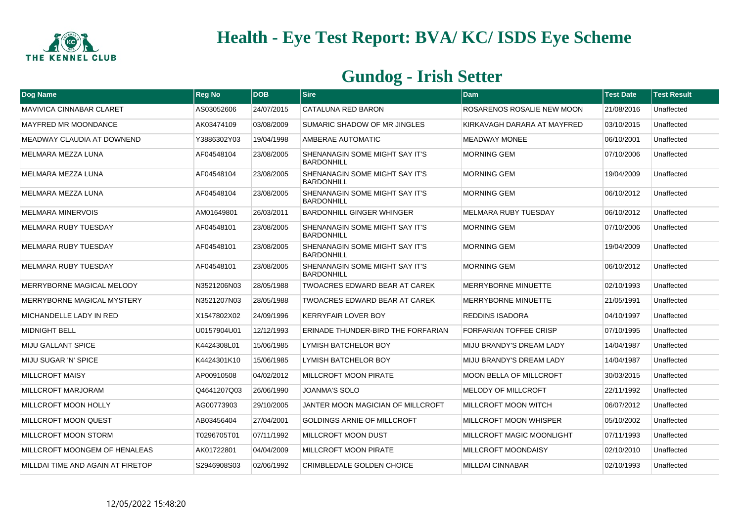

| Dog Name                          | <b>Reg No</b> | <b>DOB</b> | <b>Sire</b>                                         | Dam                              | <b>Test Date</b> | <b>Test Result</b> |
|-----------------------------------|---------------|------------|-----------------------------------------------------|----------------------------------|------------------|--------------------|
| <b>MAVIVICA CINNABAR CLARET</b>   | AS03052606    | 24/07/2015 | CATALUNA RED BARON                                  | ROSARENOS ROSALIE NEW MOON       | 21/08/2016       | Unaffected         |
| <b>MAYFRED MR MOONDANCE</b>       | AK03474109    | 03/08/2009 | SUMARIC SHADOW OF MR JINGLES                        | KIRKAVAGH DARARA AT MAYFRED      | 03/10/2015       | Unaffected         |
| MEADWAY CLAUDIA AT DOWNEND        | Y3886302Y03   | 19/04/1998 | AMBERAE AUTOMATIC                                   | <b>MEADWAY MONEE</b>             | 06/10/2001       | Unaffected         |
| MELMARA MEZZA LUNA                | AF04548104    | 23/08/2005 | SHENANAGIN SOME MIGHT SAY IT'S<br><b>BARDONHILL</b> | <b>MORNING GEM</b>               | 07/10/2006       | Unaffected         |
| MELMARA MEZZA LUNA                | AF04548104    | 23/08/2005 | SHENANAGIN SOME MIGHT SAY IT'S<br><b>BARDONHILL</b> | <b>MORNING GEM</b>               | 19/04/2009       | Unaffected         |
| MELMARA MEZZA LUNA                | AF04548104    | 23/08/2005 | SHENANAGIN SOME MIGHT SAY IT'S<br><b>BARDONHILL</b> | <b>MORNING GEM</b>               | 06/10/2012       | Unaffected         |
| <b>MELMARA MINERVOIS</b>          | AM01649801    | 26/03/2011 | <b>BARDONHILL GINGER WHINGER</b>                    | <b>MELMARA RUBY TUESDAY</b>      | 06/10/2012       | Unaffected         |
| <b>MELMARA RUBY TUESDAY</b>       | AF04548101    | 23/08/2005 | SHENANAGIN SOME MIGHT SAY IT'S<br><b>BARDONHILL</b> | <b>MORNING GEM</b>               | 07/10/2006       | Unaffected         |
| <b>MELMARA RUBY TUESDAY</b>       | AF04548101    | 23/08/2005 | SHENANAGIN SOME MIGHT SAY IT'S<br><b>BARDONHILL</b> | <b>MORNING GEM</b>               | 19/04/2009       | Unaffected         |
| <b>MELMARA RUBY TUESDAY</b>       | AF04548101    | 23/08/2005 | SHENANAGIN SOME MIGHT SAY IT'S<br><b>BARDONHILL</b> | <b>MORNING GEM</b>               | 06/10/2012       | Unaffected         |
| MERRYBORNE MAGICAL MELODY         | N3521206N03   | 28/05/1988 | TWOACRES EDWARD BEAR AT CAREK                       | <b>MERRYBORNE MINUETTE</b>       | 02/10/1993       | Unaffected         |
| MERRYBORNE MAGICAL MYSTERY        | N3521207N03   | 28/05/1988 | TWOACRES EDWARD BEAR AT CAREK                       | MERRYBORNE MINUETTE              | 21/05/1991       | Unaffected         |
| MICHANDELLE LADY IN RED           | X1547802X02   | 24/09/1996 | <b>KERRYFAIR LOVER BOY</b>                          | <b>REDDINS ISADORA</b>           | 04/10/1997       | Unaffected         |
| <b>MIDNIGHT BELL</b>              | U0157904U01   | 12/12/1993 | ERINADE THUNDER-BIRD THE FORFARIAN                  | FORFARIAN TOFFEE CRISP           | 07/10/1995       | Unaffected         |
| <b>MIJU GALLANT SPICE</b>         | K4424308L01   | 15/06/1985 | LYMISH BATCHELOR BOY                                | MIJU BRANDY'S DREAM LADY         | 14/04/1987       | Unaffected         |
| MIJU SUGAR 'N' SPICE              | K4424301K10   | 15/06/1985 | LYMISH BATCHELOR BOY                                | MIJU BRANDY'S DREAM LADY         | 14/04/1987       | Unaffected         |
| <b>MILLCROFT MAISY</b>            | AP00910508    | 04/02/2012 | <b>MILLCROFT MOON PIRATE</b>                        | <b>MOON BELLA OF MILLCROFT</b>   | 30/03/2015       | Unaffected         |
| MILLCROFT MARJORAM                | Q4641207Q03   | 26/06/1990 | <b>JOANMA'S SOLO</b>                                | <b>MELODY OF MILLCROFT</b>       | 22/11/1992       | Unaffected         |
| MILLCROFT MOON HOLLY              | AG00773903    | 29/10/2005 | JANTER MOON MAGICIAN OF MILLCROFT                   | MILLCROFT MOON WITCH             | 06/07/2012       | Unaffected         |
| <b>MILLCROFT MOON QUEST</b>       | AB03456404    | 27/04/2001 | <b>GOLDINGS ARNIE OF MILLCROFT</b>                  | MILLCROFT MOON WHISPER           | 05/10/2002       | Unaffected         |
| MILLCROFT MOON STORM              | T0296705T01   | 07/11/1992 | <b>MILLCROFT MOON DUST</b>                          | <b>MILLCROFT MAGIC MOONLIGHT</b> | 07/11/1993       | Unaffected         |
| MILLCROFT MOONGEM OF HENALEAS     | AK01722801    | 04/04/2009 | <b>MILLCROFT MOON PIRATE</b>                        | MILLCROFT MOONDAISY              | 02/10/2010       | Unaffected         |
| MILLDAI TIME AND AGAIN AT FIRETOP | S2946908S03   | 02/06/1992 | <b>CRIMBLEDALE GOLDEN CHOICE</b>                    | <b>MILLDAI CINNABAR</b>          | 02/10/1993       | Unaffected         |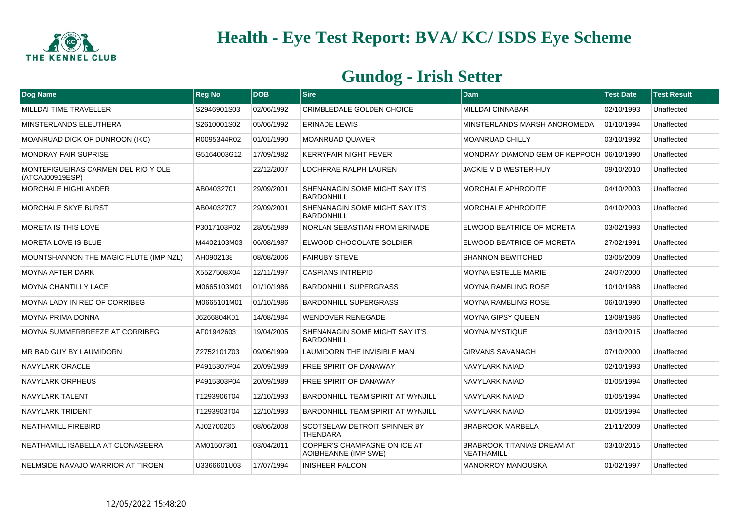

| Dog Name                                               | <b>Reg No</b> | DOB        | Sire                                                   | <b>Dam</b>                                      | <b>Test Date</b> | <b>Test Result</b> |
|--------------------------------------------------------|---------------|------------|--------------------------------------------------------|-------------------------------------------------|------------------|--------------------|
| <b>MILLDAI TIME TRAVELLER</b>                          | S2946901S03   | 02/06/1992 | CRIMBLEDALE GOLDEN CHOICE                              | <b>MILLDAI CINNABAR</b>                         | 02/10/1993       | Unaffected         |
| MINSTERLANDS ELEUTHERA                                 | S2610001S02   | 05/06/1992 | <b>ERINADE LEWIS</b>                                   | MINSTERLANDS MARSH ANOROMEDA                    | 01/10/1994       | Unaffected         |
| MOANRUAD DICK OF DUNROON (IKC)                         | R0095344R02   | 01/01/1990 | <b>MOANRUAD QUAVER</b>                                 | <b>MOANRUAD CHILLY</b>                          | 03/10/1992       | Unaffected         |
| <b>MONDRAY FAIR SUPRISE</b>                            | G5164003G12   | 17/09/1982 | <b>KERRYFAIR NIGHT FEVER</b>                           | MONDRAY DIAMOND GEM OF KEPPOCH 06/10/1990       |                  | Unaffected         |
| MONTEFIGUEIRAS CARMEN DEL RIO Y OLE<br>(ATCAJ00919ESP) |               | 22/12/2007 | LOCHFRAE RALPH LAUREN                                  | JACKIE V D WESTER-HUY                           | 09/10/2010       | Unaffected         |
| <b>MORCHALE HIGHLANDER</b>                             | AB04032701    | 29/09/2001 | SHENANAGIN SOME MIGHT SAY IT'S<br><b>BARDONHILL</b>    | MORCHALE APHRODITE                              | 04/10/2003       | Unaffected         |
| <b>MORCHALE SKYE BURST</b>                             | AB04032707    | 29/09/2001 | SHENANAGIN SOME MIGHT SAY IT'S<br><b>BARDONHILL</b>    | MORCHALE APHRODITE                              | 04/10/2003       | Unaffected         |
| <b>MORETA IS THIS LOVE</b>                             | P3017103P02   | 28/05/1989 | NORLAN SEBASTIAN FROM ERINADE                          | ELWOOD BEATRICE OF MORETA                       | 03/02/1993       | Unaffected         |
| MORETA LOVE IS BLUE                                    | M4402103M03   | 06/08/1987 | ELWOOD CHOCOLATE SOLDIER                               | ELWOOD BEATRICE OF MORETA                       | 27/02/1991       | Unaffected         |
| MOUNTSHANNON THE MAGIC FLUTE (IMP NZL)                 | AH0902138     | 08/08/2006 | <b>FAIRUBY STEVE</b>                                   | <b>SHANNON BEWITCHED</b>                        | 03/05/2009       | Unaffected         |
| <b>MOYNA AFTER DARK</b>                                | X5527508X04   | 12/11/1997 | <b>CASPIANS INTREPID</b>                               | <b>MOYNA ESTELLE MARIE</b>                      | 24/07/2000       | Unaffected         |
| <b>MOYNA CHANTILLY LACE</b>                            | M0665103M01   | 01/10/1986 | <b>BARDONHILL SUPERGRASS</b>                           | <b>MOYNA RAMBLING ROSE</b>                      | 10/10/1988       | Unaffected         |
| MOYNA LADY IN RED OF CORRIBEG                          | M0665101M01   | 01/10/1986 | <b>BARDONHILL SUPERGRASS</b>                           | <b>MOYNA RAMBLING ROSE</b>                      | 06/10/1990       | Unaffected         |
| <b>MOYNA PRIMA DONNA</b>                               | J6266804K01   | 14/08/1984 | <b>WENDOVER RENEGADE</b>                               | <b>MOYNA GIPSY QUEEN</b>                        | 13/08/1986       | Unaffected         |
| MOYNA SUMMERBREEZE AT CORRIBEG                         | AF01942603    | 19/04/2005 | SHENANAGIN SOME MIGHT SAY IT'S<br><b>BARDONHILL</b>    | <b>MOYNA MYSTIQUE</b>                           | 03/10/2015       | Unaffected         |
| MR BAD GUY BY LAUMIDORN                                | Z2752101Z03   | 09/06/1999 | LAUMIDORN THE INVISIBLE MAN                            | <b>GIRVANS SAVANAGH</b>                         | 07/10/2000       | Unaffected         |
| NAVYLARK ORACLE                                        | P4915307P04   | 20/09/1989 | <b>FREE SPIRIT OF DANAWAY</b>                          | NAVYLARK NAIAD                                  | 02/10/1993       | Unaffected         |
| NAVYLARK ORPHEUS                                       | P4915303P04   | 20/09/1989 | <b>FREE SPIRIT OF DANAWAY</b>                          | NAVYLARK NAIAD                                  | 01/05/1994       | Unaffected         |
| NAVYLARK TALENT                                        | T1293906T04   | 12/10/1993 | <b>BARDONHILL TEAM SPIRIT AT WYNJILL</b>               | NAVYLARK NAIAD                                  | 01/05/1994       | Unaffected         |
| <b>NAVYLARK TRIDENT</b>                                | T1293903T04   | 12/10/1993 | BARDONHILL TEAM SPIRIT AT WYNJILL                      | <b>NAVYLARK NAIAD</b>                           | 01/05/1994       | Unaffected         |
| <b>NEATHAMILL FIREBIRD</b>                             | AJ02700206    | 08/06/2008 | <b>SCOTSELAW DETROIT SPINNER BY</b><br><b>THENDARA</b> | <b>BRABROOK MARBELA</b>                         | 21/11/2009       | Unaffected         |
| NEATHAMILL ISABELLA AT CLONAGEERA                      | AM01507301    | 03/04/2011 | COPPER'S CHAMPAGNE ON ICE AT<br>AOIBHEANNE (IMP SWE)   | <b>BRABROOK TITANIAS DREAM AT</b><br>NEATHAMILL | 03/10/2015       | Unaffected         |
| NELMSIDE NAVAJO WARRIOR AT TIROEN                      | U3366601U03   | 17/07/1994 | <b>INISHEER FALCON</b>                                 | MANORROY MANOUSKA                               | 01/02/1997       | Unaffected         |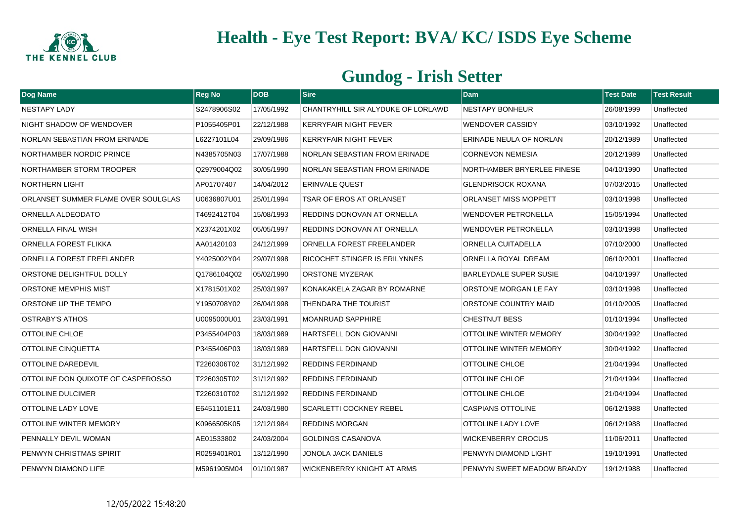

| <b>Dog Name</b>                      | <b>Reg No</b> | <b>DOB</b> | <b>Sire</b>                          | <b>Dam</b>                    | <b>Test Date</b> | <b>Test Result</b> |
|--------------------------------------|---------------|------------|--------------------------------------|-------------------------------|------------------|--------------------|
| <b>NESTAPY LADY</b>                  | S2478906S02   | 17/05/1992 | CHANTRYHILL SIR ALYDUKE OF LORLAWD   | <b>NESTAPY BONHEUR</b>        | 26/08/1999       | Unaffected         |
| NIGHT SHADOW OF WENDOVER             | P1055405P01   | 22/12/1988 | <b>KERRYFAIR NIGHT FEVER</b>         | <b>WENDOVER CASSIDY</b>       | 03/10/1992       | Unaffected         |
| <b>NORLAN SEBASTIAN FROM ERINADE</b> | L6227101L04   | 29/09/1986 | <b>KERRYFAIR NIGHT FEVER</b>         | ERINADE NEULA OF NORLAN       | 20/12/1989       | Unaffected         |
| NORTHAMBER NORDIC PRINCE             | N4385705N03   | 17/07/1988 | NORLAN SEBASTIAN FROM ERINADE        | <b>CORNEVON NEMESIA</b>       | 20/12/1989       | Unaffected         |
| NORTHAMBER STORM TROOPER             | Q2979004Q02   | 30/05/1990 | <b>NORLAN SEBASTIAN FROM ERINADE</b> | NORTHAMBER BRYERLEE FINESE    | 04/10/1990       | Unaffected         |
| <b>NORTHERN LIGHT</b>                | AP01707407    | 14/04/2012 | <b>ERINVALE QUEST</b>                | <b>GLENDRISOCK ROXANA</b>     | 07/03/2015       | Unaffected         |
| ORLANSET SUMMER FLAME OVER SOULGLAS  | U0636807U01   | 25/01/1994 | TSAR OF EROS AT ORLANSET             | ORLANSET MISS MOPPETT         | 03/10/1998       | Unaffected         |
| ORNELLA ALDEODATO                    | T4692412T04   | 15/08/1993 | REDDINS DONOVAN AT ORNELLA           | <b>WENDOVER PETRONELLA</b>    | 15/05/1994       | Unaffected         |
| ORNELLA FINAL WISH                   | X2374201X02   | 05/05/1997 | <b>REDDINS DONOVAN AT ORNELLA</b>    | <b>WENDOVER PETRONELLA</b>    | 03/10/1998       | Unaffected         |
| ORNELLA FOREST FLIKKA                | AA01420103    | 24/12/1999 | ORNELLA FOREST FREELANDER            | ORNELLA CUITADELLA            | 07/10/2000       | Unaffected         |
| ORNELLA FOREST FREELANDER            | Y4025002Y04   | 29/07/1998 | RICOCHET STINGER IS ERILYNNES        | ORNELLA ROYAL DREAM           | 06/10/2001       | Unaffected         |
| ORSTONE DELIGHTFUL DOLLY             | Q1786104Q02   | 05/02/1990 | <b>ORSTONE MYZERAK</b>               | <b>BARLEYDALE SUPER SUSIE</b> | 04/10/1997       | Unaffected         |
| ORSTONE MEMPHIS MIST                 | X1781501X02   | 25/03/1997 | KONAKAKELA ZAGAR BY ROMARNE          | ORSTONE MORGAN LE FAY         | 03/10/1998       | Unaffected         |
| ORSTONE UP THE TEMPO                 | Y1950708Y02   | 26/04/1998 | THENDARA THE TOURIST                 | ORSTONE COUNTRY MAID          | 01/10/2005       | Unaffected         |
| <b>OSTRABY'S ATHOS</b>               | U0095000U01   | 23/03/1991 | <b>MOANRUAD SAPPHIRE</b>             | <b>CHESTNUT BESS</b>          | 01/10/1994       | Unaffected         |
| OTTOLINE CHLOE                       | P3455404P03   | 18/03/1989 | HARTSFELL DON GIOVANNI               | OTTOLINE WINTER MEMORY        | 30/04/1992       | Unaffected         |
| OTTOLINE CINQUETTA                   | P3455406P03   | 18/03/1989 | HARTSFELL DON GIOVANNI               | <b>OTTOLINE WINTER MEMORY</b> | 30/04/1992       | Unaffected         |
| OTTOLINE DAREDEVIL                   | T2260306T02   | 31/12/1992 | <b>REDDINS FERDINAND</b>             | <b>OTTOLINE CHLOE</b>         | 21/04/1994       | Unaffected         |
| OTTOLINE DON QUIXOTE OF CASPEROSSO   | T2260305T02   | 31/12/1992 | <b>REDDINS FERDINAND</b>             | <b>OTTOLINE CHLOE</b>         | 21/04/1994       | Unaffected         |
| OTTOLINE DULCIMER                    | T2260310T02   | 31/12/1992 | <b>REDDINS FERDINAND</b>             | <b>OTTOLINE CHLOE</b>         | 21/04/1994       | Unaffected         |
| OTTOLINE LADY LOVE                   | E6451101E11   | 24/03/1980 | <b>SCARLETTI COCKNEY REBEL</b>       | <b>CASPIANS OTTOLINE</b>      | 06/12/1988       | Unaffected         |
| OTTOLINE WINTER MEMORY               | K0966505K05   | 12/12/1984 | <b>REDDINS MORGAN</b>                | <b>OTTOLINE LADY LOVE</b>     | 06/12/1988       | Unaffected         |
| PENNALLY DEVIL WOMAN                 | AE01533802    | 24/03/2004 | <b>GOLDINGS CASANOVA</b>             | <b>WICKENBERRY CROCUS</b>     | 11/06/2011       | Unaffected         |
| PENWYN CHRISTMAS SPIRIT              | R0259401R01   | 13/12/1990 | JONOLA JACK DANIELS                  | PENWYN DIAMOND LIGHT          | 19/10/1991       | Unaffected         |
| PENWYN DIAMOND LIFE                  | M5961905M04   | 01/10/1987 | WICKENBERRY KNIGHT AT ARMS           | PENWYN SWEET MEADOW BRANDY    | 19/12/1988       | Unaffected         |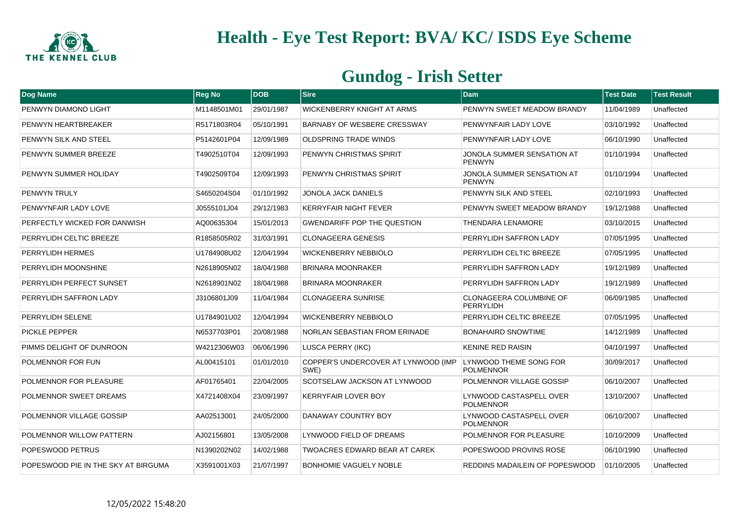

| Dog Name                            | <b>Reg No</b> | <b>DOB</b> | <b>Sire</b>                                 | Dam                                         | <b>Test Date</b> | <b>Test Result</b> |
|-------------------------------------|---------------|------------|---------------------------------------------|---------------------------------------------|------------------|--------------------|
| PENWYN DIAMOND LIGHT                | M1148501M01   | 29/01/1987 | WICKENBERRY KNIGHT AT ARMS                  | PENWYN SWEET MEADOW BRANDY                  | 11/04/1989       | Unaffected         |
| PENWYN HEARTBREAKER                 | R5171803R04   | 05/10/1991 | <b>BARNABY OF WESBERE CRESSWAY</b>          | PENWYNFAIR LADY LOVE                        | 03/10/1992       | Unaffected         |
| PENWYN SILK AND STEEL               | P5142601P04   | 12/09/1989 | <b>OLDSPRING TRADE WINDS</b>                | PENWYNFAIR LADY LOVE                        | 06/10/1990       | Unaffected         |
| PENWYN SUMMER BREEZE                | T4902510T04   | 12/09/1993 | PENWYN CHRISTMAS SPIRIT                     | JONOLA SUMMER SENSATION AT<br><b>PENWYN</b> | 01/10/1994       | Unaffected         |
| PENWYN SUMMER HOLIDAY               | T4902509T04   | 12/09/1993 | PENWYN CHRISTMAS SPIRIT                     | JONOLA SUMMER SENSATION AT<br><b>PENWYN</b> | 01/10/1994       | Unaffected         |
| <b>PENWYN TRULY</b>                 | S4650204S04   | 01/10/1992 | JONOLA JACK DANIELS                         | PENWYN SILK AND STEEL                       | 02/10/1993       | Unaffected         |
| PENWYNFAIR LADY LOVE                | J0555101J04   | 29/12/1983 | <b>KERRYFAIR NIGHT FEVER</b>                | PENWYN SWEET MEADOW BRANDY                  | 19/12/1988       | Unaffected         |
| PERFECTLY WICKED FOR DANWISH        | AQ00635304    | 15/01/2013 | <b>GWENDARIFF POP THE QUESTION</b>          | <b>THENDARA LENAMORE</b>                    | 03/10/2015       | Unaffected         |
| PERRYLIDH CELTIC BREEZE             | R1858505R02   | 31/03/1991 | <b>CLONAGEERA GENESIS</b>                   | PERRYLIDH SAFFRON LADY                      | 07/05/1995       | Unaffected         |
| PERRYLIDH HERMES                    | U1784908U02   | 12/04/1994 | <b>WICKENBERRY NEBBIOLO</b>                 | PERRYLIDH CELTIC BREEZE                     | 07/05/1995       | Unaffected         |
| PERRYLIDH MOONSHINE                 | N2618905N02   | 18/04/1988 | BRINARA MOONRAKER                           | PERRYLIDH SAFFRON LADY                      | 19/12/1989       | Unaffected         |
| PERRYLIDH PERFECT SUNSET            | N2618901N02   | 18/04/1988 | <b>BRINARA MOONRAKER</b>                    | PERRYLIDH SAFFRON LADY                      | 19/12/1989       | Unaffected         |
| PERRYLIDH SAFFRON LADY              | J3106801J09   | 11/04/1984 | <b>CLONAGEERA SUNRISE</b>                   | CLONAGEERA COLUMBINE OF<br>PERRYLIDH        | 06/09/1985       | Unaffected         |
| PERRYLIDH SELENE                    | U1784901U02   | 12/04/1994 | <b>WICKENBERRY NEBBIOLO</b>                 | PERRYLIDH CELTIC BREEZE                     | 07/05/1995       | Unaffected         |
| <b>PICKLE PEPPER</b>                | N6537703P01   | 20/08/1988 | NORLAN SEBASTIAN FROM ERINADE               | <b>BONAHAIRD SNOWTIME</b>                   | 14/12/1989       | Unaffected         |
| PIMMS DELIGHT OF DUNROON            | W4212306W03   | 06/06/1996 | LUSCA PERRY (IKC)                           | <b>KENINE RED RAISIN</b>                    | 04/10/1997       | Unaffected         |
| POLMENNOR FOR FUN                   | AL00415101    | 01/01/2010 | COPPER'S UNDERCOVER AT LYNWOOD (IMP<br>SWE) | LYNWOOD THEME SONG FOR<br><b>POLMENNOR</b>  | 30/09/2017       | Unaffected         |
| POLMENNOR FOR PLEASURE              | AF01765401    | 22/04/2005 | <b>SCOTSELAW JACKSON AT LYNWOOD</b>         | POLMENNOR VILLAGE GOSSIP                    | 06/10/2007       | Unaffected         |
| POLMENNOR SWEET DREAMS              | X4721408X04   | 23/09/1997 | <b>KERRYFAIR LOVER BOY</b>                  | LYNWOOD CASTASPELL OVER<br><b>POLMENNOR</b> | 13/10/2007       | Unaffected         |
| POLMENNOR VILLAGE GOSSIP            | AA02513001    | 24/05/2000 | <b>DANAWAY COUNTRY BOY</b>                  | LYNWOOD CASTASPELL OVER<br><b>POLMENNOR</b> | 06/10/2007       | Unaffected         |
| POLMENNOR WILLOW PATTERN            | AJ02156801    | 13/05/2008 | LYNWOOD FIELD OF DREAMS                     | POLMENNOR FOR PLEASURE                      | 10/10/2009       | Unaffected         |
| POPESWOOD PETRUS                    | N1390202N02   | 14/02/1988 | <b>TWOACRES EDWARD BEAR AT CAREK</b>        | POPESWOOD PROVINS ROSE                      | 06/10/1990       | Unaffected         |
| POPESWOOD PIE IN THE SKY AT BIRGUMA | X3591001X03   | 21/07/1997 | <b>BONHOMIE VAGUELY NOBLE</b>               | REDDINS MADAILEIN OF POPESWOOD              | 01/10/2005       | Unaffected         |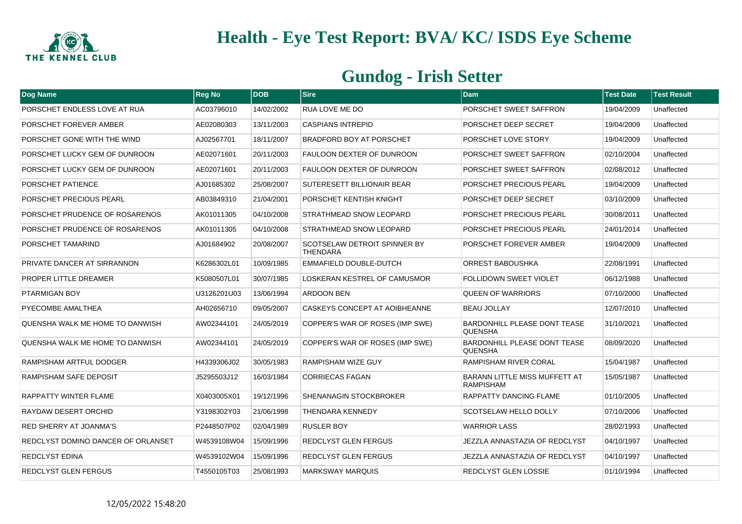

| Dog Name                           | <b>Reg No</b> | <b>DOB</b> | <b>Sire</b>                                            | <b>Dam</b>                                               | <b>Test Date</b> | <b>Test Result</b> |
|------------------------------------|---------------|------------|--------------------------------------------------------|----------------------------------------------------------|------------------|--------------------|
| PORSCHET ENDLESS LOVE AT RUA       | AC03796010    | 14/02/2002 | <b>RUA LOVE ME DO</b>                                  | PORSCHET SWEET SAFFRON                                   | 19/04/2009       | Unaffected         |
| PORSCHET FOREVER AMBER             | AE02080303    | 13/11/2003 | <b>CASPIANS INTREPID</b>                               | PORSCHET DEEP SECRET                                     | 19/04/2009       | Unaffected         |
| PORSCHET GONE WITH THE WIND        | AJ02567701    | 18/11/2007 | <b>BRADFORD BOY AT PORSCHET</b>                        | PORSCHET LOVE STORY                                      | 19/04/2009       | Unaffected         |
| PORSCHET LUCKY GEM OF DUNROON      | AE02071601    | 20/11/2003 | <b>FAULOON DEXTER OF DUNROON</b>                       | PORSCHET SWEET SAFFRON                                   | 02/10/2004       | Unaffected         |
| PORSCHET LUCKY GEM OF DUNROON      | AE02071601    | 20/11/2003 | <b>FAULOON DEXTER OF DUNROON</b>                       | PORSCHET SWEET SAFFRON                                   | 02/08/2012       | Unaffected         |
| PORSCHET PATIENCE                  | AJ01685302    | 25/08/2007 | <b>SUTERESETT BILLIONAIR BEAR</b>                      | PORSCHET PRECIOUS PEARL                                  | 19/04/2009       | Unaffected         |
| PORSCHET PRECIOUS PEARL            | AB03849310    | 21/04/2001 | PORSCHET KENTISH KNIGHT                                | PORSCHET DEEP SECRET                                     | 03/10/2009       | Unaffected         |
| PORSCHET PRUDENCE OF ROSARENOS     | AK01011305    | 04/10/2008 | <b>STRATHMEAD SNOW LEOPARD</b>                         | PORSCHET PRECIOUS PEARL                                  | 30/08/2011       | Unaffected         |
| PORSCHET PRUDENCE OF ROSARENOS     | AK01011305    | 04/10/2008 | <b>STRATHMEAD SNOW LEOPARD</b>                         | PORSCHET PRECIOUS PEARL                                  | 24/01/2014       | Unaffected         |
| PORSCHET TAMARIND                  | AJ01684902    | 20/08/2007 | <b>SCOTSELAW DETROIT SPINNER BY</b><br><b>THENDARA</b> | PORSCHET FOREVER AMBER                                   | 19/04/2009       | Unaffected         |
| PRIVATE DANCER AT SIRRANNON        | K6286302L01   | 10/09/1985 | EMMAFIELD DOUBLE-DUTCH                                 | ORREST BABOUSHKA                                         | 22/08/1991       | Unaffected         |
| PROPER LITTLE DREAMER              | K5080507L01   | 30/07/1985 | LOSKERAN KESTREL OF CAMUSMOR                           | FOLLIDOWN SWEET VIOLET                                   | 06/12/1988       | Unaffected         |
| PTARMIGAN BOY                      | U3126201U03   | 13/06/1994 | <b>ARDOON BEN</b>                                      | <b>QUEEN OF WARRIORS</b>                                 | 07/10/2000       | Unaffected         |
| PYECOMBE AMALTHEA                  | AH02656710    | 09/05/2007 | CASKEYS CONCEPT AT AOIBHEANNE                          | <b>BEAU JOLLAY</b>                                       | 12/07/2010       | Unaffected         |
| QUENSHA WALK ME HOME TO DANWISH    | AW02344101    | 24/05/2019 | COPPER'S WAR OF ROSES (IMP SWE)                        | <b>BARDONHILL PLEASE DONT TEASE</b><br><b>QUENSHA</b>    | 31/10/2021       | Unaffected         |
| QUENSHA WALK ME HOME TO DANWISH    | AW02344101    | 24/05/2019 | COPPER'S WAR OF ROSES (IMP SWE)                        | <b>BARDONHILL PLEASE DONT TEASE</b><br><b>QUENSHA</b>    | 08/09/2020       | Unaffected         |
| RAMPISHAM ARTFUL DODGER            | H4339306J02   | 30/05/1983 | <b>RAMPISHAM WIZE GUY</b>                              | RAMPISHAM RIVER CORAL                                    | 15/04/1987       | Unaffected         |
| RAMPISHAM SAFE DEPOSIT             | J5295503J12   | 16/03/1984 | <b>CORRIECAS FAGAN</b>                                 | <b>BARANN LITTLE MISS MUFFETT AT</b><br><b>RAMPISHAM</b> | 15/05/1987       | Unaffected         |
| <b>RAPPATTY WINTER FLAME</b>       | X0403005X01   | 19/12/1996 | <b>SHENANAGIN STOCKBROKER</b>                          | <b>RAPPATTY DANCING FLAME</b>                            | 01/10/2005       | Unaffected         |
| <b>RAYDAW DESERT ORCHID</b>        | Y3198302Y03   | 21/06/1998 | <b>THENDARA KENNEDY</b>                                | <b>SCOTSELAW HELLO DOLLY</b>                             | 07/10/2006       | Unaffected         |
| <b>RED SHERRY AT JOANMA'S</b>      | P2448507P02   | 02/04/1989 | <b>RUSLER BOY</b>                                      | WARRIOR LASS                                             | 28/02/1993       | Unaffected         |
| REDCLYST DOMINO DANCER OF ORLANSET | W4539108W04   | 15/09/1996 | <b>REDCLYST GLEN FERGUS</b>                            | JEZZLA ANNASTAZIA OF REDCLYST                            | 04/10/1997       | Unaffected         |
| <b>REDCLYST EDINA</b>              | W4539102W04   | 15/09/1996 | REDCLYST GLEN FERGUS                                   | JEZZLA ANNASTAZIA OF REDCLYST                            | 04/10/1997       | Unaffected         |
| REDCLYST GLEN FERGUS               | T4550105T03   | 25/08/1993 | <b>MARKSWAY MARQUIS</b>                                | <b>REDCLYST GLEN LOSSIE</b>                              | 01/10/1994       | Unaffected         |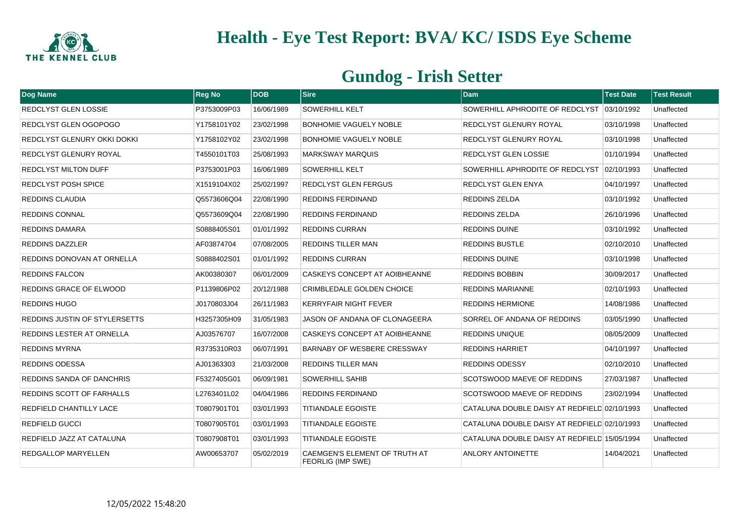

| Dog Name                         | <b>Reg No</b> | <b>DOB</b> | <b>Sire</b>                                               | <b>Dam</b>                                   | <b>Test Date</b> | <b>Test Result</b> |
|----------------------------------|---------------|------------|-----------------------------------------------------------|----------------------------------------------|------------------|--------------------|
| REDCLYST GLEN LOSSIE             | P3753009P03   | 16/06/1989 | <b>SOWERHILL KELT</b>                                     | SOWERHILL APHRODITE OF REDCLYST 103/10/1992  |                  | Unaffected         |
| REDCLYST GLEN OGOPOGO            | Y1758101Y02   | 23/02/1998 | <b>BONHOMIE VAGUELY NOBLE</b>                             | REDCLYST GLENURY ROYAL                       | 03/10/1998       | Unaffected         |
| REDCLYST GLENURY OKKI DOKKI      | Y1758102Y02   | 23/02/1998 | <b>BONHOMIE VAGUELY NOBLE</b>                             | REDCLYST GLENURY ROYAL                       | 03/10/1998       | Unaffected         |
| <b>REDCLYST GLENURY ROYAL</b>    | T4550101T03   | 25/08/1993 | <b>MARKSWAY MARQUIS</b>                                   | REDCLYST GLEN LOSSIE                         | 01/10/1994       | Unaffected         |
| <b>REDCLYST MILTON DUFF</b>      | P3753001P03   | 16/06/1989 | <b>SOWERHILL KELT</b>                                     | SOWERHILL APHRODITE OF REDCLYST 02/10/1993   |                  | Unaffected         |
| <b>REDCLYST POSH SPICE</b>       | X1519104X02   | 25/02/1997 | <b>REDCLYST GLEN FERGUS</b>                               | REDCLYST GLEN ENYA                           | 04/10/1997       | Unaffected         |
| <b>REDDINS CLAUDIA</b>           | Q5573606Q04   | 22/08/1990 | <b>REDDINS FERDINAND</b>                                  | REDDINS ZELDA                                | 03/10/1992       | Unaffected         |
| <b>REDDINS CONNAL</b>            | Q5573609Q04   | 22/08/1990 | <b>REDDINS FERDINAND</b>                                  | <b>REDDINS ZELDA</b>                         | 26/10/1996       | Unaffected         |
| <b>REDDINS DAMARA</b>            | S0888405S01   | 01/01/1992 | <b>REDDINS CURRAN</b>                                     | REDDINS DUINE                                | 03/10/1992       | Unaffected         |
| <b>REDDINS DAZZLER</b>           | AF03874704    | 07/08/2005 | <b>REDDINS TILLER MAN</b>                                 | <b>REDDINS BUSTLE</b>                        | 02/10/2010       | Unaffected         |
| REDDINS DONOVAN AT ORNELLA       | S0888402S01   | 01/01/1992 | <b>REDDINS CURRAN</b>                                     | <b>REDDINS DUINE</b>                         | 03/10/1998       | Unaffected         |
| REDDINS FALCON                   | AK00380307    | 06/01/2009 | <b>CASKEYS CONCEPT AT AOIBHEANNE</b>                      | <b>REDDINS BOBBIN</b>                        | 30/09/2017       | Unaffected         |
| REDDINS GRACE OF ELWOOD          | P1139806P02   | 20/12/1988 | <b>CRIMBLEDALE GOLDEN CHOICE</b>                          | <b>REDDINS MARIANNE</b>                      | 02/10/1993       | Unaffected         |
| <b>REDDINS HUGO</b>              | J0170803J04   | 26/11/1983 | <b>KERRYFAIR NIGHT FEVER</b>                              | <b>REDDINS HERMIONE</b>                      | 14/08/1986       | Unaffected         |
| REDDINS JUSTIN OF STYLERSETTS    | H3257305H09   | 31/05/1983 | JASON OF ANDANA OF CLONAGEERA                             | SORREL OF ANDANA OF REDDINS                  | 03/05/1990       | Unaffected         |
| REDDINS LESTER AT ORNELLA        | AJ03576707    | 16/07/2008 | <b>CASKEYS CONCEPT AT AOIBHEANNE</b>                      | <b>REDDINS UNIQUE</b>                        | 08/05/2009       | Unaffected         |
| <b>REDDINS MYRNA</b>             | R3735310R03   | 06/07/1991 | <b>BARNABY OF WESBERE CRESSWAY</b>                        | <b>REDDINS HARRIET</b>                       | 04/10/1997       | Unaffected         |
| <b>REDDINS ODESSA</b>            | AJ01363303    | 21/03/2008 | <b>REDDINS TILLER MAN</b>                                 | <b>REDDINS ODESSY</b>                        | 02/10/2010       | Unaffected         |
| REDDINS SANDA OF DANCHRIS        | F5327405G01   | 06/09/1981 | <b>SOWERHILL SAHIB</b>                                    | <b>SCOTSWOOD MAEVE OF REDDINS</b>            | 27/03/1987       | Unaffected         |
| <b>REDDINS SCOTT OF FARHALLS</b> | L2763401L02   | 04/04/1986 | <b>REDDINS FERDINAND</b>                                  | <b>SCOTSWOOD MAEVE OF REDDINS</b>            | 23/02/1994       | Unaffected         |
| REDFIELD CHANTILLY LACE          | T0807901T01   | 03/01/1993 | <b>TITIANDALE EGOISTE</b>                                 | CATALUNA DOUBLE DAISY AT REDFIELD 02/10/1993 |                  | Unaffected         |
| <b>REDFIELD GUCCI</b>            | T0807905T01   | 03/01/1993 | <b>TITIANDALE EGOISTE</b>                                 | CATALUNA DOUBLE DAISY AT REDFIELD 02/10/1993 |                  | Unaffected         |
| REDFIELD JAZZ AT CATALUNA        | T0807908T01   | 03/01/1993 | <b>TITIANDALE EGOISTE</b>                                 | CATALUNA DOUBLE DAISY AT REDFIELD 15/05/1994 |                  | Unaffected         |
| <b>REDGALLOP MARYELLEN</b>       | AW00653707    | 05/02/2019 | CAEMGEN'S ELEMENT OF TRUTH AT<br><b>FEORLIG (IMP SWE)</b> | <b>ANLORY ANTOINETTE</b>                     | 14/04/2021       | Unaffected         |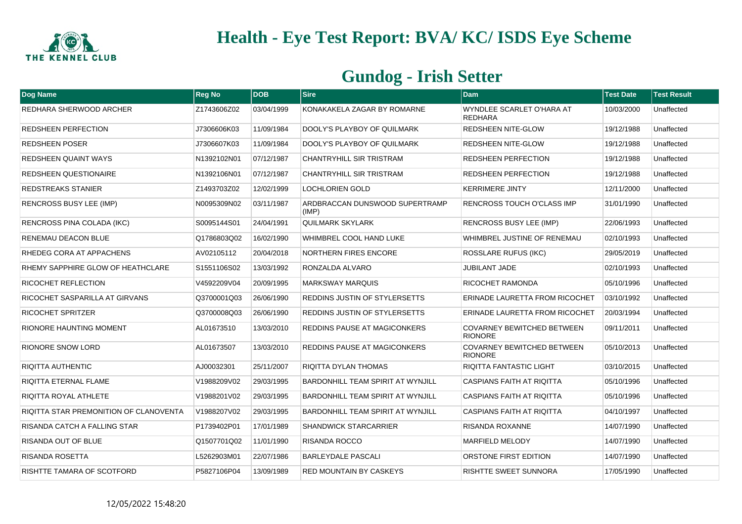

| Dog Name                               | <b>Reg No</b> | <b>DOB</b> | <b>Sire</b>                              | <b>Dam</b>                                          | <b>Test Date</b> | <b>Test Result</b> |
|----------------------------------------|---------------|------------|------------------------------------------|-----------------------------------------------------|------------------|--------------------|
| REDHARA SHERWOOD ARCHER                | Z1743606Z02   | 03/04/1999 | KONAKAKELA ZAGAR BY ROMARNE              | WYNDLEE SCARLET O'HARA AT<br><b>REDHARA</b>         | 10/03/2000       | Unaffected         |
| <b>REDSHEEN PERFECTION</b>             | J7306606K03   | 11/09/1984 | DOOLY'S PLAYBOY OF QUILMARK              | <b>REDSHEEN NITE-GLOW</b>                           | 19/12/1988       | Unaffected         |
| <b>REDSHEEN POSER</b>                  | J7306607K03   | 11/09/1984 | DOOLY'S PLAYBOY OF QUILMARK              | <b>REDSHEEN NITE-GLOW</b>                           | 19/12/1988       | Unaffected         |
| <b>REDSHEEN QUAINT WAYS</b>            | N1392102N01   | 07/12/1987 | <b>CHANTRYHILL SIR TRISTRAM</b>          | <b>REDSHEEN PERFECTION</b>                          | 19/12/1988       | Unaffected         |
| <b>REDSHEEN QUESTIONAIRE</b>           | N1392106N01   | 07/12/1987 | <b>CHANTRYHILL SIR TRISTRAM</b>          | <b>REDSHEEN PERFECTION</b>                          | 19/12/1988       | Unaffected         |
| <b>REDSTREAKS STANIER</b>              | Z1493703Z02   | 12/02/1999 | <b>LOCHLORIEN GOLD</b>                   | <b>KERRIMERE JINTY</b>                              | 12/11/2000       | Unaffected         |
| <b>RENCROSS BUSY LEE (IMP)</b>         | N0095309N02   | 03/11/1987 | ARDBRACCAN DUNSWOOD SUPERTRAMP<br>(IMP)  | RENCROSS TOUCH O'CLASS IMP                          | 31/01/1990       | Unaffected         |
| RENCROSS PINA COLADA (IKC)             | S0095144S01   | 24/04/1991 | <b>QUILMARK SKYLARK</b>                  | <b>RENCROSS BUSY LEE (IMP)</b>                      | 22/06/1993       | Unaffected         |
| RENEMAU DEACON BLUE                    | Q1786803Q02   | 16/02/1990 | WHIMBREL COOL HAND LUKE                  | WHIMBREL JUSTINE OF RENEMAU                         | 02/10/1993       | Unaffected         |
| RHEDEG CORA AT APPACHENS               | AV02105112    | 20/04/2018 | NORTHERN FIRES ENCORE                    | <b>ROSSLARE RUFUS (IKC)</b>                         | 29/05/2019       | Unaffected         |
| RHEMY SAPPHIRE GLOW OF HEATHCLARE      | S1551106S02   | 13/03/1992 | RONZALDA ALVARO                          | <b>JUBILANT JADE</b>                                | 02/10/1993       | Unaffected         |
| <b>RICOCHET REFLECTION</b>             | V4592209V04   | 20/09/1995 | <b>MARKSWAY MARQUIS</b>                  | <b>RICOCHET RAMONDA</b>                             | 05/10/1996       | Unaffected         |
| RICOCHET SASPARILLA AT GIRVANS         | Q3700001Q03   | 26/06/1990 | REDDINS JUSTIN OF STYLERSETTS            | ERINADE LAURETTA FROM RICOCHET                      | 03/10/1992       | Unaffected         |
| <b>RICOCHET SPRITZER</b>               | Q3700008Q03   | 26/06/1990 | REDDINS JUSTIN OF STYLERSETTS            | ERINADE LAURETTA FROM RICOCHET                      | 20/03/1994       | Unaffected         |
| <b>RIONORE HAUNTING MOMENT</b>         | AL01673510    | 13/03/2010 | <b>REDDINS PAUSE AT MAGICONKERS</b>      | <b>COVARNEY BEWITCHED BETWEEN</b><br><b>RIONORE</b> | 09/11/2011       | Unaffected         |
| <b>RIONORE SNOW LORD</b>               | AL01673507    | 13/03/2010 | REDDINS PAUSE AT MAGICONKERS             | <b>COVARNEY BEWITCHED BETWEEN</b><br><b>RIONORE</b> | 05/10/2013       | Unaffected         |
| <b>RIQITTA AUTHENTIC</b>               | AJ00032301    | 25/11/2007 | RIQITTA DYLAN THOMAS                     | RIQITTA FANTASTIC LIGHT                             | 03/10/2015       | Unaffected         |
| RIQITTA ETERNAL FLAME                  | V1988209V02   | 29/03/1995 | <b>BARDONHILL TEAM SPIRIT AT WYNJILL</b> | <b>CASPIANS FAITH AT RIQITTA</b>                    | 05/10/1996       | Unaffected         |
| RIQITTA ROYAL ATHLETE                  | V1988201V02   | 29/03/1995 | <b>BARDONHILL TEAM SPIRIT AT WYNJILL</b> | <b>CASPIANS FAITH AT RIQITTA</b>                    | 05/10/1996       | Unaffected         |
| RIQITTA STAR PREMONITION OF CLANOVENTA | V1988207V02   | 29/03/1995 | BARDONHILL TEAM SPIRIT AT WYNJILL        | CASPIANS FAITH AT RIQITTA                           | 04/10/1997       | Unaffected         |
| RISANDA CATCH A FALLING STAR           | P1739402P01   | 17/01/1989 | <b>SHANDWICK STARCARRIER</b>             | RISANDA ROXANNE                                     | 14/07/1990       | Unaffected         |
| <b>RISANDA OUT OF BLUE</b>             | Q1507701Q02   | 11/01/1990 | <b>RISANDA ROCCO</b>                     | <b>MARFIELD MELODY</b>                              | 14/07/1990       | Unaffected         |
| RISANDA ROSETTA                        | L5262903M01   | 22/07/1986 | <b>BARLEYDALE PASCALI</b>                | ORSTONE FIRST EDITION                               | 14/07/1990       | Unaffected         |
| RISHTTE TAMARA OF SCOTFORD             | P5827106P04   | 13/09/1989 | <b>RED MOUNTAIN BY CASKEYS</b>           | <b>RISHTTE SWEET SUNNORA</b>                        | 17/05/1990       | Unaffected         |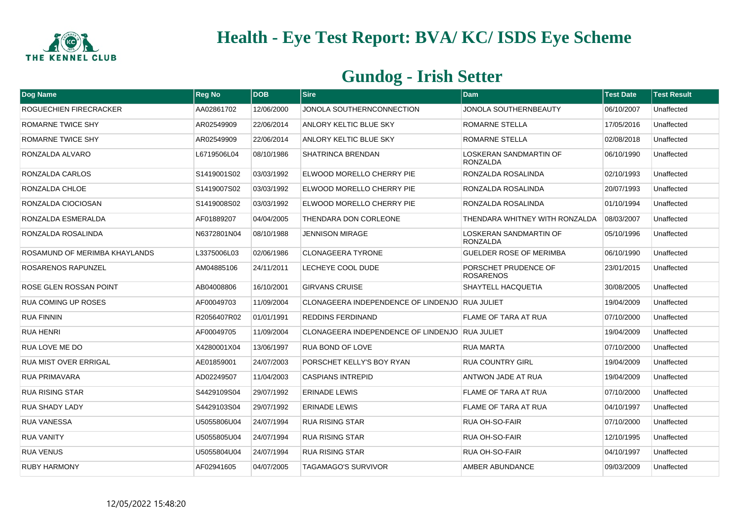

| Dog Name                      | <b>Reg No</b> | <b>DOB</b> | <b>Sire</b>                                    | <b>Dam</b>                                       | <b>Test Date</b> | <b>Test Result</b> |
|-------------------------------|---------------|------------|------------------------------------------------|--------------------------------------------------|------------------|--------------------|
| ROGUECHIEN FIRECRACKER        | AA02861702    | 12/06/2000 | JONOLA SOUTHERNCONNECTION                      | JONOLA SOUTHERNBEAUTY                            | 06/10/2007       | Unaffected         |
| ROMARNE TWICE SHY             | AR02549909    | 22/06/2014 | ANLORY KELTIC BLUE SKY                         | ROMARNE STELLA                                   | 17/05/2016       | Unaffected         |
| ROMARNE TWICE SHY             | AR02549909    | 22/06/2014 | <b>ANLORY KELTIC BLUE SKY</b>                  | ROMARNE STELLA                                   | 02/08/2018       | Unaffected         |
| RONZALDA ALVARO               | L6719506L04   | 08/10/1986 | SHATRINCA BRENDAN                              | LOSKERAN SANDMARTIN OF<br><b>RONZALDA</b>        | 06/10/1990       | Unaffected         |
| RONZALDA CARLOS               | S1419001S02   | 03/03/1992 | ELWOOD MORELLO CHERRY PIE                      | RONZALDA ROSALINDA                               | 02/10/1993       | Unaffected         |
| RONZALDA CHLOE                | S1419007S02   | 03/03/1992 | ELWOOD MORELLO CHERRY PIE                      | RONZALDA ROSALINDA                               | 20/07/1993       | Unaffected         |
| RONZALDA CIOCIOSAN            | S1419008S02   | 03/03/1992 | ELWOOD MORELLO CHERRY PIE                      | RONZALDA ROSALINDA                               | 01/10/1994       | Unaffected         |
| RONZALDA ESMERALDA            | AF01889207    | 04/04/2005 | THENDARA DON CORLEONE                          | THENDARA WHITNEY WITH RONZALDA                   | 08/03/2007       | Unaffected         |
| RONZALDA ROSALINDA            | N6372801N04   | 08/10/1988 | <b>JENNISON MIRAGE</b>                         | <b>LOSKERAN SANDMARTIN OF</b><br><b>RONZALDA</b> | 05/10/1996       | Unaffected         |
| ROSAMUND OF MERIMBA KHAYLANDS | L3375006L03   | 02/06/1986 | <b>CLONAGEERA TYRONE</b>                       | <b>GUELDER ROSE OF MERIMBA</b>                   | 06/10/1990       | Unaffected         |
| ROSARENOS RAPUNZEL            | AM04885106    | 24/11/2011 | LECHEYE COOL DUDE                              | PORSCHET PRUDENCE OF<br><b>ROSARENOS</b>         | 23/01/2015       | Unaffected         |
| ROSE GLEN ROSSAN POINT        | AB04008806    | 16/10/2001 | <b>GIRVANS CRUISE</b>                          | <b>SHAYTELL HACQUETIA</b>                        | 30/08/2005       | Unaffected         |
| <b>RUA COMING UP ROSES</b>    | AF00049703    | 11/09/2004 | CLONAGEERA INDEPENDENCE OF LINDENJO RUA JULIET |                                                  | 19/04/2009       | Unaffected         |
| <b>RUA FINNIN</b>             | R2056407R02   | 01/01/1991 | <b>REDDINS FERDINAND</b>                       | FLAME OF TARA AT RUA                             | 07/10/2000       | Unaffected         |
| <b>RUA HENRI</b>              | AF00049705    | 11/09/2004 | CLONAGEERA INDEPENDENCE OF LINDENJO RUA JULIET |                                                  | 19/04/2009       | Unaffected         |
| RUA LOVE ME DO                | X4280001X04   | 13/06/1997 | <b>RUA BOND OF LOVE</b>                        | <b>RUA MARTA</b>                                 | 07/10/2000       | Unaffected         |
| <b>RUA MIST OVER ERRIGAL</b>  | AE01859001    | 24/07/2003 | PORSCHET KELLY'S BOY RYAN                      | <b>RUA COUNTRY GIRL</b>                          | 19/04/2009       | Unaffected         |
| <b>RUA PRIMAVARA</b>          | AD02249507    | 11/04/2003 | CASPIANS INTREPID                              | ANTWON JADE AT RUA                               | 19/04/2009       | Unaffected         |
| <b>RUA RISING STAR</b>        | S4429109S04   | 29/07/1992 | <b>ERINADE LEWIS</b>                           | <b>FLAME OF TARA AT RUA</b>                      | 07/10/2000       | Unaffected         |
| <b>RUA SHADY LADY</b>         | S4429103S04   | 29/07/1992 | <b>ERINADE LEWIS</b>                           | FLAME OF TARA AT RUA                             | 04/10/1997       | Unaffected         |
| <b>RUA VANESSA</b>            | U5055806U04   | 24/07/1994 | <b>RUA RISING STAR</b>                         | <b>RUA OH-SO-FAIR</b>                            | 07/10/2000       | Unaffected         |
| <b>RUA VANITY</b>             | U5055805U04   | 24/07/1994 | <b>RUA RISING STAR</b>                         | <b>RUA OH-SO-FAIR</b>                            | 12/10/1995       | Unaffected         |
| <b>RUA VENUS</b>              | U5055804U04   | 24/07/1994 | <b>RUA RISING STAR</b>                         | <b>RUA OH-SO-FAIR</b>                            | 04/10/1997       | Unaffected         |
| <b>RUBY HARMONY</b>           | AF02941605    | 04/07/2005 | <b>TAGAMAGO'S SURVIVOR</b>                     | AMBER ABUNDANCE                                  | 09/03/2009       | Unaffected         |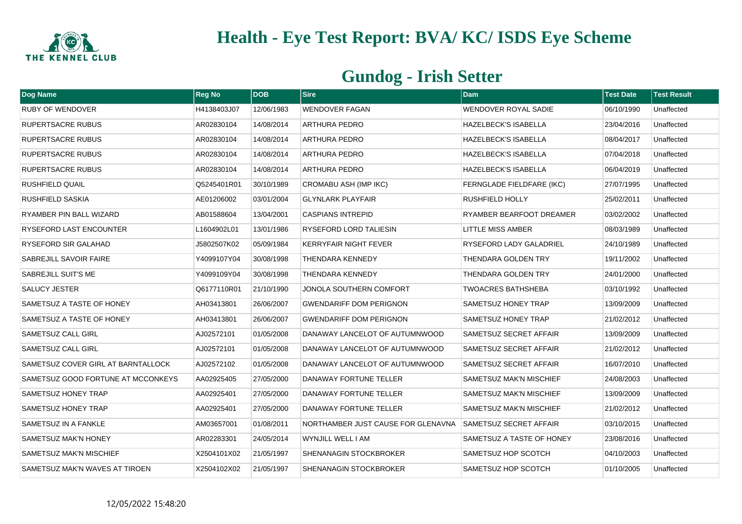

| Dog Name                           | <b>Reg No</b> | DOB        | <b>Sire</b>                        | <b>Dam</b>                       | <b>Test Date</b> | <b>Test Result</b> |
|------------------------------------|---------------|------------|------------------------------------|----------------------------------|------------------|--------------------|
| <b>RUBY OF WENDOVER</b>            | H4138403J07   | 12/06/1983 | <b>WENDOVER FAGAN</b>              | <b>WENDOVER ROYAL SADIE</b>      | 06/10/1990       | Unaffected         |
| <b>RUPERTSACRE RUBUS</b>           | AR02830104    | 14/08/2014 | <b>ARTHURA PEDRO</b>               | <b>HAZELBECK'S ISABELLA</b>      | 23/04/2016       | Unaffected         |
| <b>RUPERTSACRE RUBUS</b>           | AR02830104    | 14/08/2014 | <b>ARTHURA PEDRO</b>               | <b>HAZELBECK'S ISABELLA</b>      | 08/04/2017       | Unaffected         |
| <b>RUPERTSACRE RUBUS</b>           | AR02830104    | 14/08/2014 | <b>ARTHURA PEDRO</b>               | <b>HAZELBECK'S ISABELLA</b>      | 07/04/2018       | Unaffected         |
| <b>RUPERTSACRE RUBUS</b>           | AR02830104    | 14/08/2014 | <b>ARTHURA PEDRO</b>               | <b>HAZELBECK'S ISABELLA</b>      | 06/04/2019       | Unaffected         |
| <b>RUSHFIELD QUAIL</b>             | Q5245401R01   | 30/10/1989 | CROMABU ASH (IMP IKC)              | <b>FERNGLADE FIELDFARE (IKC)</b> | 27/07/1995       | Unaffected         |
| <b>RUSHFIELD SASKIA</b>            | AE01206002    | 03/01/2004 | <b>GLYNLARK PLAYFAIR</b>           | RUSHFIELD HOLLY                  | 25/02/2011       | Unaffected         |
| RYAMBER PIN BALL WIZARD            | AB01588604    | 13/04/2001 | <b>CASPIANS INTREPID</b>           | RYAMBER BEARFOOT DREAMER         | 03/02/2002       | Unaffected         |
| RYSEFORD LAST ENCOUNTER            | L1604902L01   | 13/01/1986 | RYSEFORD LORD TALIESIN             | <b>LITTLE MISS AMBER</b>         | 08/03/1989       | Unaffected         |
| RYSEFORD SIR GALAHAD               | J5802507K02   | 05/09/1984 | <b>KERRYFAIR NIGHT FEVER</b>       | <b>RYSEFORD LADY GALADRIEL</b>   | 24/10/1989       | Unaffected         |
| SABREJILL SAVOIR FAIRE             | Y4099107Y04   | 30/08/1998 | <b>THENDARA KENNEDY</b>            | THENDARA GOLDEN TRY              | 19/11/2002       | Unaffected         |
| <b>SABREJILL SUIT'S ME</b>         | Y4099109Y04   | 30/08/1998 | <b>THENDARA KENNEDY</b>            | THENDARA GOLDEN TRY              | 24/01/2000       | Unaffected         |
| <b>SALUCY JESTER</b>               | Q6177110R01   | 21/10/1990 | JONOLA SOUTHERN COMFORT            | <b>TWOACRES BATHSHEBA</b>        | 03/10/1992       | Unaffected         |
| <b>SAMETSUZ A TASTE OF HONEY</b>   | AH03413801    | 26/06/2007 | <b>GWENDARIFF DOM PERIGNON</b>     | <b>SAMETSUZ HONEY TRAP</b>       | 13/09/2009       | Unaffected         |
| <b>SAMETSUZ A TASTE OF HONEY</b>   | AH03413801    | 26/06/2007 | <b>GWENDARIFF DOM PERIGNON</b>     | <b>SAMETSUZ HONEY TRAP</b>       | 21/02/2012       | Unaffected         |
| <b>SAMETSUZ CALL GIRL</b>          | AJ02572101    | 01/05/2008 | DANAWAY LANCELOT OF AUTUMNWOOD     | SAMETSUZ SECRET AFFAIR           | 13/09/2009       | Unaffected         |
| <b>SAMETSUZ CALL GIRL</b>          | AJ02572101    | 01/05/2008 | DANAWAY LANCELOT OF AUTUMNWOOD     | SAMETSUZ SECRET AFFAIR           | 21/02/2012       | Unaffected         |
| SAMETSUZ COVER GIRL AT BARNTALLOCK | AJ02572102    | 01/05/2008 | DANAWAY LANCELOT OF AUTUMNWOOD     | SAMETSUZ SECRET AFFAIR           | 16/07/2010       | Unaffected         |
| SAMETSUZ GOOD FORTUNE AT MCCONKEYS | AA02925405    | 27/05/2000 | DANAWAY FORTUNE TELLER             | <b>SAMETSUZ MAK'N MISCHIEF</b>   | 24/08/2003       | Unaffected         |
| SAMETSUZ HONEY TRAP                | AA02925401    | 27/05/2000 | DANAWAY FORTUNE TELLER             | SAMETSUZ MAK'N MISCHIEF          | 13/09/2009       | Unaffected         |
| <b>SAMETSUZ HONEY TRAP</b>         | AA02925401    | 27/05/2000 | DANAWAY FORTUNE TELLER             | <b>SAMETSUZ MAK'N MISCHIEF</b>   | 21/02/2012       | Unaffected         |
| <b>SAMETSUZ IN A FANKLE</b>        | AM03657001    | 01/08/2011 | NORTHAMBER JUST CAUSE FOR GLENAVNA | <b>SAMETSUZ SECRET AFFAIR</b>    | 03/10/2015       | Unaffected         |
| <b>SAMETSUZ MAK'N HONEY</b>        | AR02283301    | 24/05/2014 | WYNJILL WELL I AM                  | SAMETSUZ A TASTE OF HONEY        | 23/08/2016       | Unaffected         |
| <b>SAMETSUZ MAK'N MISCHIEF</b>     | X2504101X02   | 21/05/1997 | <b>SHENANAGIN STOCKBROKER</b>      | SAMETSUZ HOP SCOTCH              | 04/10/2003       | Unaffected         |
| SAMETSUZ MAK'N WAVES AT TIROEN     | X2504102X02   | 21/05/1997 | <b>SHENANAGIN STOCKBROKER</b>      | SAMETSUZ HOP SCOTCH              | 01/10/2005       | Unaffected         |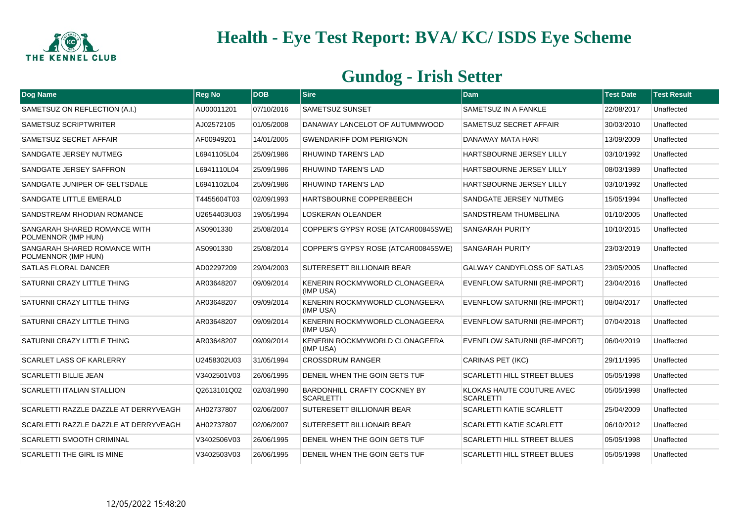

| Dog Name                                            | <b>Reg No</b> | <b>DOB</b> | <b>Sire</b>                                             | <b>Dam</b>                                    | <b>Test Date</b> | <b>Test Result</b> |
|-----------------------------------------------------|---------------|------------|---------------------------------------------------------|-----------------------------------------------|------------------|--------------------|
| SAMETSUZ ON REFLECTION (A.I.)                       | AU00011201    | 07/10/2016 | <b>SAMETSUZ SUNSET</b>                                  | <b>SAMETSUZ IN A FANKLE</b>                   | 22/08/2017       | Unaffected         |
| SAMETSUZ SCRIPTWRITER                               | AJ02572105    | 01/05/2008 | DANAWAY LANCELOT OF AUTUMNWOOD                          | <b>SAMETSUZ SECRET AFFAIR</b>                 | 30/03/2010       | Unaffected         |
| SAMETSUZ SECRET AFFAIR                              | AF00949201    | 14/01/2005 | <b>GWENDARIFF DOM PERIGNON</b>                          | DANAWAY MATA HARI                             | 13/09/2009       | Unaffected         |
| SANDGATE JERSEY NUTMEG                              | L6941105L04   | 25/09/1986 | <b>RHUWIND TAREN'S LAD</b>                              | <b>HARTSBOURNE JERSEY LILLY</b>               | 03/10/1992       | Unaffected         |
| SANDGATE JERSEY SAFFRON                             | L6941110L04   | 25/09/1986 | <b>RHUWIND TAREN'S LAD</b>                              | HARTSBOURNE JERSEY LILLY                      | 08/03/1989       | Unaffected         |
| SANDGATE JUNIPER OF GELTSDALE                       | L6941102L04   | 25/09/1986 | <b>RHUWIND TAREN'S LAD</b>                              | HARTSBOURNE JERSEY LILLY                      | 03/10/1992       | Unaffected         |
| SANDGATE LITTLE EMERALD                             | T4455604T03   | 02/09/1993 | <b>HARTSBOURNE COPPERBEECH</b>                          | <b>SANDGATE JERSEY NUTMEG</b>                 | 15/05/1994       | Unaffected         |
| SANDSTREAM RHODIAN ROMANCE                          | U2654403U03   | 19/05/1994 | <b>LOSKERAN OLEANDER</b>                                | <b>SANDSTREAM THUMBELINA</b>                  | 01/10/2005       | Unaffected         |
| SANGARAH SHARED ROMANCE WITH<br>POLMENNOR (IMP HUN) | AS0901330     | 25/08/2014 | COPPER'S GYPSY ROSE (ATCAR00845SWE)                     | <b>SANGARAH PURITY</b>                        | 10/10/2015       | Unaffected         |
| SANGARAH SHARED ROMANCE WITH<br>POLMENNOR (IMP HUN) | AS0901330     | 25/08/2014 | COPPER'S GYPSY ROSE (ATCAR00845SWE)                     | <b>SANGARAH PURITY</b>                        | 23/03/2019       | Unaffected         |
| <b>SATLAS FLORAL DANCER</b>                         | AD02297209    | 29/04/2003 | <b>SUTERESETT BILLIONAIR BEAR</b>                       | <b>GALWAY CANDYFLOSS OF SATLAS</b>            | 23/05/2005       | Unaffected         |
| SATURNII CRAZY LITTLE THING                         | AR03648207    | 09/09/2014 | KENERIN ROCKMYWORLD CLONAGEERA<br>(IMP USA)             | <b>EVENFLOW SATURNII (RE-IMPORT)</b>          | 23/04/2016       | Unaffected         |
| SATURNII CRAZY LITTLE THING                         | AR03648207    | 09/09/2014 | KENERIN ROCKMYWORLD CLONAGEERA<br>(IMP USA)             | <b>EVENFLOW SATURNII (RE-IMPORT)</b>          | 08/04/2017       | Unaffected         |
| SATURNII CRAZY LITTLE THING                         | AR03648207    | 09/09/2014 | KENERIN ROCKMYWORLD CLONAGEERA<br>(IMP USA)             | EVENFLOW SATURNII (RE-IMPORT)                 | 07/04/2018       | Unaffected         |
| SATURNII CRAZY LITTLE THING                         | AR03648207    | 09/09/2014 | KENERIN ROCKMYWORLD CLONAGEERA<br>(IMP USA)             | EVENFLOW SATURNII (RE-IMPORT)                 | 06/04/2019       | Unaffected         |
| <b>SCARLET LASS OF KARLERRY</b>                     | U2458302U03   | 31/05/1994 | <b>CROSSDRUM RANGER</b>                                 | <b>CARINAS PET (IKC)</b>                      | 29/11/1995       | Unaffected         |
| SCARLETTI BILLIE JEAN                               | V3402501V03   | 26/06/1995 | DENEIL WHEN THE GOIN GETS TUF                           | <b>SCARLETTI HILL STREET BLUES</b>            | 05/05/1998       | Unaffected         |
| <b>SCARLETTI ITALIAN STALLION</b>                   | Q2613101Q02   | 02/03/1990 | <b>BARDONHILL CRAFTY COCKNEY BY</b><br><b>SCARLETTI</b> | KLOKAS HAUTE COUTURE AVEC<br><b>SCARLETTI</b> | 05/05/1998       | Unaffected         |
| SCARLETTI RAZZLE DAZZLE AT DERRYVEAGH               | AH02737807    | 02/06/2007 | <b>SUTERESETT BILLIONAIR BEAR</b>                       | <b>SCARLETTI KATIE SCARLETT</b>               | 25/04/2009       | Unaffected         |
| SCARLETTI RAZZLE DAZZLE AT DERRYVEAGH               | AH02737807    | 02/06/2007 | <b>SUTERESETT BILLIONAIR BEAR</b>                       | <b>SCARLETTI KATIE SCARLETT</b>               | 06/10/2012       | Unaffected         |
| <b>SCARLETTI SMOOTH CRIMINAL</b>                    | V3402506V03   | 26/06/1995 | DENEIL WHEN THE GOIN GETS TUF                           | <b>SCARLETTI HILL STREET BLUES</b>            | 05/05/1998       | Unaffected         |
| <b>SCARLETTI THE GIRL IS MINE</b>                   | V3402503V03   | 26/06/1995 | DENEIL WHEN THE GOIN GETS TUF                           | <b>SCARLETTI HILL STREET BLUES</b>            | 05/05/1998       | Unaffected         |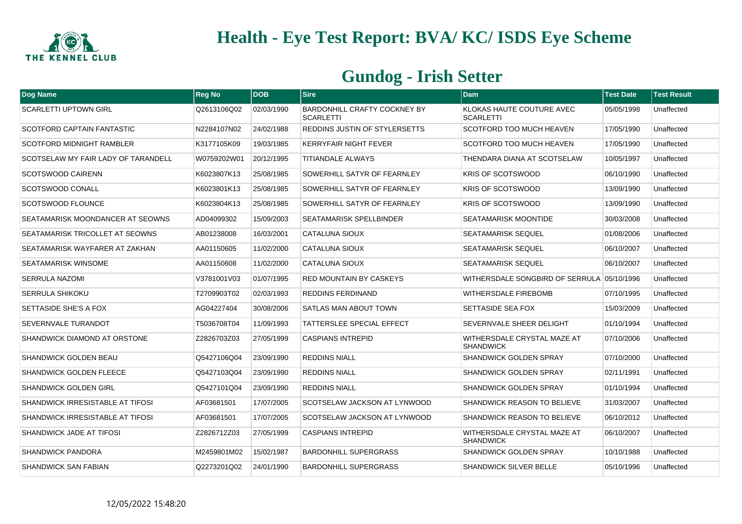

| Dog Name                            | <b>Reg No</b> | <b>DOB</b> | <b>Sire</b>                                             | <b>Dam</b>                                      | <b>Test Date</b> | <b>Test Result</b> |
|-------------------------------------|---------------|------------|---------------------------------------------------------|-------------------------------------------------|------------------|--------------------|
| <b>SCARLETTI UPTOWN GIRL</b>        | Q2613106Q02   | 02/03/1990 | <b>BARDONHILL CRAFTY COCKNEY BY</b><br><b>SCARLETTI</b> | KLOKAS HAUTE COUTURE AVEC<br><b>SCARLETTI</b>   | 05/05/1998       | Unaffected         |
| <b>SCOTFORD CAPTAIN FANTASTIC</b>   | N2284107N02   | 24/02/1988 | REDDINS JUSTIN OF STYLERSETTS                           | <b>SCOTFORD TOO MUCH HEAVEN</b>                 | 17/05/1990       | Unaffected         |
| SCOTFORD MIDNIGHT RAMBLER           | K3177105K09   | 19/03/1985 | <b>KERRYFAIR NIGHT FEVER</b>                            | <b>SCOTFORD TOO MUCH HEAVEN</b>                 | 17/05/1990       | Unaffected         |
| SCOTSELAW MY FAIR LADY OF TARANDELL | W0759202W01   | 20/12/1995 | <b>TITIANDALE ALWAYS</b>                                | THENDARA DIANA AT SCOTSELAW                     | 10/05/1997       | Unaffected         |
| <b>SCOTSWOOD CAIRENN</b>            | K6023807K13   | 25/08/1985 | SOWERHILL SATYR OF FEARNLEY                             | <b>KRIS OF SCOTSWOOD</b>                        | 06/10/1990       | Unaffected         |
| <b>SCOTSWOOD CONALL</b>             | K6023801K13   | 25/08/1985 | SOWERHILL SATYR OF FEARNLEY                             | <b>KRIS OF SCOTSWOOD</b>                        | 13/09/1990       | Unaffected         |
| <b>SCOTSWOOD FLOUNCE</b>            | K6023804K13   | 25/08/1985 | SOWERHILL SATYR OF FEARNLEY                             | <b>KRIS OF SCOTSWOOD</b>                        | 13/09/1990       | Unaffected         |
| SEATAMARISK MOONDANCER AT SEOWNS    | AD04099302    | 15/09/2003 | <b>SEATAMARISK SPELLBINDER</b>                          | <b>SEATAMARISK MOONTIDE</b>                     | 30/03/2008       | Unaffected         |
| SEATAMARISK TRICOLLET AT SEOWNS     | AB01238008    | 16/03/2001 | <b>CATALUNA SIOUX</b>                                   | <b>SEATAMARISK SEQUEL</b>                       | 01/08/2006       | Unaffected         |
| SEATAMARISK WAYFARER AT ZAKHAN      | AA01150605    | 11/02/2000 | <b>CATALUNA SIOUX</b>                                   | <b>SEATAMARISK SEQUEL</b>                       | 06/10/2007       | Unaffected         |
| SEATAMARISK WINSOME                 | AA01150608    | 11/02/2000 | <b>CATALUNA SIOUX</b>                                   | <b>SEATAMARISK SEQUEL</b>                       | 06/10/2007       | Unaffected         |
| <b>SERRULA NAZOMI</b>               | V3781001V03   | 01/07/1995 | <b>RED MOUNTAIN BY CASKEYS</b>                          |                                                 |                  | Unaffected         |
| <b>SERRULA SHIKOKU</b>              | T2709903T02   | 02/03/1993 | <b>REDDINS FERDINAND</b>                                | WITHERSDALE FIREBOMB                            | 07/10/1995       | Unaffected         |
| SETTASIDE SHE'S A FOX               | AG04227404    | 30/08/2006 | SATLAS MAN ABOUT TOWN                                   | <b>SETTASIDE SEA FOX</b>                        | 15/03/2009       | Unaffected         |
| SEVERNVALE TURANDOT                 | T5036708T04   | 11/09/1993 | TATTERSLEE SPECIAL EFFECT                               | SEVERNVALE SHEER DELIGHT                        | 01/10/1994       | Unaffected         |
| SHANDWICK DIAMOND AT ORSTONE        | Z2826703Z03   | 27/05/1999 | <b>CASPIANS INTREPID</b>                                | WITHERSDALE CRYSTAL MAZE AT<br><b>SHANDWICK</b> | 07/10/2006       | Unaffected         |
| <b>SHANDWICK GOLDEN BEAU</b>        | Q5427106Q04   | 23/09/1990 | <b>REDDINS NIALL</b>                                    | <b>SHANDWICK GOLDEN SPRAY</b>                   | 07/10/2000       | Unaffected         |
| <b>SHANDWICK GOLDEN FLEECE</b>      | Q5427103Q04   | 23/09/1990 | <b>REDDINS NIALL</b>                                    | <b>SHANDWICK GOLDEN SPRAY</b>                   | 02/11/1991       | Unaffected         |
| <b>SHANDWICK GOLDEN GIRL</b>        | Q5427101Q04   | 23/09/1990 | <b>REDDINS NIALL</b>                                    | <b>SHANDWICK GOLDEN SPRAY</b>                   | 01/10/1994       | Unaffected         |
| SHANDWICK IRRESISTABLE AT TIFOSI    | AF03681501    | 17/07/2005 | SCOTSELAW JACKSON AT LYNWOOD                            | <b>SHANDWICK REASON TO BELIEVE</b>              | 31/03/2007       | Unaffected         |
| SHANDWICK IRRESISTABLE AT TIFOSI    | AF03681501    | 17/07/2005 | SCOTSELAW JACKSON AT LYNWOOD                            | <b>SHANDWICK REASON TO BELIEVE</b>              | 06/10/2012       | Unaffected         |
| SHANDWICK JADE AT TIFOSI            | Z2826712Z03   | 27/05/1999 | <b>CASPIANS INTREPID</b>                                | WITHERSDALE CRYSTAL MAZE AT<br><b>SHANDWICK</b> | 06/10/2007       | Unaffected         |
| <b>SHANDWICK PANDORA</b>            | M2459801M02   | 15/02/1987 | <b>BARDONHILL SUPERGRASS</b>                            | <b>SHANDWICK GOLDEN SPRAY</b>                   | 10/10/1988       | Unaffected         |
| <b>SHANDWICK SAN FABIAN</b>         | Q2273201Q02   | 24/01/1990 | <b>BARDONHILL SUPERGRASS</b>                            | <b>SHANDWICK SILVER BELLE</b>                   | 05/10/1996       | Unaffected         |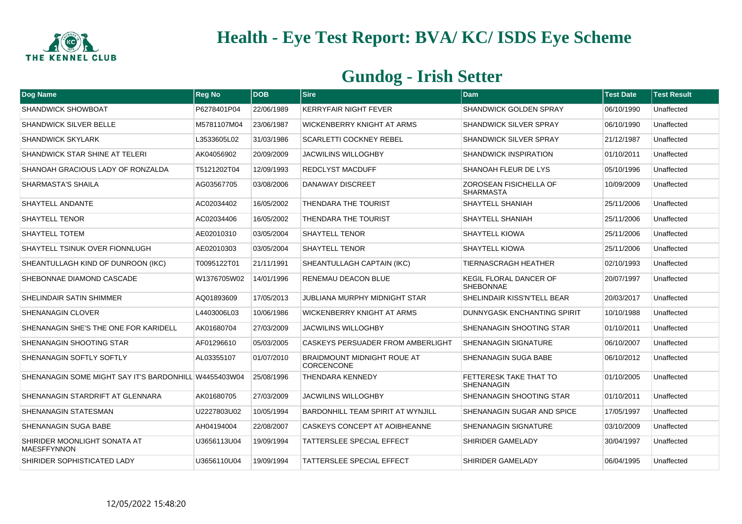

| Dog Name                                              | <b>Reg No</b> | <b>DOB</b> | <b>Sire</b>                                             | Dam                                               | <b>Test Date</b> | <b>Test Result</b> |
|-------------------------------------------------------|---------------|------------|---------------------------------------------------------|---------------------------------------------------|------------------|--------------------|
| <b>SHANDWICK SHOWBOAT</b>                             | P6278401P04   | 22/06/1989 | <b>KERRYFAIR NIGHT FEVER</b>                            | <b>SHANDWICK GOLDEN SPRAY</b>                     | 06/10/1990       | Unaffected         |
| <b>SHANDWICK SILVER BELLE</b>                         | M5781107M04   | 23/06/1987 | <b>WICKENBERRY KNIGHT AT ARMS</b>                       | <b>SHANDWICK SILVER SPRAY</b>                     | 06/10/1990       | Unaffected         |
| <b>SHANDWICK SKYLARK</b>                              | L3533605L02   | 31/03/1986 | <b>SCARLETTI COCKNEY REBEL</b>                          | <b>SHANDWICK SILVER SPRAY</b>                     | 21/12/1987       | Unaffected         |
| <b>SHANDWICK STAR SHINE AT TELERI</b>                 | AK04056902    | 20/09/2009 | <b>JACWILINS WILLOGHBY</b>                              | <b>SHANDWICK INSPIRATION</b>                      | 01/10/2011       | Unaffected         |
| SHANOAH GRACIOUS LADY OF RONZALDA                     | T5121202T04   | 12/09/1993 | <b>REDCLYST MACDUFF</b>                                 | SHANOAH FLEUR DE LYS                              | 05/10/1996       | Unaffected         |
| <b>SHARMASTA'S SHAILA</b>                             | AG03567705    | 03/08/2006 | <b>DANAWAY DISCREET</b>                                 | <b>ZOROSEAN FISICHELLA OF</b><br><b>SHARMASTA</b> | 10/09/2009       | Unaffected         |
| SHAYTELL ANDANTE                                      | AC02034402    | 16/05/2002 | <b>THENDARA THE TOURIST</b>                             | <b>SHAYTELL SHANIAH</b>                           | 25/11/2006       | Unaffected         |
| <b>SHAYTELL TENOR</b>                                 | AC02034406    | 16/05/2002 | THENDARA THE TOURIST                                    | <b>SHAYTELL SHANIAH</b>                           | 25/11/2006       | Unaffected         |
| <b>SHAYTELL TOTEM</b>                                 | AE02010310    | 03/05/2004 | <b>SHAYTELL TENOR</b>                                   | <b>SHAYTELL KIOWA</b>                             | 25/11/2006       | Unaffected         |
| SHAYTELL TSINUK OVER FIONNLUGH                        | AE02010303    | 03/05/2004 | <b>SHAYTELL TENOR</b>                                   | <b>SHAYTELL KIOWA</b>                             | 25/11/2006       | Unaffected         |
| SHEANTULLAGH KIND OF DUNROON (IKC)                    | T0095122T01   | 21/11/1991 | SHEANTULLAGH CAPTAIN (IKC)                              | TIERNASCRAGH HEATHER                              | 02/10/1993       | Unaffected         |
| SHEBONNAE DIAMOND CASCADE                             | W1376705W02   | 14/01/1996 | <b>RENEMAU DEACON BLUE</b>                              | KEGIL FLORAL DANCER OF<br><b>SHEBONNAE</b>        | 20/07/1997       | Unaffected         |
| <b>SHELINDAIR SATIN SHIMMER</b>                       | AQ01893609    | 17/05/2013 | <b>JUBLIANA MURPHY MIDNIGHT STAR</b>                    | <b>SHELINDAIR KISS'N'TELL BEAR</b>                | 20/03/2017       | Unaffected         |
| <b>SHENANAGIN CLOVER</b>                              | L4403006L03   | 10/06/1986 | <b>WICKENBERRY KNIGHT AT ARMS</b>                       | DUNNYGASK ENCHANTING SPIRIT                       | 10/10/1988       | Unaffected         |
| SHENANAGIN SHE'S THE ONE FOR KARIDELL                 | AK01680704    | 27/03/2009 | <b>JACWILINS WILLOGHBY</b>                              | SHENANAGIN SHOOTING STAR                          | 01/10/2011       | Unaffected         |
| <b>SHENANAGIN SHOOTING STAR</b>                       | AF01296610    | 05/03/2005 | <b>CASKEYS PERSUADER FROM AMBERLIGHT</b>                | <b>SHENANAGIN SIGNATURE</b>                       | 06/10/2007       | Unaffected         |
| SHENANAGIN SOFTLY SOFTLY                              | AL03355107    | 01/07/2010 | <b>BRAIDMOUNT MIDNIGHT ROUE AT</b><br><b>CORCENCONE</b> | SHENANAGIN SUGA BABE                              | 06/10/2012       | Unaffected         |
| SHENANAGIN SOME MIGHT SAY IT'S BARDONHILL W4455403W04 |               | 25/08/1996 | <b>THENDARA KENNEDY</b>                                 | FETTERESK TAKE THAT TO<br><b>SHENANAGIN</b>       | 01/10/2005       | Unaffected         |
| SHENANAGIN STARDRIFT AT GLENNARA                      | AK01680705    | 27/03/2009 | <b>JACWILINS WILLOGHBY</b>                              | <b>SHENANAGIN SHOOTING STAR</b>                   | 01/10/2011       | Unaffected         |
| <b>SHENANAGIN STATESMAN</b>                           | U2227803U02   | 10/05/1994 | <b>BARDONHILL TEAM SPIRIT AT WYNJILL</b>                | SHENANAGIN SUGAR AND SPICE                        | 17/05/1997       | Unaffected         |
| <b>SHENANAGIN SUGA BABE</b>                           | AH04194004    | 22/08/2007 | <b>CASKEYS CONCEPT AT AOIBHEANNE</b>                    | <b>SHENANAGIN SIGNATURE</b>                       | 03/10/2009       | Unaffected         |
| SHIRIDER MOONLIGHT SONATA AT<br><b>MAESFFYNNON</b>    | U3656113U04   | 19/09/1994 | <b>TATTERSLEE SPECIAL EFFECT</b>                        | SHIRIDER GAMELADY                                 | 30/04/1997       | Unaffected         |
| SHIRIDER SOPHISTICATED LADY                           | U3656110U04   | 19/09/1994 | <b>TATTERSLEE SPECIAL EFFECT</b>                        | SHIRIDER GAMELADY                                 | 06/04/1995       | Unaffected         |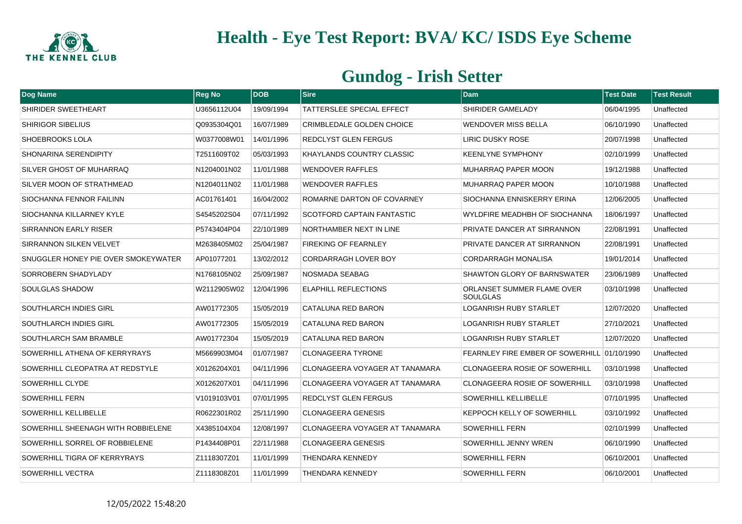

| Dog Name                            | <b>Reg No</b> | <b>DOB</b> | <b>Sire</b>                       | <b>Dam</b>                                    | <b>Test Date</b> | <b>Test Result</b> |
|-------------------------------------|---------------|------------|-----------------------------------|-----------------------------------------------|------------------|--------------------|
| SHIRIDER SWEETHEART                 | U3656112U04   | 19/09/1994 | TATTERSLEE SPECIAL EFFECT         | SHIRIDER GAMELADY                             | 06/04/1995       | Unaffected         |
| <b>SHIRIGOR SIBELIUS</b>            | Q0935304Q01   | 16/07/1989 | CRIMBLEDALE GOLDEN CHOICE         | <b>WENDOVER MISS BELLA</b>                    | 06/10/1990       | Unaffected         |
| SHOEBROOKS LOLA                     | W0377008W01   | 14/01/1996 | <b>REDCLYST GLEN FERGUS</b>       | LIRIC DUSKY ROSE                              | 20/07/1998       | Unaffected         |
| SHONARINA SERENDIPITY               | T2511609T02   | 05/03/1993 | KHAYLANDS COUNTRY CLASSIC         | <b>KEENLYNE SYMPHONY</b>                      | 02/10/1999       | Unaffected         |
| SILVER GHOST OF MUHARRAQ            | N1204001N02   | 11/01/1988 | <b>WENDOVER RAFFLES</b>           | MUHARRAQ PAPER MOON                           | 19/12/1988       | Unaffected         |
| SILVER MOON OF STRATHMEAD           | N1204011N02   | 11/01/1988 | <b>WENDOVER RAFFLES</b>           | MUHARRAQ PAPER MOON                           | 10/10/1988       | Unaffected         |
| SIOCHANNA FENNOR FAILINN            | AC01761401    | 16/04/2002 | ROMARNE DARTON OF COVARNEY        | SIOCHANNA ENNISKERRY ERINA                    | 12/06/2005       | Unaffected         |
| SIOCHANNA KILLARNEY KYLE            | S4545202S04   | 07/11/1992 | <b>SCOTFORD CAPTAIN FANTASTIC</b> | WYLDFIRE MEADHBH OF SIOCHANNA                 | 18/06/1997       | Unaffected         |
| SIRRANNON EARLY RISER               | P5743404P04   | 22/10/1989 | <b>NORTHAMBER NEXT IN LINE</b>    | PRIVATE DANCER AT SIRRANNON                   | 22/08/1991       | Unaffected         |
| SIRRANNON SILKEN VELVET             | M2638405M02   | 25/04/1987 | <b>FIREKING OF FEARNLEY</b>       | PRIVATE DANCER AT SIRRANNON                   | 22/08/1991       | Unaffected         |
| SNUGGLER HONEY PIE OVER SMOKEYWATER | AP01077201    | 13/02/2012 | <b>CORDARRAGH LOVER BOY</b>       | <b>CORDARRAGH MONALISA</b>                    | 19/01/2014       | Unaffected         |
| SORROBERN SHADYLADY                 | N1768105N02   | 25/09/1987 | NOSMADA SEABAG                    | <b>SHAWTON GLORY OF BARNSWATER</b>            | 23/06/1989       | Unaffected         |
| SOULGLAS SHADOW                     | W2112905W02   | 12/04/1996 | <b>ELAPHILL REFLECTIONS</b>       | ORLANSET SUMMER FLAME OVER<br><b>SOULGLAS</b> | 03/10/1998       | Unaffected         |
| SOUTHLARCH INDIES GIRL              | AW01772305    | 15/05/2019 | <b>CATALUNA RED BARON</b>         | <b>LOGANRISH RUBY STARLET</b>                 | 12/07/2020       | Unaffected         |
| <b>SOUTHLARCH INDIES GIRL</b>       | AW01772305    | 15/05/2019 | CATALUNA RED BARON                | LOGANRISH RUBY STARLET                        | 27/10/2021       | Unaffected         |
| SOUTHLARCH SAM BRAMBLE              | AW01772304    | 15/05/2019 | CATALUNA RED BARON                | <b>LOGANRISH RUBY STARLET</b>                 | 12/07/2020       | Unaffected         |
| SOWERHILL ATHENA OF KERRYRAYS       | M5669903M04   | 01/07/1987 | <b>CLONAGEERA TYRONE</b>          | FEARNLEY FIRE EMBER OF SOWERHILL 01/10/1990   |                  | Unaffected         |
| SOWERHILL CLEOPATRA AT REDSTYLE     | X0126204X01   | 04/11/1996 | CLONAGEERA VOYAGER AT TANAMARA    | <b>CLONAGEERA ROSIE OF SOWERHILL</b>          | 03/10/1998       | Unaffected         |
| SOWERHILL CLYDE                     | X0126207X01   | 04/11/1996 | CLONAGEERA VOYAGER AT TANAMARA    | <b>CLONAGEERA ROSIE OF SOWERHILL</b>          | 03/10/1998       | Unaffected         |
| <b>SOWERHILL FERN</b>               | V1019103V01   | 07/01/1995 | <b>REDCLYST GLEN FERGUS</b>       | <b>SOWERHILL KELLIBELLE</b>                   | 07/10/1995       | Unaffected         |
| SOWERHILL KELLIBELLE                | R0622301R02   | 25/11/1990 | <b>CLONAGEERA GENESIS</b>         | <b>KEPPOCH KELLY OF SOWERHILL</b>             | 03/10/1992       | Unaffected         |
| SOWERHILL SHEENAGH WITH ROBBIELENE  | X4385104X04   | 12/08/1997 | CLONAGEERA VOYAGER AT TANAMARA    | <b>SOWERHILL FERN</b>                         | 02/10/1999       | Unaffected         |
| SOWERHILL SORREL OF ROBBIELENE      | P1434408P01   | 22/11/1988 | <b>CLONAGEERA GENESIS</b>         | SOWERHILL JENNY WREN                          | 06/10/1990       | Unaffected         |
| SOWERHILL TIGRA OF KERRYRAYS        | Z1118307Z01   | 11/01/1999 | <b>THENDARA KENNEDY</b>           | <b>SOWERHILL FERN</b>                         | 06/10/2001       | Unaffected         |
| SOWERHILL VECTRA                    | Z1118308Z01   | 11/01/1999 | THENDARA KENNEDY                  | <b>SOWERHILL FERN</b>                         | 06/10/2001       | Unaffected         |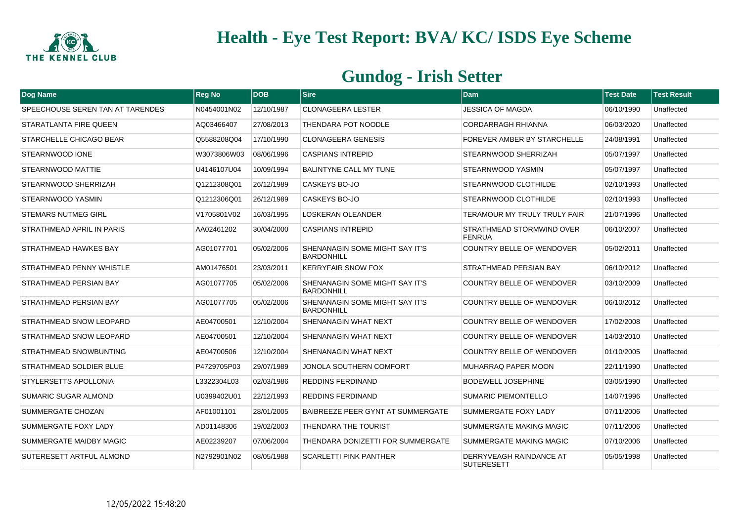

| Dog Name                         | <b>Reg No</b> | DOB        | <b>Sire</b>                                                | <b>Dam</b>                                   | <b>Test Date</b> | <b>Test Result</b> |
|----------------------------------|---------------|------------|------------------------------------------------------------|----------------------------------------------|------------------|--------------------|
| SPEECHOUSE SEREN TAN AT TARENDES | N0454001N02   | 12/10/1987 | <b>CLONAGEERA LESTER</b>                                   | <b>JESSICA OF MAGDA</b>                      | 06/10/1990       | Unaffected         |
| STARATLANTA FIRE QUEEN           | AQ03466407    | 27/08/2013 | THENDARA POT NOODLE                                        | CORDARRAGH RHIANNA                           | 06/03/2020       | Unaffected         |
| STARCHELLE CHICAGO BEAR          | Q5588208Q04   | 17/10/1990 | <b>CLONAGEERA GENESIS</b>                                  | FOREVER AMBER BY STARCHELLE                  | 24/08/1991       | Unaffected         |
| STEARNWOOD IONE                  | W3073806W03   | 08/06/1996 | <b>CASPIANS INTREPID</b>                                   | STEARNWOOD SHERRIZAH                         | 05/07/1997       | Unaffected         |
| <b>STEARNWOOD MATTIE</b>         | U4146107U04   | 10/09/1994 | <b>BALINTYNE CALL MY TUNE</b>                              | STEARNWOOD YASMIN                            | 05/07/1997       | Unaffected         |
| STEARNWOOD SHERRIZAH             | Q1212308Q01   | 26/12/1989 | CASKEYS BO-JO                                              | STEARNWOOD CLOTHILDE                         | 02/10/1993       | Unaffected         |
| STEARNWOOD YASMIN                | Q1212306Q01   | 26/12/1989 | CASKEYS BO-JO                                              | <b>STEARNWOOD CLOTHILDE</b>                  | 02/10/1993       | Unaffected         |
| <b>STEMARS NUTMEG GIRL</b>       | V1705801V02   | 16/03/1995 | <b>LOSKERAN OLEANDER</b>                                   | TERAMOUR MY TRULY TRULY FAIR                 | 21/07/1996       | Unaffected         |
| STRATHMEAD APRIL IN PARIS        | AA02461202    | 30/04/2000 | <b>CASPIANS INTREPID</b>                                   | STRATHMEAD STORMWIND OVER<br><b>FENRUA</b>   | 06/10/2007       | Unaffected         |
| STRATHMEAD HAWKES BAY            | AG01077701    | 05/02/2006 | SHENANAGIN SOME MIGHT SAY IT'S<br><b>BARDONHILL</b>        | COUNTRY BELLE OF WENDOVER                    | 05/02/2011       | Unaffected         |
| STRATHMEAD PENNY WHISTLE         | AM01476501    | 23/03/2011 | <b>KERRYFAIR SNOW FOX</b>                                  | <b>STRATHMEAD PERSIAN BAY</b>                | 06/10/2012       | Unaffected         |
| STRATHMEAD PERSIAN BAY           | AG01077705    | 05/02/2006 | <b>SHENANAGIN SOME MIGHT SAY IT'S</b><br><b>BARDONHILL</b> | COUNTRY BELLE OF WENDOVER                    | 03/10/2009       | Unaffected         |
| STRATHMEAD PERSIAN BAY           | AG01077705    | 05/02/2006 | SHENANAGIN SOME MIGHT SAY IT'S<br><b>BARDONHILL</b>        | <b>COUNTRY BELLE OF WENDOVER</b>             | 06/10/2012       | Unaffected         |
| STRATHMEAD SNOW LEOPARD          | AE04700501    | 12/10/2004 | SHENANAGIN WHAT NEXT                                       | COUNTRY BELLE OF WENDOVER                    | 17/02/2008       | Unaffected         |
| STRATHMEAD SNOW LEOPARD          | AE04700501    | 12/10/2004 | SHENANAGIN WHAT NEXT                                       | <b>COUNTRY BELLE OF WENDOVER</b>             | 14/03/2010       | Unaffected         |
| STRATHMEAD SNOWBUNTING           | AE04700506    | 12/10/2004 | SHENANAGIN WHAT NEXT                                       | COUNTRY BELLE OF WENDOVER                    | 01/10/2005       | Unaffected         |
| <b>STRATHMEAD SOLDIER BLUE</b>   | P4729705P03   | 29/07/1989 | JONOLA SOUTHERN COMFORT                                    | <b>MUHARRAQ PAPER MOON</b>                   | 22/11/1990       | Unaffected         |
| <b>STYLERSETTS APOLLONIA</b>     | L3322304L03   | 02/03/1986 | <b>REDDINS FERDINAND</b>                                   | <b>BODEWELL JOSEPHINE</b>                    | 03/05/1990       | Unaffected         |
| <b>SUMARIC SUGAR ALMOND</b>      | U0399402U01   | 22/12/1993 | <b>REDDINS FERDINAND</b>                                   | <b>SUMARIC PIEMONTELLO</b>                   | 14/07/1996       | Unaffected         |
| SUMMERGATE CHOZAN                | AF01001101    | 28/01/2005 | BAIBREEZE PEER GYNT AT SUMMERGATE                          | SUMMERGATE FOXY LADY                         | 07/11/2006       | Unaffected         |
| SUMMERGATE FOXY LADY             | AD01148306    | 19/02/2003 | THENDARA THE TOURIST                                       | <b>SUMMERGATE MAKING MAGIC</b>               | 07/11/2006       | Unaffected         |
| SUMMERGATE MAIDBY MAGIC          | AE02239207    | 07/06/2004 | THENDARA DONIZETTI FOR SUMMERGATE                          | <b>SUMMERGATE MAKING MAGIC</b>               | 07/10/2006       | Unaffected         |
| SUTERESETT ARTFUL ALMOND         | N2792901N02   | 08/05/1988 | <b>SCARLETTI PINK PANTHER</b>                              | DERRYVEAGH RAINDANCE AT<br><b>SUTERESETT</b> | 05/05/1998       | Unaffected         |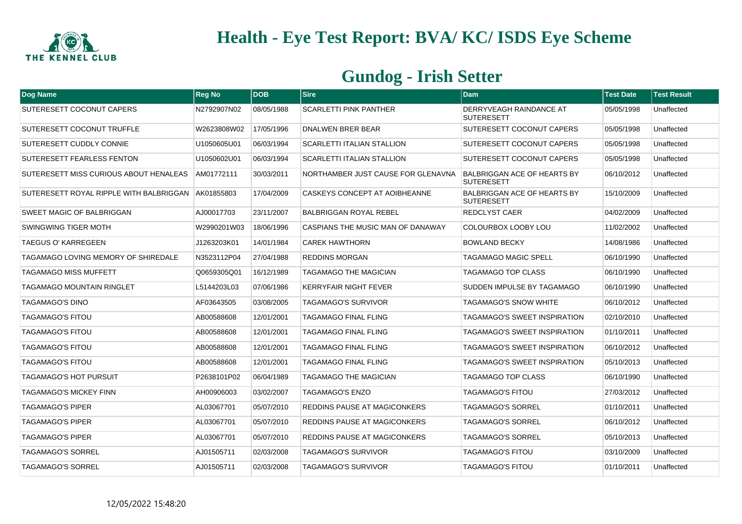

| Dog Name                                | <b>Reg No</b> | <b>DOB</b> | <b>Sire</b>                          | <b>Dam</b>                                              | <b>Test Date</b> | <b>Test Result</b> |
|-----------------------------------------|---------------|------------|--------------------------------------|---------------------------------------------------------|------------------|--------------------|
| SUTERESETT COCONUT CAPERS               | N2792907N02   | 08/05/1988 | <b>SCARLETTI PINK PANTHER</b>        | DERRYVEAGH RAINDANCE AT<br><b>SUTERESETT</b>            | 05/05/1998       | Unaffected         |
| SUTERESETT COCONUT TRUFFLE              | W2623808W02   | 17/05/1996 | DNALWEN BRER BEAR                    | <b>SUTERESETT COCONUT CAPERS</b>                        | 05/05/1998       | Unaffected         |
| SUTERESETT CUDDLY CONNIE                | U1050605U01   | 06/03/1994 | <b>SCARLETTI ITALIAN STALLION</b>    | SUTERESETT COCONUT CAPERS                               | 05/05/1998       | Unaffected         |
| SUTERESETT FEARLESS FENTON              | U1050602U01   | 06/03/1994 | <b>SCARLETTI ITALIAN STALLION</b>    | SUTERESETT COCONUT CAPERS                               | 05/05/1998       | Unaffected         |
| SUTERESETT MISS CURIOUS ABOUT HENALEAS  | AM01772111    | 30/03/2011 | NORTHAMBER JUST CAUSE FOR GLENAVNA   | <b>BALBRIGGAN ACE OF HEARTS BY</b><br><b>SUTERESETT</b> | 06/10/2012       | Unaffected         |
| SUTERESETT ROYAL RIPPLE WITH BALBRIGGAN | AK01855803    | 17/04/2009 | <b>CASKEYS CONCEPT AT AOIBHEANNE</b> | <b>BALBRIGGAN ACE OF HEARTS BY</b><br><b>SUTERESETT</b> | 15/10/2009       | Unaffected         |
| <b>SWEET MAGIC OF BALBRIGGAN</b>        | AJ00017703    | 23/11/2007 | <b>BALBRIGGAN ROYAL REBEL</b>        | <b>REDCLYST CAER</b>                                    | 04/02/2009       | Unaffected         |
| SWINGWING TIGER MOTH                    | W2990201W03   | 18/06/1996 | CASPIANS THE MUSIC MAN OF DANAWAY    | COLOURBOX LOOBY LOU                                     | 11/02/2002       | Unaffected         |
| <b>TAEGUS O' KARREGEEN</b>              | J1263203K01   | 14/01/1984 | <b>CAREK HAWTHORN</b>                | <b>BOWLAND BECKY</b>                                    | 14/08/1986       | Unaffected         |
| TAGAMAGO LOVING MEMORY OF SHIREDALE     | N3523112P04   | 27/04/1988 | <b>REDDINS MORGAN</b>                | TAGAMAGO MAGIC SPELL                                    | 06/10/1990       | Unaffected         |
| <b>TAGAMAGO MISS MUFFETT</b>            | Q0659305Q01   | 16/12/1989 | <b>TAGAMAGO THE MAGICIAN</b>         | TAGAMAGO TOP CLASS                                      | 06/10/1990       | Unaffected         |
| <b>TAGAMAGO MOUNTAIN RINGLET</b>        | L5144203L03   | 07/06/1986 | <b>KERRYFAIR NIGHT FEVER</b>         | SUDDEN IMPULSE BY TAGAMAGO                              | 06/10/1990       | Unaffected         |
| TAGAMAGO'S DINO                         | AF03643505    | 03/08/2005 | <b>TAGAMAGO'S SURVIVOR</b>           | TAGAMAGO'S SNOW WHITE                                   | 06/10/2012       | Unaffected         |
| <b>TAGAMAGO'S FITOU</b>                 | AB00588608    | 12/01/2001 | <b>TAGAMAGO FINAL FLING</b>          | TAGAMAGO'S SWEET INSPIRATION                            | 02/10/2010       | Unaffected         |
| <b>TAGAMAGO'S FITOU</b>                 | AB00588608    | 12/01/2001 | <b>TAGAMAGO FINAL FLING</b>          | TAGAMAGO'S SWEET INSPIRATION                            | 01/10/2011       | Unaffected         |
| <b>TAGAMAGO'S FITOU</b>                 | AB00588608    | 12/01/2001 | <b>TAGAMAGO FINAL FLING</b>          | TAGAMAGO'S SWEET INSPIRATION                            | 06/10/2012       | Unaffected         |
| TAGAMAGO'S FITOU                        | AB00588608    | 12/01/2001 | TAGAMAGO FINAL FLING                 | TAGAMAGO'S SWEET INSPIRATION                            | 05/10/2013       | Unaffected         |
| <b>TAGAMAGO'S HOT PURSUIT</b>           | P2638101P02   | 06/04/1989 | TAGAMAGO THE MAGICIAN                | TAGAMAGO TOP CLASS                                      | 06/10/1990       | Unaffected         |
| TAGAMAGO'S MICKEY FINN                  | AH00906003    | 03/02/2007 | <b>TAGAMAGO'S ENZO</b>               | TAGAMAGO'S FITOU                                        | 27/03/2012       | Unaffected         |
| <b>TAGAMAGO'S PIPER</b>                 | AL03067701    | 05/07/2010 | REDDINS PAUSE AT MAGICONKERS         | TAGAMAGO'S SORREL                                       | 01/10/2011       | Unaffected         |
| <b>TAGAMAGO'S PIPER</b>                 | AL03067701    | 05/07/2010 | <b>REDDINS PAUSE AT MAGICONKERS</b>  | <b>TAGAMAGO'S SORREL</b>                                | 06/10/2012       | Unaffected         |
| <b>TAGAMAGO'S PIPER</b>                 | AL03067701    | 05/07/2010 | <b>REDDINS PAUSE AT MAGICONKERS</b>  | <b>TAGAMAGO'S SORREL</b>                                | 05/10/2013       | Unaffected         |
| <b>TAGAMAGO'S SORREL</b>                | AJ01505711    | 02/03/2008 | <b>TAGAMAGO'S SURVIVOR</b>           | <b>TAGAMAGO'S FITOU</b>                                 | 03/10/2009       | Unaffected         |
| <b>TAGAMAGO'S SORREL</b>                | AJ01505711    | 02/03/2008 | <b>TAGAMAGO'S SURVIVOR</b>           | <b>TAGAMAGO'S FITOU</b>                                 | 01/10/2011       | Unaffected         |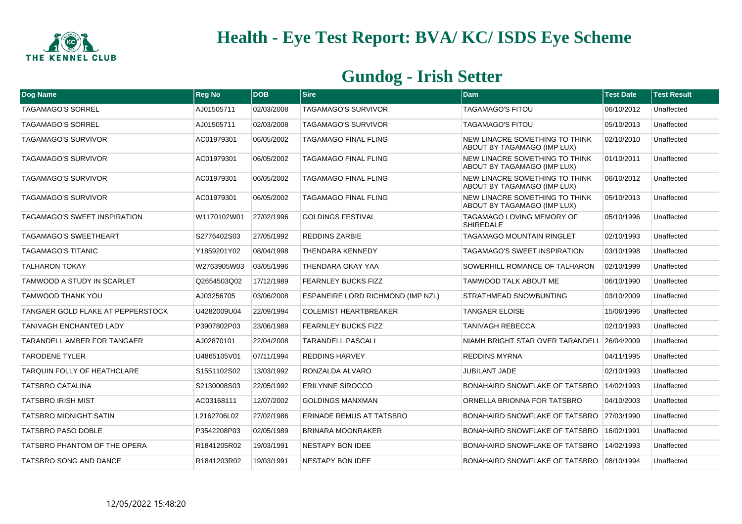

| <b>Dog Name</b>                          | <b>Reg No</b> | <b>IDOB</b> | <b>Sire</b>                              | <b>Dam</b>                                                    | <b>Test Date</b> | <b>Test Result</b> |
|------------------------------------------|---------------|-------------|------------------------------------------|---------------------------------------------------------------|------------------|--------------------|
| <b>TAGAMAGO'S SORREL</b>                 | AJ01505711    | 02/03/2008  | <b>TAGAMAGO'S SURVIVOR</b>               | <b>TAGAMAGO'S FITOU</b>                                       | 06/10/2012       | Unaffected         |
| <b>TAGAMAGO'S SORREL</b>                 | AJ01505711    | 02/03/2008  | <b>TAGAMAGO'S SURVIVOR</b>               | <b>TAGAMAGO'S FITOU</b>                                       | 05/10/2013       | Unaffected         |
| <b>TAGAMAGO'S SURVIVOR</b>               | AC01979301    | 06/05/2002  | <b>TAGAMAGO FINAL FLING</b>              | NEW LINACRE SOMETHING TO THINK<br>ABOUT BY TAGAMAGO (IMP LUX) | 02/10/2010       | Unaffected         |
| <b>TAGAMAGO'S SURVIVOR</b>               | AC01979301    | 06/05/2002  | TAGAMAGO FINAL FLING                     | NEW LINACRE SOMETHING TO THINK<br>ABOUT BY TAGAMAGO (IMP LUX) | 01/10/2011       | Unaffected         |
| <b>TAGAMAGO'S SURVIVOR</b>               | AC01979301    | 06/05/2002  | <b>TAGAMAGO FINAL FLING</b>              | NEW LINACRE SOMETHING TO THINK<br>ABOUT BY TAGAMAGO (IMP LUX) | 06/10/2012       | Unaffected         |
| <b>TAGAMAGO'S SURVIVOR</b>               | AC01979301    | 06/05/2002  | <b>TAGAMAGO FINAL FLING</b>              | NEW LINACRE SOMETHING TO THINK<br>ABOUT BY TAGAMAGO (IMP LUX) | 05/10/2013       | Unaffected         |
| <b>TAGAMAGO'S SWEET INSPIRATION</b>      | W1170102W01   | 27/02/1996  | <b>GOLDINGS FESTIVAL</b>                 | <b>TAGAMAGO LOVING MEMORY OF</b><br><b>SHIREDALE</b>          | 05/10/1996       | Unaffected         |
| <b>TAGAMAGO'S SWEETHEART</b>             | S2776402S03   | 27/05/1992  | <b>REDDINS ZARBIE</b>                    | <b>TAGAMAGO MOUNTAIN RINGLET</b>                              | 02/10/1993       | Unaffected         |
| <b>TAGAMAGO'S TITANIC</b>                | Y1859201Y02   | 08/04/1998  | <b>THENDARA KENNEDY</b>                  | <b>TAGAMAGO'S SWEET INSPIRATION</b>                           | 03/10/1998       | Unaffected         |
| <b>TALHARON TOKAY</b>                    | W2763905W03   | 03/05/1996  | THENDARA OKAY YAA                        | SOWERHILL ROMANCE OF TALHARON                                 | 02/10/1999       | Unaffected         |
| <b>TAMWOOD A STUDY IN SCARLET</b>        | Q2654503Q02   | 17/12/1989  | <b>FEARNLEY BUCKS FIZZ</b>               | <b>TAMWOOD TALK ABOUT ME</b>                                  | 06/10/1990       | Unaffected         |
| <b>TAMWOOD THANK YOU</b>                 | AJ03256705    | 03/06/2008  | <b>ESPANEIRE LORD RICHMOND (IMP NZL)</b> | <b>STRATHMEAD SNOWBUNTING</b>                                 | 03/10/2009       | Unaffected         |
| <b>TANGAER GOLD FLAKE AT PEPPERSTOCK</b> | U4282009U04   | 22/09/1994  | <b>COLEMIST HEARTBREAKER</b>             | <b>TANGAER ELOISE</b>                                         | 15/06/1996       | Unaffected         |
| <b>TANIVAGH ENCHANTED LADY</b>           | P3907802P03   | 23/06/1989  | <b>FEARNLEY BUCKS FIZZ</b>               | <b>TANIVAGH REBECCA</b>                                       | 02/10/1993       | Unaffected         |
| <b>TARANDELL AMBER FOR TANGAER</b>       | AJ02870101    | 22/04/2008  | <b>TARANDELL PASCALI</b>                 | NIAMH BRIGHT STAR OVER TARANDELL 26/04/2009                   |                  | Unaffected         |
| <b>TARODENE TYLER</b>                    | U4865105V01   | 07/11/1994  | <b>REDDINS HARVEY</b>                    | <b>REDDINS MYRNA</b>                                          | 04/11/1995       | Unaffected         |
| <b>TARQUIN FOLLY OF HEATHCLARE</b>       | S1551102S02   | 13/03/1992  | RONZALDA ALVARO                          | JUBILANT JADE                                                 | 02/10/1993       | Unaffected         |
| <b>TATSBRO CATALINA</b>                  | S2130008S03   | 22/05/1992  | <b>ERILYNNE SIROCCO</b>                  | BONAHAIRD SNOWFLAKE OF TATSBRO                                | 14/02/1993       | Unaffected         |
| <b>TATSBRO IRISH MIST</b>                | AC03168111    | 12/07/2002  | <b>GOLDINGS MANXMAN</b>                  | ORNELLA BRIONNA FOR TATSBRO                                   | 04/10/2003       | Unaffected         |
| <b>TATSBRO MIDNIGHT SATIN</b>            | L2162706L02   | 27/02/1986  | <b>ERINADE REMUS AT TATSBRO</b>          | BONAHAIRD SNOWFLAKE OF TATSBRO                                | 27/03/1990       | Unaffected         |
| <b>TATSBRO PASO DOBLE</b>                | P3542208P03   | 02/05/1989  | <b>BRINARA MOONRAKER</b>                 | BONAHAIRD SNOWFLAKE OF TATSBRO                                | 16/02/1991       | Unaffected         |
| TATSBRO PHANTOM OF THE OPERA             | R1841205R02   | 19/03/1991  | NESTAPY BON IDEE                         | BONAHAIRD SNOWFLAKE OF TATSBRO                                | 14/02/1993       | Unaffected         |
| TATSBRO SONG AND DANCE                   | R1841203R02   | 19/03/1991  | NESTAPY BON IDEE                         | BONAHAIRD SNOWFLAKE OF TATSBRO                                | 08/10/1994       | Unaffected         |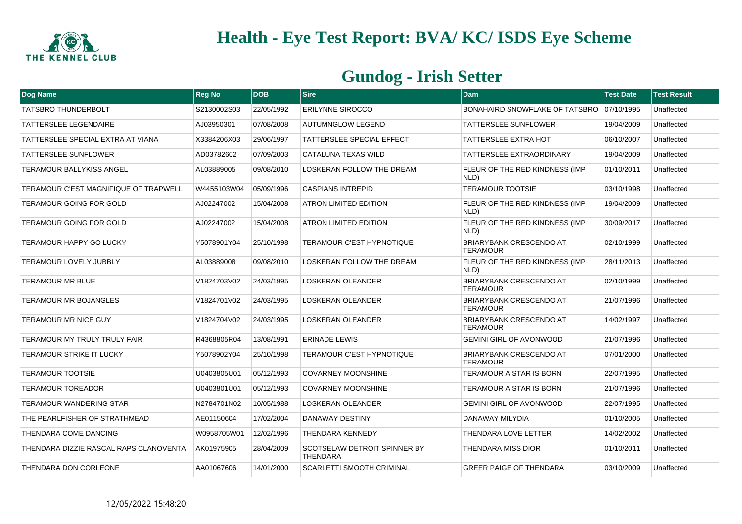

| Dog Name                               | <b>Reg No</b> | <b>DOB</b> | Sire                                                   | <b>Dam</b>                                        | <b>Test Date</b> | <b>Test Result</b> |
|----------------------------------------|---------------|------------|--------------------------------------------------------|---------------------------------------------------|------------------|--------------------|
| <b>TATSBRO THUNDERBOLT</b>             | S2130002S03   | 22/05/1992 | <b>ERILYNNE SIROCCO</b>                                | BONAHAIRD SNOWFLAKE OF TATSBRO 07/10/1995         |                  | Unaffected         |
| <b>TATTERSLEE LEGENDAIRE</b>           | AJ03950301    | 07/08/2008 | <b>AUTUMNGLOW LEGEND</b>                               | TATTERSLEE SUNFLOWER                              | 19/04/2009       | Unaffected         |
| TATTERSLEE SPECIAL EXTRA AT VIANA      | X3384206X03   | 29/06/1997 | <b>TATTERSLEE SPECIAL EFFECT</b>                       | TATTERSLEE EXTRA HOT                              | 06/10/2007       | Unaffected         |
| <b>TATTERSLEE SUNFLOWER</b>            | AD03782602    | 07/09/2003 | CATALUNA TEXAS WILD                                    | TATTERSLEE EXTRAORDINARY                          | 19/04/2009       | Unaffected         |
| <b>TERAMOUR BALLYKISS ANGEL</b>        | AL03889005    | 09/08/2010 | LOSKERAN FOLLOW THE DREAM                              | FLEUR OF THE RED KINDNESS (IMP<br>NLD)            | 01/10/2011       | Unaffected         |
| TERAMOUR C'EST MAGNIFIQUE OF TRAPWELL  | W4455103W04   | 05/09/1996 | <b>CASPIANS INTREPID</b>                               | <b>TERAMOUR TOOTSIE</b>                           | 03/10/1998       | Unaffected         |
| TERAMOUR GOING FOR GOLD                | AJ02247002    | 15/04/2008 | ATRON LIMITED EDITION                                  | FLEUR OF THE RED KINDNESS (IMP<br>NLD)            | 19/04/2009       | Unaffected         |
| <b>TERAMOUR GOING FOR GOLD</b>         | AJ02247002    | 15/04/2008 | <b>ATRON LIMITED EDITION</b>                           | FLEUR OF THE RED KINDNESS (IMP<br>NLD)            | 30/09/2017       | Unaffected         |
| <b>TERAMOUR HAPPY GO LUCKY</b>         | Y5078901Y04   | 25/10/1998 | TERAMOUR C'EST HYPNOTIQUE                              | <b>BRIARYBANK CRESCENDO AT</b><br><b>TERAMOUR</b> | 02/10/1999       | Unaffected         |
| <b>TERAMOUR LOVELY JUBBLY</b>          | AL03889008    | 09/08/2010 | LOSKERAN FOLLOW THE DREAM                              | FLEUR OF THE RED KINDNESS (IMP<br>NLD)            | 28/11/2013       | Unaffected         |
| <b>TERAMOUR MR BLUE</b>                | V1824703V02   | 24/03/1995 | <b>LOSKERAN OLEANDER</b>                               | <b>BRIARYBANK CRESCENDO AT</b><br><b>TERAMOUR</b> | 02/10/1999       | Unaffected         |
| <b>TERAMOUR MR BOJANGLES</b>           | V1824701V02   | 24/03/1995 | <b>LOSKERAN OLEANDER</b>                               | <b>BRIARYBANK CRESCENDO AT</b><br><b>TERAMOUR</b> | 21/07/1996       | Unaffected         |
| <b>TERAMOUR MR NICE GUY</b>            | V1824704V02   | 24/03/1995 | <b>LOSKERAN OLEANDER</b>                               | <b>BRIARYBANK CRESCENDO AT</b><br><b>TERAMOUR</b> | 14/02/1997       | Unaffected         |
| TERAMOUR MY TRULY TRULY FAIR           | R4368805R04   | 13/08/1991 | <b>ERINADE LEWIS</b>                                   | <b>GEMINI GIRL OF AVONWOOD</b>                    | 21/07/1996       | Unaffected         |
| <b>TERAMOUR STRIKE IT LUCKY</b>        | Y5078902Y04   | 25/10/1998 | <b>TERAMOUR C'EST HYPNOTIQUE</b>                       | <b>BRIARYBANK CRESCENDO AT</b><br><b>TERAMOUR</b> | 07/01/2000       | Unaffected         |
| <b>TERAMOUR TOOTSIE</b>                | U0403805U01   | 05/12/1993 | <b>COVARNEY MOONSHINE</b>                              | TERAMOUR A STAR IS BORN                           | 22/07/1995       | Unaffected         |
| <b>TERAMOUR TOREADOR</b>               | U0403801U01   | 05/12/1993 | <b>COVARNEY MOONSHINE</b>                              | TERAMOUR A STAR IS BORN                           | 21/07/1996       | Unaffected         |
| TERAMOUR WANDERING STAR                | N2784701N02   | 10/05/1988 | <b>LOSKERAN OLEANDER</b>                               | <b>GEMINI GIRL OF AVONWOOD</b>                    | 22/07/1995       | Unaffected         |
| THE PEARLFISHER OF STRATHMEAD          | AE01150604    | 17/02/2004 | <b>DANAWAY DESTINY</b>                                 | DANAWAY MILYDIA                                   | 01/10/2005       | Unaffected         |
| THENDARA COME DANCING                  | W0958705W01   | 12/02/1996 | <b>THENDARA KENNEDY</b>                                | THENDARA LOVE LETTER                              | 14/02/2002       | Unaffected         |
| THENDARA DIZZIE RASCAL RAPS CLANOVENTA | AK01975905    | 28/04/2009 | <b>SCOTSELAW DETROIT SPINNER BY</b><br><b>THENDARA</b> | THENDARA MISS DIOR                                | 01/10/2011       | Unaffected         |
| THENDARA DON CORLEONE                  | AA01067606    | 14/01/2000 | <b>SCARLETTI SMOOTH CRIMINAL</b>                       | <b>GREER PAIGE OF THENDARA</b>                    | 03/10/2009       | Unaffected         |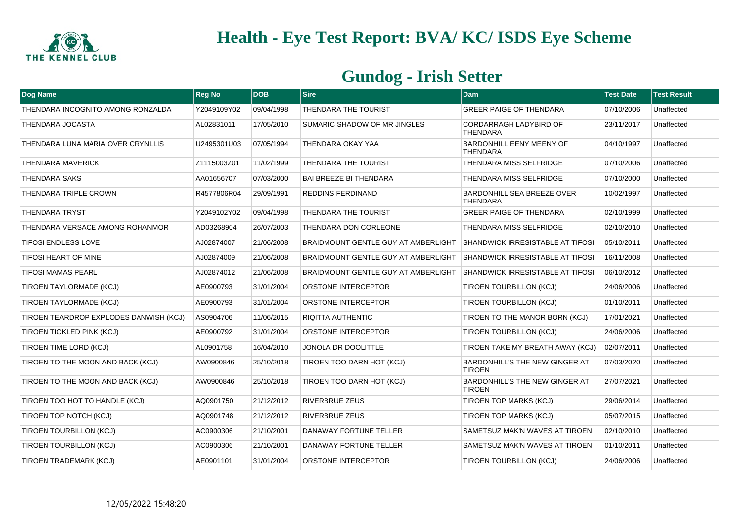

| Dog Name                               | <b>Reg No</b> | <b>DOB</b> | <b>Sire</b>                                | <b>Dam</b>                                           | <b>Test Date</b> | <b>Test Result</b> |
|----------------------------------------|---------------|------------|--------------------------------------------|------------------------------------------------------|------------------|--------------------|
| THENDARA INCOGNITO AMONG RONZALDA      | Y2049109Y02   | 09/04/1998 | <b>THENDARA THE TOURIST</b>                | <b>GREER PAIGE OF THENDARA</b>                       | 07/10/2006       | Unaffected         |
| <b>THENDARA JOCASTA</b>                | AL02831011    | 17/05/2010 | <b>SUMARIC SHADOW OF MR JINGLES</b>        | CORDARRAGH LADYBIRD OF<br><b>THENDARA</b>            | 23/11/2017       | Unaffected         |
| THENDARA LUNA MARIA OVER CRYNLLIS      | U2495301U03   | 07/05/1994 | THENDARA OKAY YAA                          | BARDONHILL EENY MEENY OF<br>THENDARA                 | 04/10/1997       | Unaffected         |
| <b>THENDARA MAVERICK</b>               | Z1115003Z01   | 11/02/1999 | THENDARA THE TOURIST                       | THENDARA MISS SELFRIDGE                              | 07/10/2006       | Unaffected         |
| <b>THENDARA SAKS</b>                   | AA01656707    | 07/03/2000 | <b>BAI BREEZE BI THENDARA</b>              | THENDARA MISS SELFRIDGE                              | 07/10/2000       | Unaffected         |
| THENDARA TRIPLE CROWN                  | R4577806R04   | 29/09/1991 | <b>REDDINS FERDINAND</b>                   | <b>BARDONHILL SEA BREEZE OVER</b><br><b>THENDARA</b> | 10/02/1997       | Unaffected         |
| <b>THENDARA TRYST</b>                  | Y2049102Y02   | 09/04/1998 | THENDARA THE TOURIST                       | <b>GREER PAIGE OF THENDARA</b>                       | 02/10/1999       | Unaffected         |
| THENDARA VERSACE AMONG ROHANMOR        | AD03268904    | 26/07/2003 | THENDARA DON CORLEONE                      | THENDARA MISS SELFRIDGE                              | 02/10/2010       | Unaffected         |
| <b>TIFOSI ENDLESS LOVE</b>             | AJ02874007    | 21/06/2008 | BRAIDMOUNT GENTLE GUY AT AMBERLIGHT        | <b>SHANDWICK IRRESISTABLE AT TIFOSI</b>              | 05/10/2011       | Unaffected         |
| <b>TIFOSI HEART OF MINE</b>            | AJ02874009    | 21/06/2008 | <b>BRAIDMOUNT GENTLE GUY AT AMBERLIGHT</b> | <b>SHANDWICK IRRESISTABLE AT TIFOSI</b>              | 16/11/2008       | Unaffected         |
| <b>TIFOSI MAMAS PEARL</b>              | AJ02874012    | 21/06/2008 | BRAIDMOUNT GENTLE GUY AT AMBERLIGHT        | <b>SHANDWICK IRRESISTABLE AT TIFOSI</b>              | 06/10/2012       | Unaffected         |
| <b>TIROEN TAYLORMADE (KCJ)</b>         | AE0900793     | 31/01/2004 | <b>ORSTONE INTERCEPTOR</b>                 | TIROEN TOURBILLON (KCJ)                              | 24/06/2006       | Unaffected         |
| TIROEN TAYLORMADE (KCJ)                | AE0900793     | 31/01/2004 | <b>ORSTONE INTERCEPTOR</b>                 | TIROEN TOURBILLON (KCJ)                              | 01/10/2011       | Unaffected         |
| TIROEN TEARDROP EXPLODES DANWISH (KCJ) | AS0904706     | 11/06/2015 | <b>RIQITTA AUTHENTIC</b>                   | TIROEN TO THE MANOR BORN (KCJ)                       | 17/01/2021       | Unaffected         |
| <b>TIROEN TICKLED PINK (KCJ)</b>       | AE0900792     | 31/01/2004 | <b>ORSTONE INTERCEPTOR</b>                 | TIROEN TOURBILLON (KCJ)                              | 24/06/2006       | Unaffected         |
| TIROEN TIME LORD (KCJ)                 | AL0901758     | 16/04/2010 | JONOLA DR DOOLITTLE                        | TIROEN TAKE MY BREATH AWAY (KCJ)                     | 02/07/2011       | Unaffected         |
| TIROEN TO THE MOON AND BACK (KCJ)      | AW0900846     | 25/10/2018 | TIROEN TOO DARN HOT (KCJ)                  | BARDONHILL'S THE NEW GINGER AT<br><b>TIROEN</b>      | 07/03/2020       | Unaffected         |
| TIROEN TO THE MOON AND BACK (KCJ)      | AW0900846     | 25/10/2018 | TIROEN TOO DARN HOT (KCJ)                  | BARDONHILL'S THE NEW GINGER AT<br><b>TIROEN</b>      | 27/07/2021       | Unaffected         |
| TIROEN TOO HOT TO HANDLE (KCJ)         | AQ0901750     | 21/12/2012 | <b>RIVERBRUE ZEUS</b>                      | <b>TIROEN TOP MARKS (KCJ)</b>                        | 29/06/2014       | Unaffected         |
| TIROEN TOP NOTCH (KCJ)                 | AQ0901748     | 21/12/2012 | <b>RIVERBRUE ZEUS</b>                      | <b>TIROEN TOP MARKS (KCJ)</b>                        | 05/07/2015       | Unaffected         |
| <b>TIROEN TOURBILLON (KCJ)</b>         | AC0900306     | 21/10/2001 | DANAWAY FORTUNE TELLER                     | SAMETSUZ MAK'N WAVES AT TIROEN                       | 02/10/2010       | Unaffected         |
| TIROEN TOURBILLON (KCJ)                | AC0900306     | 21/10/2001 | <b>DANAWAY FORTUNE TELLER</b>              | SAMETSUZ MAK'N WAVES AT TIROEN                       | 01/10/2011       | Unaffected         |
| TIROEN TRADEMARK (KCJ)                 | AE0901101     | 31/01/2004 | <b>ORSTONE INTERCEPTOR</b>                 | TIROEN TOURBILLON (KCJ)                              | 24/06/2006       | Unaffected         |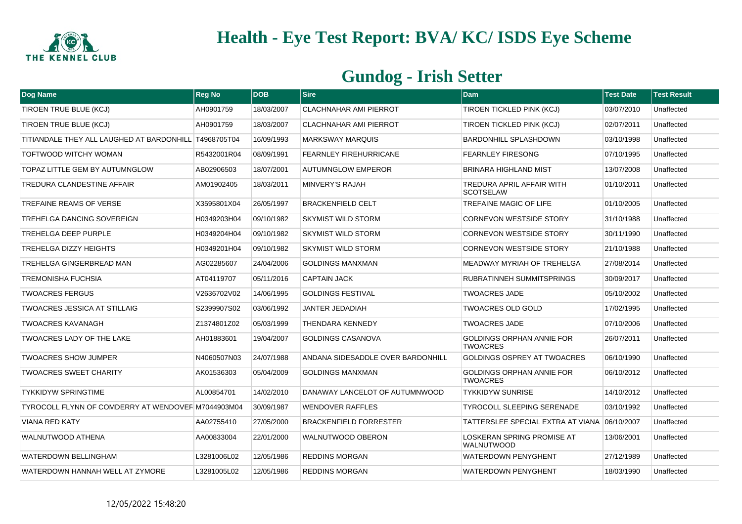

| Dog Name                                              | <b>Reg No</b> | <b>DOB</b> | Sire                              | <b>Dam</b>                                          | <b>Test Date</b> | <b>Test Result</b> |
|-------------------------------------------------------|---------------|------------|-----------------------------------|-----------------------------------------------------|------------------|--------------------|
| TIROEN TRUE BLUE (KCJ)                                | AH0901759     | 18/03/2007 | <b>CLACHNAHAR AMI PIERROT</b>     | <b>TIROEN TICKLED PINK (KCJ)</b>                    | 03/07/2010       | Unaffected         |
| TIROEN TRUE BLUE (KCJ)                                | AH0901759     | 18/03/2007 | <b>CLACHNAHAR AMI PIERROT</b>     | TIROEN TICKLED PINK (KCJ)                           | 02/07/2011       | Unaffected         |
| TITIANDALE THEY ALL LAUGHED AT BARDONHILL T4968705T04 |               | 16/09/1993 | <b>MARKSWAY MARQUIS</b>           | <b>BARDONHILL SPLASHDOWN</b>                        | 03/10/1998       | Unaffected         |
| TOFTWOOD WITCHY WOMAN                                 | R5432001R04   | 08/09/1991 | <b>FEARNLEY FIREHURRICANE</b>     | <b>FEARNLEY FIRESONG</b>                            | 07/10/1995       | Unaffected         |
| TOPAZ LITTLE GEM BY AUTUMNGLOW                        | AB02906503    | 18/07/2001 | <b>AUTUMNGLOW EMPEROR</b>         | <b>BRINARA HIGHLAND MIST</b>                        | 13/07/2008       | Unaffected         |
| TREDURA CLANDESTINE AFFAIR                            | AM01902405    | 18/03/2011 | MINVERY'S RAJAH                   | TREDURA APRIL AFFAIR WITH<br><b>SCOTSELAW</b>       | 01/10/2011       | Unaffected         |
| TREFAINE REAMS OF VERSE                               | X3595801X04   | 26/05/1997 | <b>BRACKENFIELD CELT</b>          | <b>TREFAINE MAGIC OF LIFE</b>                       | 01/10/2005       | Unaffected         |
| TREHELGA DANCING SOVEREIGN                            | H0349203H04   | 09/10/1982 | <b>SKYMIST WILD STORM</b>         | <b>CORNEVON WESTSIDE STORY</b>                      | 31/10/1988       | Unaffected         |
| <b>TREHELGA DEEP PURPLE</b>                           | H0349204H04   | 09/10/1982 | <b>SKYMIST WILD STORM</b>         | <b>CORNEVON WESTSIDE STORY</b>                      | 30/11/1990       | Unaffected         |
| <b>TREHELGA DIZZY HEIGHTS</b>                         | H0349201H04   | 09/10/1982 | <b>SKYMIST WILD STORM</b>         | <b>CORNEVON WESTSIDE STORY</b>                      | 21/10/1988       | Unaffected         |
| TREHELGA GINGERBREAD MAN                              | AG02285607    | 24/04/2006 | <b>GOLDINGS MANXMAN</b>           | MEADWAY MYRIAH OF TREHELGA                          | 27/08/2014       | Unaffected         |
| <b>TREMONISHA FUCHSIA</b>                             | AT04119707    | 05/11/2016 | <b>CAPTAIN JACK</b>               | RUBRATINNEH SUMMITSPRINGS                           | 30/09/2017       | Unaffected         |
| <b>TWOACRES FERGUS</b>                                | V2636702V02   | 14/06/1995 | <b>GOLDINGS FESTIVAL</b>          | <b>TWOACRES JADE</b>                                | 05/10/2002       | Unaffected         |
| <b>TWOACRES JESSICA AT STILLAIG</b>                   | S2399907S02   | 03/06/1992 | JANTER JEDADIAH                   | <b>TWOACRES OLD GOLD</b>                            | 17/02/1995       | Unaffected         |
| <b>TWOACRES KAVANAGH</b>                              | Z1374801Z02   | 05/03/1999 | <b>THENDARA KENNEDY</b>           | <b>TWOACRES JADE</b>                                | 07/10/2006       | Unaffected         |
| TWOACRES LADY OF THE LAKE                             | AH01883601    | 19/04/2007 | <b>GOLDINGS CASANOVA</b>          | <b>GOLDINGS ORPHAN ANNIE FOR</b><br><b>TWOACRES</b> | 26/07/2011       | Unaffected         |
| <b>TWOACRES SHOW JUMPER</b>                           | N4060507N03   | 24/07/1988 | ANDANA SIDESADDLE OVER BARDONHILL | <b>GOLDINGS OSPREY AT TWOACRES</b>                  | 06/10/1990       | Unaffected         |
| <b>TWOACRES SWEET CHARITY</b>                         | AK01536303    | 05/04/2009 | <b>GOLDINGS MANXMAN</b>           | <b>GOLDINGS ORPHAN ANNIE FOR</b><br><b>TWOACRES</b> | 06/10/2012       | Unaffected         |
| <b>TYKKIDYW SPRINGTIME</b>                            | AL00854701    | 14/02/2010 | DANAWAY LANCELOT OF AUTUMNWOOD    | <b>TYKKIDYW SUNRISE</b>                             | 14/10/2012       | Unaffected         |
| TYROCOLL FLYNN OF COMDERRY AT WENDOVEF M7044903M04    |               | 30/09/1987 | <b>WENDOVER RAFFLES</b>           | <b>TYROCOLL SLEEPING SERENADE</b>                   | 03/10/1992       | Unaffected         |
| <b>VIANA RED KATY</b>                                 | AA02755410    | 27/05/2000 | <b>BRACKENFIELD FORRESTER</b>     | TATTERSLEE SPECIAL EXTRA AT VIANA 106/10/2007       |                  | Unaffected         |
| <b>WALNUTWOOD ATHENA</b>                              | AA00833004    | 22/01/2000 | <b>WALNUTWOOD OBERON</b>          | LOSKERAN SPRING PROMISE AT<br><b>WALNUTWOOD</b>     | 13/06/2001       | Unaffected         |
| <b>WATERDOWN BELLINGHAM</b>                           | L3281006L02   | 12/05/1986 | <b>REDDINS MORGAN</b>             | <b>WATERDOWN PENYGHENT</b>                          | 27/12/1989       | Unaffected         |
| WATERDOWN HANNAH WELL AT ZYMORE                       | L3281005L02   | 12/05/1986 | <b>REDDINS MORGAN</b>             | <b>WATERDOWN PENYGHENT</b>                          | 18/03/1990       | Unaffected         |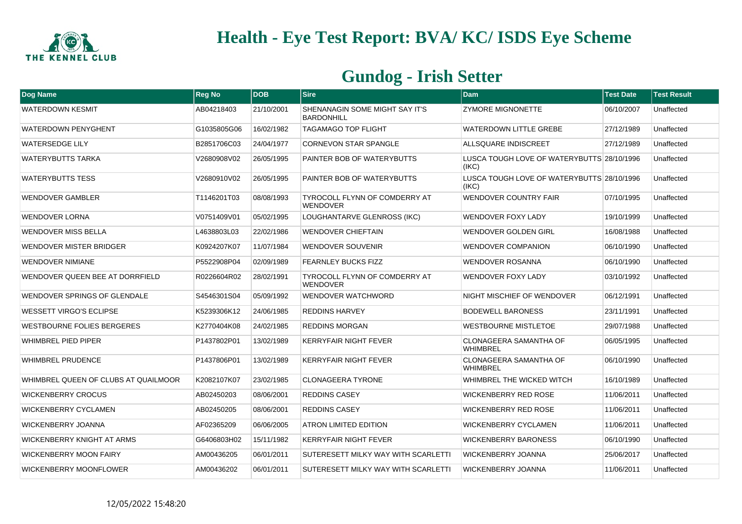

| Dog Name                             | <b>Reg No</b> | DOB        | <b>Sire</b>                                             | <b>Dam</b>                                          | <b>Test Date</b> | <b>Test Result</b> |
|--------------------------------------|---------------|------------|---------------------------------------------------------|-----------------------------------------------------|------------------|--------------------|
| <b>WATERDOWN KESMIT</b>              | AB04218403    | 21/10/2001 | SHENANAGIN SOME MIGHT SAY IT'S<br><b>BARDONHILL</b>     | <b>ZYMORE MIGNONETTE</b>                            | 06/10/2007       | Unaffected         |
| <b>WATERDOWN PENYGHENT</b>           | G1035805G06   | 16/02/1982 | <b>TAGAMAGO TOP FLIGHT</b>                              | WATERDOWN LITTLE GREBE                              | 27/12/1989       | Unaffected         |
| <b>WATERSEDGE LILY</b>               | B2851706C03   | 24/04/1977 | <b>CORNEVON STAR SPANGLE</b>                            | ALLSQUARE INDISCREET                                | 27/12/1989       | Unaffected         |
| WATERYBUTTS TARKA                    | V2680908V02   | 26/05/1995 | PAINTER BOB OF WATERYBUTTS                              | LUSCA TOUGH LOVE OF WATERYBUTTS 28/10/1996<br>(IKC) |                  | Unaffected         |
| <b>WATERYBUTTS TESS</b>              | V2680910V02   | 26/05/1995 | PAINTER BOB OF WATERYBUTTS                              | LUSCA TOUGH LOVE OF WATERYBUTTS 28/10/1996<br>(IKC) |                  | Unaffected         |
| <b>WENDOVER GAMBLER</b>              | T1146201T03   | 08/08/1993 | <b>TYROCOLL FLYNN OF COMDERRY AT</b><br><b>WENDOVER</b> | <b>WENDOVER COUNTRY FAIR</b>                        | 07/10/1995       | Unaffected         |
| <b>WENDOVER LORNA</b>                | V0751409V01   | 05/02/1995 | LOUGHANTARVE GLENROSS (IKC)                             | WENDOVER FOXY LADY                                  | 19/10/1999       | Unaffected         |
| <b>WENDOVER MISS BELLA</b>           | L4638803L03   | 22/02/1986 | <b>WENDOVER CHIEFTAIN</b>                               | WENDOVER GOLDEN GIRL                                | 16/08/1988       | Unaffected         |
| WENDOVER MISTER BRIDGER              | K0924207K07   | 11/07/1984 | <b>WENDOVER SOUVENIR</b>                                | <b>WENDOVER COMPANION</b>                           | 06/10/1990       | Unaffected         |
| <b>WENDOVER NIMIANE</b>              | P5522908P04   | 02/09/1989 | <b>FEARNLEY BUCKS FIZZ</b>                              | WENDOVER ROSANNA                                    | 06/10/1990       | Unaffected         |
| WENDOVER QUEEN BEE AT DORRFIELD      | R0226604R02   | 28/02/1991 | TYROCOLL FLYNN OF COMDERRY AT<br>WENDOVER               | WENDOVER FOXY LADY                                  | 03/10/1992       | Unaffected         |
| WENDOVER SPRINGS OF GLENDALE         | S4546301S04   | 05/09/1992 | <b>WENDOVER WATCHWORD</b>                               | NIGHT MISCHIEF OF WENDOVER                          | 06/12/1991       | Unaffected         |
| WESSETT VIRGO'S ECLIPSE              | K5239306K12   | 24/06/1985 | <b>REDDINS HARVEY</b>                                   | <b>BODEWELL BARONESS</b>                            | 23/11/1991       | Unaffected         |
| WESTBOURNE FOLIES BERGERES           | K2770404K08   | 24/02/1985 | <b>REDDINS MORGAN</b>                                   | WESTBOURNE MISTLETOE                                | 29/07/1988       | Unaffected         |
| <b>WHIMBREL PIED PIPER</b>           | P1437802P01   | 13/02/1989 | KERRYFAIR NIGHT FEVER                                   | <b>CLONAGEERA SAMANTHA OF</b><br><b>WHIMBREL</b>    | 06/05/1995       | Unaffected         |
| <b>WHIMBREL PRUDENCE</b>             | P1437806P01   | 13/02/1989 | KERRYFAIR NIGHT FEVER                                   | <b>CLONAGEERA SAMANTHA OF</b><br>WHIMBREL           | 06/10/1990       | Unaffected         |
| WHIMBREL QUEEN OF CLUBS AT QUAILMOOR | K2082107K07   | 23/02/1985 | <b>CLONAGEERA TYRONE</b>                                | WHIMBREL THE WICKED WITCH                           | 16/10/1989       | Unaffected         |
| <b>WICKENBERRY CROCUS</b>            | AB02450203    | 08/06/2001 | <b>REDDINS CASEY</b>                                    | WICKENBERRY RED ROSE                                | 11/06/2011       | Unaffected         |
| <b>WICKENBERRY CYCLAMEN</b>          | AB02450205    | 08/06/2001 | <b>REDDINS CASEY</b>                                    | WICKENBERRY RED ROSE                                | 11/06/2011       | Unaffected         |
| <b>WICKENBERRY JOANNA</b>            | AF02365209    | 06/06/2005 | <b>ATRON LIMITED EDITION</b>                            | WICKENBERRY CYCLAMEN                                | 11/06/2011       | Unaffected         |
| WICKENBERRY KNIGHT AT ARMS           | G6406803H02   | 15/11/1982 | <b>KERRYFAIR NIGHT FEVER</b>                            | <b>WICKENBERRY BARONESS</b>                         | 06/10/1990       | Unaffected         |
| <b>WICKENBERRY MOON FAIRY</b>        | AM00436205    | 06/01/2011 | SUTERESETT MILKY WAY WITH SCARLETTI                     | <b>WICKENBERRY JOANNA</b>                           | 25/06/2017       | Unaffected         |
| WICKENBERRY MOONFLOWER               | AM00436202    | 06/01/2011 | SUTERESETT MILKY WAY WITH SCARLETTI                     | <b>WICKENBERRY JOANNA</b>                           | 11/06/2011       | Unaffected         |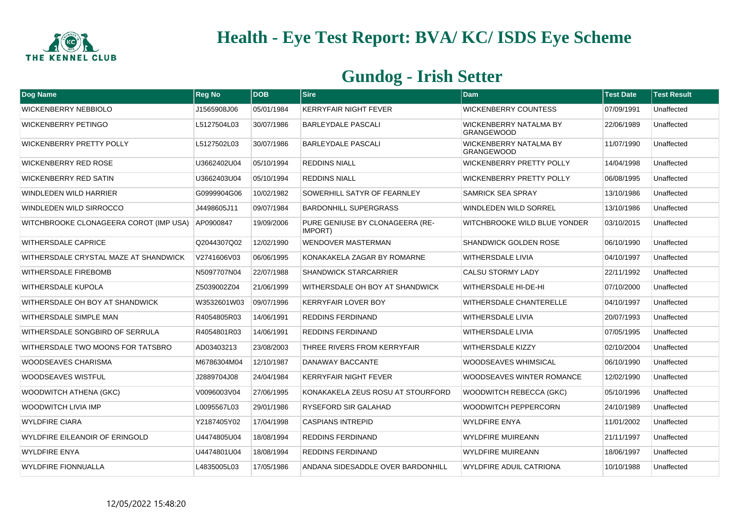

| Dog Name                               | <b>Reg No</b> | <b>DOB</b> | <b>Sire</b>                                | <b>Dam</b>                                         | <b>Test Date</b> | <b>Test Result</b> |
|----------------------------------------|---------------|------------|--------------------------------------------|----------------------------------------------------|------------------|--------------------|
| <b>WICKENBERRY NEBBIOLO</b>            | J1565908J06   | 05/01/1984 | <b>KERRYFAIR NIGHT FEVER</b>               | <b>WICKENBERRY COUNTESS</b>                        | 07/09/1991       | Unaffected         |
| <b>WICKENBERRY PETINGO</b>             | L5127504L03   | 30/07/1986 | <b>BARLEYDALE PASCALI</b>                  | WICKENBERRY NATALMA BY<br><b>GRANGEWOOD</b>        | 22/06/1989       | Unaffected         |
| <b>WICKENBERRY PRETTY POLLY</b>        | L5127502L03   | 30/07/1986 | <b>BARLEYDALE PASCALI</b>                  | <b>WICKENBERRY NATALMA BY</b><br><b>GRANGEWOOD</b> | 11/07/1990       | Unaffected         |
| <b>WICKENBERRY RED ROSE</b>            | U3662402U04   | 05/10/1994 | <b>REDDINS NIALL</b>                       | <b>WICKENBERRY PRETTY POLLY</b>                    | 14/04/1998       | Unaffected         |
| <b>WICKENBERRY RED SATIN</b>           | U3662403U04   | 05/10/1994 | <b>REDDINS NIALL</b>                       | <b>WICKENBERRY PRETTY POLLY</b>                    | 06/08/1995       | Unaffected         |
| WINDLEDEN WILD HARRIER                 | G0999904G06   | 10/02/1982 | SOWERHILL SATYR OF FEARNLEY                | SAMRICK SEA SPRAY                                  | 13/10/1986       | Unaffected         |
| WINDLEDEN WILD SIRROCCO                | J4498605J11   | 09/07/1984 | <b>BARDONHILL SUPERGRASS</b>               | WINDLEDEN WILD SORREL                              | 13/10/1986       | Unaffected         |
| WITCHBROOKE CLONAGEERA COROT (IMP USA) | AP0900847     | 19/09/2006 | PURE GENIUSE BY CLONAGEERA (RE-<br>IMPORT) | WITCHBROOKE WILD BLUE YONDER                       | 03/10/2015       | Unaffected         |
| WITHERSDALE CAPRICE                    | Q2044307Q02   | 12/02/1990 | <b>WENDOVER MASTERMAN</b>                  | <b>SHANDWICK GOLDEN ROSE</b>                       | 06/10/1990       | Unaffected         |
| WITHERSDALE CRYSTAL MAZE AT SHANDWICK  | V2741606V03   | 06/06/1995 | KONAKAKELA ZAGAR BY ROMARNE                | <b>WITHERSDALE LIVIA</b>                           | 04/10/1997       | Unaffected         |
| <b>WITHERSDALE FIREBOMB</b>            | N5097707N04   | 22/07/1988 | <b>SHANDWICK STARCARRIER</b>               | <b>CALSU STORMY LADY</b>                           | 22/11/1992       | Unaffected         |
| <b>WITHERSDALE KUPOLA</b>              | Z5039002Z04   | 21/06/1999 | WITHERSDALE OH BOY AT SHANDWICK            | WITHERSDALE HI-DE-HI                               | 07/10/2000       | Unaffected         |
| WITHERSDALE OH BOY AT SHANDWICK        | W3532601W03   | 09/07/1996 | <b>KERRYFAIR LOVER BOY</b>                 | WITHERSDALE CHANTERELLE                            | 04/10/1997       | Unaffected         |
| WITHERSDALE SIMPLE MAN                 | R4054805R03   | 14/06/1991 | <b>REDDINS FERDINAND</b>                   | WITHERSDALE LIVIA                                  | 20/07/1993       | Unaffected         |
| WITHERSDALE SONGBIRD OF SERRULA        | R4054801R03   | 14/06/1991 | <b>REDDINS FERDINAND</b>                   | WITHERSDALE LIVIA                                  | 07/05/1995       | Unaffected         |
| WITHERSDALE TWO MOONS FOR TATSBRO      | AD03403213    | 23/08/2003 | THREE RIVERS FROM KERRYFAIR                | <b>WITHERSDALE KIZZY</b>                           | 02/10/2004       | Unaffected         |
| <b>WOODSEAVES CHARISMA</b>             | M6786304M04   | 12/10/1987 | DANAWAY BACCANTE                           | <b>WOODSEAVES WHIMSICAL</b>                        | 06/10/1990       | Unaffected         |
| <b>WOODSEAVES WISTFUL</b>              | J2889704J08   | 24/04/1984 | <b>KERRYFAIR NIGHT FEVER</b>               | WOODSEAVES WINTER ROMANCE                          | 12/02/1990       | Unaffected         |
| <b>WOODWITCH ATHENA (GKC)</b>          | V0096003V04   | 27/06/1995 | KONAKAKELA ZEUS ROSU AT STOURFORD          | WOODWITCH REBECCA (GKC)                            | 05/10/1996       | Unaffected         |
| <b>WOODWITCH LIVIA IMP</b>             | L0095567L03   | 29/01/1986 | <b>RYSEFORD SIR GALAHAD</b>                | WOODWITCH PEPPERCORN                               | 24/10/1989       | Unaffected         |
| <b>WYLDFIRE CIARA</b>                  | Y2187405Y02   | 17/04/1998 | <b>CASPIANS INTREPID</b>                   | <b>WYLDFIRE ENYA</b>                               | 11/01/2002       | Unaffected         |
| WYLDFIRE EILEANOIR OF ERINGOLD         | U4474805U04   | 18/08/1994 | <b>REDDINS FERDINAND</b>                   | <b>WYLDFIRE MUIREANN</b>                           | 21/11/1997       | Unaffected         |
| <b>WYLDFIRE ENYA</b>                   | U4474801U04   | 18/08/1994 | <b>REDDINS FERDINAND</b>                   | <b>WYLDFIRE MUIREANN</b>                           | 18/06/1997       | Unaffected         |
| <b>WYLDFIRE FIONNUALLA</b>             | L4835005L03   | 17/05/1986 | ANDANA SIDESADDLE OVER BARDONHILL          | WYLDFIRE ADUIL CATRIONA                            | 10/10/1988       | Unaffected         |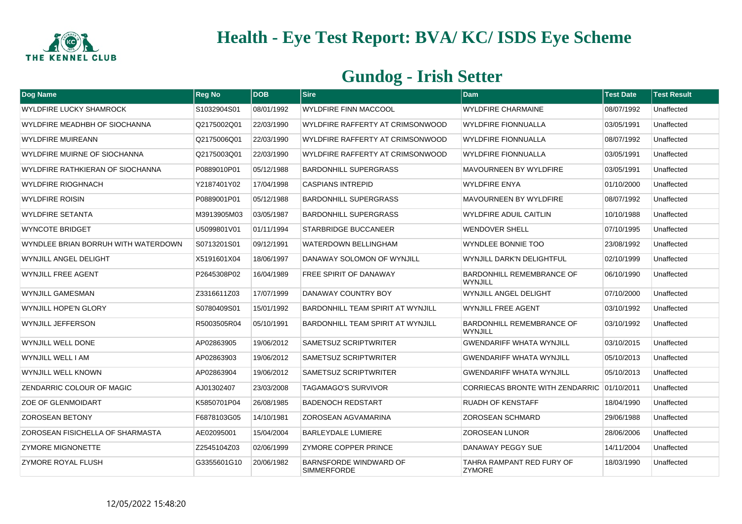

| Dog Name                                | <b>Reg No</b> | <b>IDOB</b> | $ S$ ire                                     | <b>Dam</b>                                  | <b>Test Date</b> | <b>Test Result</b> |
|-----------------------------------------|---------------|-------------|----------------------------------------------|---------------------------------------------|------------------|--------------------|
| <b>WYLDFIRE LUCKY SHAMROCK</b>          | S1032904S01   | 08/01/1992  | <b>WYLDFIRE FINN MACCOOL</b>                 | <b>WYLDFIRE CHARMAINE</b>                   | 08/07/1992       | Unaffected         |
| WYLDFIRE MEADHBH OF SIOCHANNA           | Q2175002Q01   | 22/03/1990  | WYLDFIRE RAFFERTY AT CRIMSONWOOD             | <b>WYLDFIRE FIONNUALLA</b>                  | 03/05/1991       | Unaffected         |
| <b>WYLDFIRE MUIREANN</b>                | Q2175006Q01   | 22/03/1990  | WYLDFIRE RAFFERTY AT CRIMSONWOOD             | <b>WYLDFIRE FIONNUALLA</b>                  | 08/07/1992       | Unaffected         |
| WYLDFIRE MUIRNE OF SIOCHANNA            | Q2175003Q01   | 22/03/1990  | WYLDFIRE RAFFERTY AT CRIMSONWOOD             | <b>WYLDFIRE FIONNUALLA</b>                  | 03/05/1991       | Unaffected         |
| WYLDFIRE RATHKIERAN OF SIOCHANNA        | P0889010P01   | 05/12/1988  | <b>BARDONHILL SUPERGRASS</b>                 | <b>MAVOURNEEN BY WYLDFIRE</b>               | 03/05/1991       | Unaffected         |
| <b>WYLDFIRE RIOGHNACH</b>               | Y2187401Y02   | 17/04/1998  | <b>CASPIANS INTREPID</b>                     | <b>WYLDFIRE ENYA</b>                        | 01/10/2000       | Unaffected         |
| <b>WYLDFIRE ROISIN</b>                  | P0889001P01   | 05/12/1988  | <b>BARDONHILL SUPERGRASS</b>                 | MAVOURNEEN BY WYLDFIRE                      | 08/07/1992       | Unaffected         |
| <b>WYLDFIRE SETANTA</b>                 | M3913905M03   | 03/05/1987  | <b>BARDONHILL SUPERGRASS</b>                 | <b>WYLDFIRE ADUIL CAITLIN</b>               | 10/10/1988       | Unaffected         |
| <b>WYNCOTE BRIDGET</b>                  | U5099801V01   | 01/11/1994  | <b>STARBRIDGE BUCCANEER</b>                  | <b>WENDOVER SHELL</b>                       | 07/10/1995       | Unaffected         |
| WYNDLEE BRIAN BORRUH WITH WATERDOWN     | S0713201S01   | 09/12/1991  | <b>WATERDOWN BELLINGHAM</b>                  | <b>WYNDLEE BONNIE TOO</b>                   | 23/08/1992       | Unaffected         |
| WYNJILL ANGEL DELIGHT                   | X5191601X04   | 18/06/1997  | DANAWAY SOLOMON OF WYNJILL                   | WYNJILL DARK'N DELIGHTFUL                   | 02/10/1999       | Unaffected         |
| <b>WYNJILL FREE AGENT</b>               | P2645308P02   | 16/04/1989  | FREE SPIRIT OF DANAWAY                       | <b>BARDONHILL REMEMBRANCE OF</b><br>WYNJILL | 06/10/1990       | Unaffected         |
| <b>WYNJILL GAMESMAN</b>                 | Z3316611Z03   | 17/07/1999  | DANAWAY COUNTRY BOY                          | <b>WYNJILL ANGEL DELIGHT</b>                | 07/10/2000       | Unaffected         |
| <b>WYNJILL HOPE'N GLORY</b>             | S0780409S01   | 15/01/1992  | <b>BARDONHILL TEAM SPIRIT AT WYNJILL</b>     | <b>WYNJILL FREE AGENT</b>                   | 03/10/1992       | Unaffected         |
| <b>WYNJILL JEFFERSON</b>                | R5003505R04   | 05/10/1991  | <b>BARDONHILL TEAM SPIRIT AT WYNJILL</b>     | <b>BARDONHILL REMEMBRANCE OF</b><br>WYNJILL | 03/10/1992       | Unaffected         |
| WYNJILL WELL DONE                       | AP02863905    | 19/06/2012  | <b>SAMETSUZ SCRIPTWRITER</b>                 | <b>GWENDARIFF WHATA WYNJILL</b>             | 03/10/2015       | Unaffected         |
| WYNJILL WELL I AM                       | AP02863903    | 19/06/2012  | <b>SAMETSUZ SCRIPTWRITER</b>                 | <b>GWENDARIFF WHATA WYNJILL</b>             | 05/10/2013       | Unaffected         |
| WYNJILL WELL KNOWN                      | AP02863904    | 19/06/2012  | <b>SAMETSUZ SCRIPTWRITER</b>                 | <b>GWENDARIFF WHATA WYNJILL</b>             | 05/10/2013       | Unaffected         |
| ZENDARRIC COLOUR OF MAGIC               | AJ01302407    | 23/03/2008  | <b>TAGAMAGO'S SURVIVOR</b>                   | CORRIECAS BRONTE WITH ZENDARRIC 01/10/2011  |                  | Unaffected         |
| <b>ZOE OF GLENMOIDART</b>               | K5850701P04   | 26/08/1985  | <b>BADENOCH REDSTART</b>                     | <b>RUADH OF KENSTAFF</b>                    | 18/04/1990       | Unaffected         |
| <b>ZOROSEAN BETONY</b>                  | F6878103G05   | 14/10/1981  | <b>ZOROSEAN AGVAMARINA</b>                   | <b>ZOROSEAN SCHMARD</b>                     | 29/06/1988       | Unaffected         |
| <b>ZOROSEAN FISICHELLA OF SHARMASTA</b> | AE02095001    | 15/04/2004  | <b>BARLEYDALE LUMIERE</b>                    | <b>ZOROSEAN LUNOR</b>                       | 28/06/2006       | Unaffected         |
| <b>ZYMORE MIGNONETTE</b>                | Z2545104Z03   | 02/06/1999  | <b>ZYMORE COPPER PRINCE</b>                  | DANAWAY PEGGY SUE                           | 14/11/2004       | Unaffected         |
| ZYMORE ROYAL FLUSH                      | G3355601G10   | 20/06/1982  | BARNSFORDE WINDWARD OF<br><b>SIMMERFORDE</b> | TAHRA RAMPANT RED FURY OF<br><b>ZYMORE</b>  | 18/03/1990       | Unaffected         |